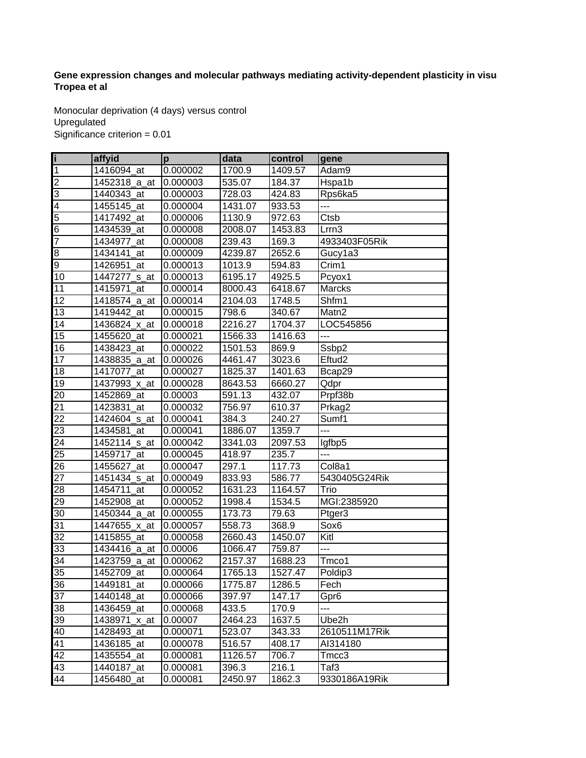## Gene expression changes and molecular pathways mediating activity-dependent plasticity in visual **Tropea et al**

Monocular deprivation (4 days) versus control Upregulated Significance criterion = 0.01

| ï                        | affyid                   | p        | data    | control | gene               |
|--------------------------|--------------------------|----------|---------|---------|--------------------|
| $\mathbf 1$              | 1416094_at               | 0.000002 | 1700.9  | 1409.57 | Adam9              |
| $\overline{2}$           | 1452318_a_at             | 0.000003 | 535.07  | 184.37  | Hspa1b             |
| $\overline{3}$           | 1440343_at               | 0.000003 | 728.03  | 424.83  | Rps6ka5            |
| $\overline{\mathcal{L}}$ | 1455145 at               | 0.000004 | 1431.07 | 933.53  | ---                |
| 5                        | 1417492_at               | 0.000006 | 1130.9  | 972.63  | Ctsb               |
| $\overline{6}$           | 1434539 at               | 0.000008 | 2008.07 | 1453.83 | Lrrn3              |
| $\overline{7}$           | 1434977_at               | 0.000008 | 239.43  | 169.3   | 4933403F05Rik      |
| 8                        | 1434141 at               | 0.000009 | 4239.87 | 2652.6  | Gucy1a3            |
| $\overline{9}$           | 1426951_at               | 0.000013 | 1013.9  | 594.83  | Crim1              |
| 10                       | 1447277 s at             | 0.000013 | 6195.17 | 4925.5  | Pcyox1             |
| 11                       | 1415971_at               | 0.000014 | 8000.43 | 6418.67 | Marcks             |
| 12                       | 1418574_a_at             | 0.000014 | 2104.03 | 1748.5  | Shfm1              |
| 13                       | 1419442_at               | 0.000015 | 798.6   | 340.67  | Matn2              |
| 14                       | 1436824_x_at             | 0.000018 | 2216.27 | 1704.37 | LOC545856          |
| 15                       | 1455620_at               | 0.000021 | 1566.33 | 1416.63 | ---                |
| 16                       | 1438423_at               | 0.000022 | 1501.53 | 869.9   | Ssbp2              |
| 17                       | 1438835_a_at             | 0.000026 | 4461.47 | 3023.6  | Eftud <sub>2</sub> |
| 18                       | 1417077_at               | 0.000027 | 1825.37 | 1401.63 | Bcap29             |
| 19                       | 1437993_x_at             | 0.000028 | 8643.53 | 6660.27 | Qdpr               |
| 20                       | 1452869 at               | 0.00003  | 591.13  | 432.07  | Prpf38b            |
| $\overline{21}$          | 1423831_at               | 0.000032 | 756.97  | 610.37  | Prkag2             |
| $\overline{22}$          | 1424604_s_at             | 0.000041 | 384.3   | 240.27  | Sumf1              |
| 23                       | 1434581 at               | 0.000041 | 1886.07 | 1359.7  | ---                |
| $\overline{24}$          | 1452114 <sub>_S_at</sub> | 0.000042 | 3341.03 | 2097.53 | lgfbp5             |
| 25                       | 1459717_at               | 0.000045 | 418.97  | 235.7   | ---                |
| 26                       | 1455627_at               | 0.000047 | 297.1   | 117.73  | Col8a1             |
| $\overline{27}$          | 1451434_s_at             | 0.000049 | 833.93  | 586.77  | 5430405G24Rik      |
| $\overline{28}$          | 1454711_at               | 0.000052 | 1631.23 | 1164.57 | Trio               |
| 29                       | 1452908 at               | 0.000052 | 1998.4  | 1534.5  | MGI:2385920        |
| 30                       | 1450344_a_at             | 0.000055 | 173.73  | 79.63   | Ptger3             |
| 31                       | 1447655_x_at             | 0.000057 | 558.73  | 368.9   | Sox <sub>6</sub>   |
| 32                       | 1415855_at               | 0.000058 | 2660.43 | 1450.07 | Kitl               |
| 33                       | 1434416_a_at             | 0.00006  | 1066.47 | 759.87  | ---                |
| 34                       | 1423759_a_at             | 0.000062 | 2157.37 | 1688.23 | Tmco1              |
| 35                       | 1452709 at               | 0.000064 | 1765.13 | 1527.47 | Poldip3            |
| 36                       | 1449181_at               | 0.000066 | 1775.87 | 1286.5  | Fech               |
| 37                       | 1440148 at               | 0.000066 | 397.97  | 147.17  | Gpr6               |
| 38                       | 1436459_at               | 0.000068 | 433.5   | 170.9   | ---                |
| 39                       | 1438971<br>_x_at         | 0.00007  | 2464.23 | 1637.5  | Ube2h              |
| 40                       | 1428493_at               | 0.000071 | 523.07  | 343.33  | 2610511M17Rik      |
| 41                       | 1436185_at               | 0.000078 | 516.57  | 408.17  | AI314180           |
| 42                       | 1435554_at               | 0.000081 | 1126.57 | 706.7   | Tmcc3              |
| 43                       | 1440187 at               | 0.000081 | 396.3   | 216.1   | Taf3               |
| 44                       | 1456480 at               | 0.000081 | 2450.97 | 1862.3  | 9330186A19Rik      |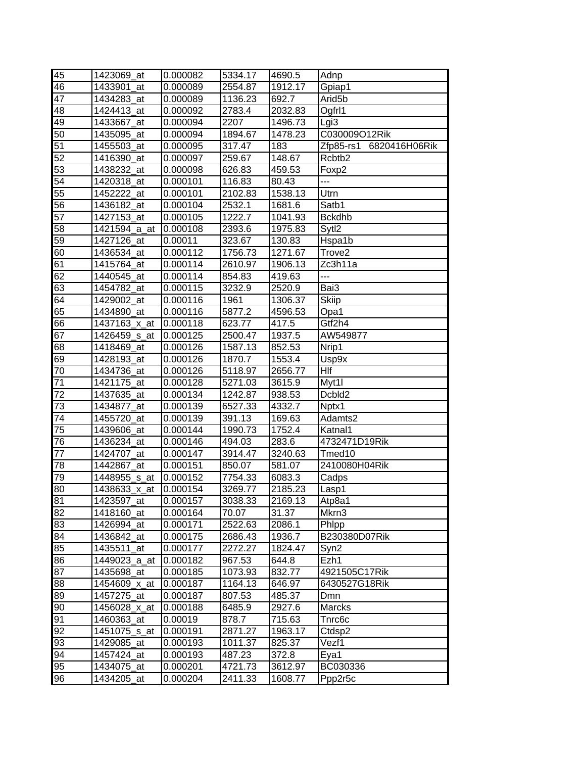| 45              | 1423069 at   | 0.000082 | 5334.17 | 4690.5  | Adnp                    |
|-----------------|--------------|----------|---------|---------|-------------------------|
| 46              | 1433901_at   | 0.000089 | 2554.87 | 1912.17 | Gpiap1                  |
| $\overline{47}$ | 1434283 at   | 0.000089 | 1136.23 | 692.7   | Arid <sub>5</sub> b     |
| 48              | 1424413_at   | 0.000092 | 2783.4  | 2032.83 | Ogfr <sub>11</sub>      |
| 49              | 1433667_at   | 0.000094 | 2207    | 1496.73 | Lgi <sub>3</sub>        |
| 50              | 1435095 at   | 0.000094 | 1894.67 | 1478.23 | C030009O12Rik           |
| 51              | 1455503_at   | 0.000095 | 317.47  | 183     | Zfp85-rs1 6820416H06Rik |
| 52              | 1416390_at   | 0.000097 | 259.67  | 148.67  | Rcbtb2                  |
| 53              | 1438232_at   | 0.000098 | 626.83  | 459.53  | Foxp2                   |
| 54              | 1420318_at   | 0.000101 | 116.83  | 80.43   | ---                     |
| 55              | 1452222_at   | 0.000101 | 2102.83 | 1538.13 | Utrn                    |
| 56              | 1436182 at   | 0.000104 | 2532.1  | 1681.6  | Satb1                   |
| 57              | 1427153_at   | 0.000105 | 1222.7  | 1041.93 | <b>Bckdhb</b>           |
| 58              | 1421594_a_at | 0.000108 | 2393.6  | 1975.83 | Sytl2                   |
| 59              | 1427126_at   | 0.00011  | 323.67  | 130.83  | Hspa1b                  |
| 60              | 1436534_at   | 0.000112 | 1756.73 | 1271.67 | Trove <sub>2</sub>      |
| 61              | 1415764_at   | 0.000114 | 2610.97 | 1906.13 | Zc3h11a                 |
| $\overline{62}$ | 1440545 at   | 0.000114 | 854.83  | 419.63  | ---                     |
| 63              | 1454782_at   | 0.000115 | 3232.9  | 2520.9  | Bai3                    |
| 64              | 1429002_at   | 0.000116 | 1961    | 1306.37 | <b>Skiip</b>            |
| 65              | 1434890_at   | 0.000116 | 5877.2  | 4596.53 | Opa1                    |
| 66              | 1437163 x at | 0.000118 | 623.77  | 417.5   | Gtf2h4                  |
| 67              | 1426459 s at | 0.000125 | 2500.47 | 1937.5  | AW549877                |
| 68              | 1418469 at   | 0.000126 | 1587.13 | 852.53  | Nrip1                   |
| 69              | 1428193_at   | 0.000126 | 1870.7  | 1553.4  | Usp9x                   |
| 70              | 1434736_at   | 0.000126 | 5118.97 | 2656.77 | Hlf                     |
| 71              | 1421175_at   | 0.000128 | 5271.03 | 3615.9  | Myt1l                   |
| 72              | 1437635_at   | 0.000134 | 1242.87 | 938.53  | Dcbld2                  |
| 73              | 1434877_at   | 0.000139 | 6527.33 | 4332.7  | Nptx1                   |
| $\overline{74}$ | 1455720_at   | 0.000139 | 391.13  | 169.63  | Adamts2                 |
| $\overline{75}$ | 1439606_at   | 0.000144 | 1990.73 | 1752.4  | Katnal1                 |
| 76              | 1436234_at   | 0.000146 | 494.03  | 283.6   | 4732471D19Rik           |
| 77              | 1424707_at   | 0.000147 | 3914.47 | 3240.63 | Tmed10                  |
| 78              | 1442867_at   | 0.000151 | 850.07  | 581.07  | 2410080H04Rik           |
| 79              | 1448955_s_at | 0.000152 | 7754.33 | 6083.3  | Cadps                   |
| 80              | 1438633_x_at | 0.000154 | 3269.77 | 2185.23 | Lasp1                   |
| 81              | 1423597_at   | 0.000157 | 3038.33 | 2169.13 | Atp8a1                  |
| 82              | 1418160 at   | 0.000164 | 70.07   | 31.37   | Mkrn3                   |
| 83              | 1426994_at   | 0.000171 | 2522.63 | 2086.1  | Phlpp                   |
| 84              | 1436842_at   | 0.000175 | 2686.43 | 1936.7  | B230380D07Rik           |
| 85              | 1435511_at   | 0.000177 | 2272.27 | 1824.47 | Syn2                    |
| 86              | 1449023_a_at | 0.000182 | 967.53  | 644.8   | Ezh1                    |
| 87              | 1435698_at   | 0.000185 | 1073.93 | 832.77  | 4921505C17Rik           |
| 88              | 1454609_x_at | 0.000187 | 1164.13 | 646.97  | 6430527G18Rik           |
| 89              | 1457275_at   | 0.000187 | 807.53  | 485.37  | Dmn                     |
| 90              | 1456028_x_at | 0.000188 | 6485.9  | 2927.6  | Marcks                  |
| 91              | 1460363 at   | 0.00019  | 878.7   | 715.63  | Tnrc6c                  |
| 92              | 1451075_s_at | 0.000191 | 2871.27 | 1963.17 | Ctdsp2                  |
| 93              | 1429085_at   | 0.000193 | 1011.37 | 825.37  | Vezf1                   |
| 94              | 1457424_at   | 0.000193 | 487.23  | 372.8   | Eya1                    |
| 95              | 1434075_at   | 0.000201 | 4721.73 | 3612.97 | BC030336                |
| 96              | 1434205_at   | 0.000204 | 2411.33 | 1608.77 | Ppp2r5c                 |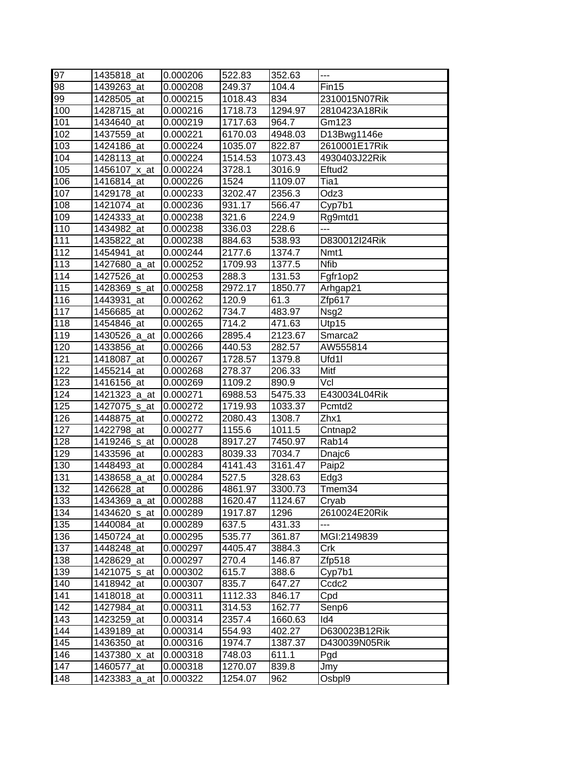| 97         | 1435818_at                 | 0.000206             | 522.83           | 352.63           | $---$                          |
|------------|----------------------------|----------------------|------------------|------------------|--------------------------------|
| 98         | 1439263 at                 | 0.000208             | 249.37           | 104.4            | Fin15                          |
| 99         | 1428505_at                 | 0.000215             | 1018.43          | 834              | 2310015N07Rik                  |
| 100        | 1428715_at                 | 0.000216             | 1718.73          | 1294.97          | 2810423A18Rik                  |
| 101        | 1434640_at                 | 0.000219             | 1717.63          | 964.7            | Gm123                          |
| 102        | 1437559_at                 | 0.000221             | 6170.03          | 4948.03          | D13Bwg1146e                    |
| 103        | 1424186_at                 | 0.000224             | 1035.07          | 822.87           | 2610001E17Rik                  |
| 104        | 1428113_at                 | 0.000224             | 1514.53          | 1073.43          | 4930403J22Rik                  |
| 105        | 1456107_x_at               | 0.000224             | 3728.1           | 3016.9           | Eftud <sub>2</sub>             |
| 106        | 1416814_at                 | 0.000226             | 1524             | 1109.07          | Tia1                           |
| 107        | 1429178_at                 | 0.000233             | 3202.47          | 2356.3           | Odz3                           |
| 108        | 1421074_at                 | 0.000236             | 931.17           | 566.47           | Cyp7b1                         |
| 109        | 1424333_at                 | 0.000238             | 321.6            | 224.9            | Rg9mtd1                        |
| 110        | 1434982_at                 | 0.000238             | 336.03           | 228.6            | ---                            |
| 111        | 1435822_at                 | 0.000238             | 884.63           | 538.93           | D830012I24Rik                  |
| 112        | 1454941_at                 | 0.000244             | 2177.6           | 1374.7           | Nmt1                           |
| 113        | 1427680_a_at               | 0.000252             | 1709.93          | 1377.5           | <b>Nfib</b>                    |
| 114        | 1427526_at                 | 0.000253             | 288.3            | 131.53           | Fgfr1op2                       |
| 115        | 1428369_s_at               | 0.000258             | 2972.17          | 1850.77          | Arhgap21                       |
| 116        | 1443931_at                 | 0.000262             | 120.9            | 61.3             | Zfp617                         |
| 117        | 1456685_at                 | 0.000262             | 734.7            | 483.97           | Nsg2                           |
| 118        | 1454846_at                 | 0.000265             | 714.2            | 471.63           | Utp15                          |
| 119        | 1430526 a at               | 0.000266             | 2895.4           | 2123.67          | Smarca <sub>2</sub>            |
| 120        | 1433856 at                 | 0.000266             | 440.53           | 282.57           | AW555814                       |
| 121        | 1418087_at                 | 0.000267             | 1728.57          | 1379.8           | Ufd1l                          |
| 122        | 1455214_at                 | 0.000268             | 278.37           | 206.33           | Mitf                           |
| 123        | 1416156_at                 | 0.000269             | 1109.2           | 890.9            | Vcl                            |
| 124        | 1421323_a_at               | 0.000271             | 6988.53          | 5475.33          | E430034L04Rik                  |
| 125        | 1427075_s_at               | 0.000272             | 1719.93          | 1033.37          | Pcmtd <sub>2</sub>             |
| 126        | 1448875_at                 | 0.000272             | 2080.43          | 1308.7           | Zhx1                           |
| 127        | 1422798_at                 | 0.000277             | 1155.6           | 1011.5           | Cntnap2                        |
| 128        | 1419246_s_at               | 0.00028              | 8917.27          | 7450.97          | Rab14                          |
| 129        | 1433596 at                 | 0.000283             | 8039.33          | 7034.7           | Dnajc <sub>6</sub>             |
| 130        | 1448493_at                 | 0.000284             | 4141.43          | 3161.47          | Paip2                          |
| 131        | 1438658 a at               | 0.000284             | 527.5            | 328.63           | Edg3                           |
| 132        | 1426628_at                 | 0.000286             | 4861.97          | 3300.73          | Tmem34                         |
| 133        | 1434369_a_at               | 0.000288             | 1620.47          | 1124.67          | Cryab                          |
| 134        | 1434620_s_at               | 0.000289             | 1917.87          | 1296             | 2610024E20Rik                  |
| 135        | 1440084 at                 | 0.000289             | 637.5            | 431.33           | ---                            |
| 136        | 1450724 at                 | 0.000295             | 535.77           | 361.87           | MGI:2149839                    |
| 137        | 1448248_at                 | 0.000297             | 4405.47          | 3884.3           | Crk                            |
| 138        | 1428629 at                 | 0.000297             | 270.4            | 146.87           | Zfp518                         |
| 139        | 1421075_s_at               | 0.000302             | 615.7            | 388.6            | Cyp7b1                         |
| 140        | 1418942 at                 | 0.000307             | 835.7            | 647.27           | Ccdc <sub>2</sub>              |
| 141<br>142 | 1418018_at                 | 0.000311             | 1112.33          | 846.17           | Cpd                            |
| 143        | 1427984_at<br>1423259_at   | 0.000311             | 314.53           | 162.77           | Senp6<br>Id4                   |
| 144        | 1439189_at                 | 0.000314             | 2357.4           | 1660.63          |                                |
| 145        |                            | 0.000314             | 554.93<br>1974.7 | 402.27           | D630023B12Rik<br>D430039N05Rik |
| 146        | 1436350_at<br>1437380_x_at | 0.000316<br>0.000318 | 748.03           | 1387.37<br>611.1 |                                |
| 147        | 1460577_at                 | 0.000318             | 1270.07          | 839.8            | Pgd                            |
| 148        | 1423383_a_at               | 0.000322             | 1254.07          | 962              | Jmy<br>Osbpl9                  |
|            |                            |                      |                  |                  |                                |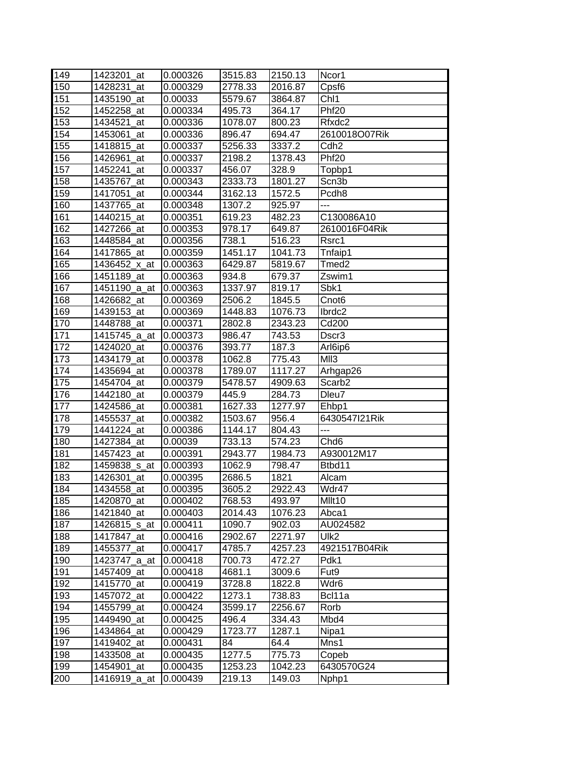| 149 | 1423201 at               | 0.000326 | 3515.83 | 2150.13 | Ncor1             |
|-----|--------------------------|----------|---------|---------|-------------------|
| 150 | 1428231 at               | 0.000329 | 2778.33 | 2016.87 | Cpsf <sub>6</sub> |
| 151 | 1435190 at               | 0.00033  | 5579.67 | 3864.87 | Ch <sub>1</sub>   |
| 152 | 1452258_at               | 0.000334 | 495.73  | 364.17  | Phf <sub>20</sub> |
| 153 | 1434521 at               | 0.000336 | 1078.07 | 800.23  | Rfxdc2            |
| 154 | 1453061_at               | 0.000336 | 896.47  | 694.47  | 2610018O07Rik     |
| 155 | 1418815_at               | 0.000337 | 5256.33 | 3337.2  | Cdh <sub>2</sub>  |
| 156 | 1426961_at               | 0.000337 | 2198.2  | 1378.43 | Phf <sub>20</sub> |
| 157 | 1452241 at               | 0.000337 | 456.07  | 328.9   | Topbp1            |
| 158 | 1435767_at               | 0.000343 | 2333.73 | 1801.27 | Scn3b             |
| 159 | 1417051_at               | 0.000344 | 3162.13 | 1572.5  | Pcdh8             |
| 160 | 1437765_at               | 0.000348 | 1307.2  | 925.97  | ---               |
| 161 | 1440215_at               | 0.000351 | 619.23  | 482.23  | C130086A10        |
| 162 | 1427266_at               | 0.000353 | 978.17  | 649.87  | 2610016F04Rik     |
| 163 | 1448584_at               | 0.000356 | 738.1   | 516.23  | Rsrc1             |
| 164 | 1417865_at               | 0.000359 | 1451.17 | 1041.73 | Tnfaip1           |
| 165 | 1436452_x_at             | 0.000363 | 6429.87 | 5819.67 | Tmed <sub>2</sub> |
| 166 | 1451189_at               | 0.000363 | 934.8   | 679.37  | Zswim1            |
| 167 | 1451190 a at             | 0.000363 | 1337.97 | 819.17  | Sbk1              |
| 168 | 1426682_at               | 0.000369 | 2506.2  | 1845.5  | Cnot <sub>6</sub> |
| 169 | 1439153_at               | 0.000369 | 1448.83 | 1076.73 | Ibrdc2            |
| 170 | 1448788 at               | 0.000371 | 2802.8  | 2343.23 | Cd200             |
| 171 | 1415745_a_at             | 0.000373 | 986.47  | 743.53  | Dscr3             |
| 172 | 1424020_at               | 0.000376 | 393.77  | 187.3   | Arl6ip6           |
| 173 | 1434179_at               | 0.000378 | 1062.8  | 775.43  | MII3              |
| 174 | 1435694 at               | 0.000378 | 1789.07 | 1117.27 | Arhgap26          |
| 175 | 1454704_at               | 0.000379 | 5478.57 | 4909.63 | Scarb2            |
| 176 | 1442180 at               | 0.000379 | 445.9   | 284.73  | Dleu7             |
| 177 | 1424586_at               | 0.000381 | 1627.33 | 1277.97 | Ehbp1             |
| 178 | 1455537_at               | 0.000382 | 1503.67 | 956.4   | 6430547121Rik     |
| 179 | 1441224_at               | 0.000386 | 1144.17 | 804.43  | ---               |
| 180 | 1427384_at               | 0.00039  | 733.13  | 574.23  | Chd <sub>6</sub>  |
| 181 | 1457423_at               | 0.000391 | 2943.77 | 1984.73 | A930012M17        |
| 182 | 1459838 <sub>_S_at</sub> | 0.000393 | 1062.9  | 798.47  | Btbd11            |
| 183 | 1426301_at               | 0.000395 | 2686.5  | 1821    | Alcam             |
| 184 | 1434558_at               | 0.000395 | 3605.2  | 2922.43 | Wdr47             |
| 185 | 1420870 at               | 0.000402 | 768.53  | 493.97  | Mllt10            |
| 186 | 1421840_at               | 0.000403 | 2014.43 | 1076.23 | Abca1             |
| 187 | 1426815_s_at             | 0.000411 | 1090.7  | 902.03  | AU024582          |
| 188 | 1417847 at               | 0.000416 | 2902.67 | 2271.97 | Ulk2              |
| 189 | 1455377_at               | 0.000417 | 4785.7  | 4257.23 | 4921517B04Rik     |
| 190 | 1423747_a_at             | 0.000418 | 700.73  | 472.27  | Pdk1              |
| 191 | 1457409 at               | 0.000418 | 4681.1  | 3009.6  | Fut <sub>9</sub>  |
| 192 | 1415770 at               | 0.000419 | 3728.8  | 1822.8  | Wdr6              |
| 193 | 1457072_at               | 0.000422 | 1273.1  | 738.83  | Bcl11a            |
| 194 | 1455799_at               | 0.000424 | 3599.17 | 2256.67 | Rorb              |
| 195 | 1449490_at               | 0.000425 | 496.4   | 334.43  | Mbd4              |
| 196 | 1434864_at               | 0.000429 | 1723.77 | 1287.1  | Nipa1             |
| 197 | 1419402_at               | 0.000431 | 84      | 64.4    | Mns1              |
| 198 | 1433508_at               | 0.000435 | 1277.5  | 775.73  | Copeb             |
| 199 | 1454901_at               | 0.000435 | 1253.23 | 1042.23 | 6430570G24        |
| 200 | 1416919_a_at             | 0.000439 | 219.13  | 149.03  | Nphp1             |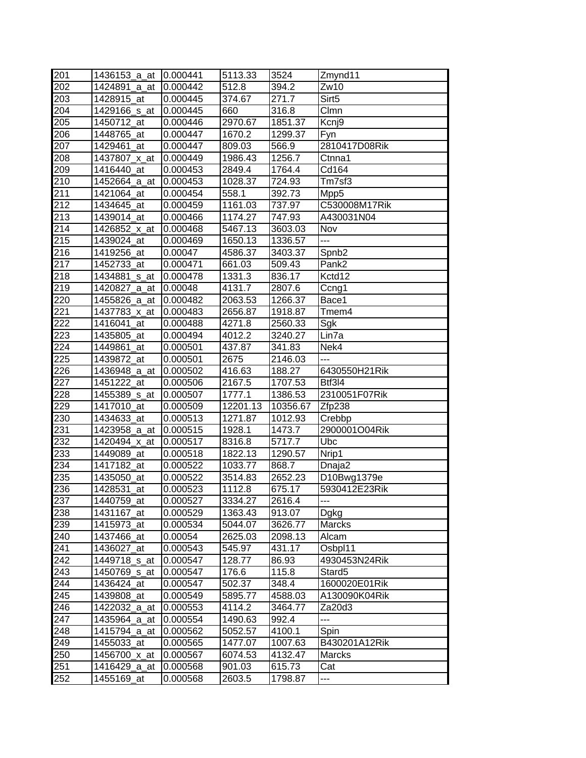| 201              | 1436153 a at | 10.000441 | 5113.33  | 3524     | Zmynd11            |
|------------------|--------------|-----------|----------|----------|--------------------|
| 202              | 1424891 a at | 0.000442  | 512.8    | 394.2    | Zw10               |
| 203              | 1428915 at   | 0.000445  | 374.67   | 271.7    | Sirt <sub>5</sub>  |
| 204              | 1429166_s_at | 0.000445  | 660      | 316.8    | Clmn               |
| 205              | 1450712_at   | 0.000446  | 2970.67  | 1851.37  | Kcnj9              |
| 206              | 1448765_at   | 0.000447  | 1670.2   | 1299.37  | Fyn                |
| 207              | 1429461_at   | 0.000447  | 809.03   | 566.9    | 2810417D08Rik      |
| 208              | 1437807_x_at | 0.000449  | 1986.43  | 1256.7   | Ctnna1             |
| 209              | 1416440_at   | 0.000453  | 2849.4   | 1764.4   | Cd164              |
| 210              | 1452664_a_at | 0.000453  | 1028.37  | 724.93   | Tm7sf3             |
| 211              | 1421064 at   | 0.000454  | 558.1    | 392.73   | Mpp5               |
| 212              | 1434645_at   | 0.000459  | 1161.03  | 737.97   | C530008M17Rik      |
| 213              | 1439014_at   | 0.000466  | 1174.27  | 747.93   | A430031N04         |
| 214              | 1426852_x_at | 0.000468  | 5467.13  | 3603.03  | Nov                |
| 215              | 1439024_at   | 0.000469  | 1650.13  | 1336.57  | ---                |
| 216              | 1419256_at   | 0.00047   | 4586.37  | 3403.37  | Spnb <sub>2</sub>  |
| 217              | 1452733_at   | 0.000471  | 661.03   | 509.43   | Pank <sub>2</sub>  |
| 218              | 1434881_s_at | 0.000478  | 1331.3   | 836.17   | Kctd12             |
| 219              | 1420827_a_at | 0.00048   | 4131.7   | 2807.6   | Ccng1              |
| 220              | 1455826_a_at | 0.000482  | 2063.53  | 1266.37  | Bace1              |
| 221              | 1437783_x_at | 0.000483  | 2656.87  | 1918.87  | Tmem4              |
| 222              | 1416041_at   | 0.000488  | 4271.8   | 2560.33  | Sgk                |
| 223              | 1435805_at   | 0.000494  | 4012.2   | 3240.27  | Lin7a              |
| 224              | 1449861 at   | 0.000501  | 437.87   | 341.83   | Nek4               |
| 225              | 1439872_at   | 0.000501  | 2675     | 2146.03  | $\overline{a}$     |
| 226              | 1436948_a_at | 0.000502  | 416.63   | 188.27   | 6430550H21Rik      |
| 227              | 1451222_at   | 0.000506  | 2167.5   | 1707.53  | Btf3I4             |
| 228              | 1455389_s_at | 0.000507  | 1777.1   | 1386.53  | 2310051F07Rik      |
| 229              | 1417010_at   | 0.000509  | 12201.13 | 10356.67 | Zfp238             |
| 230              | 1434633_at   | 0.000513  | 1271.87  | 1012.93  | Crebbp             |
| 231              | 1423958_a_at | 0.000515  | 1928.1   | 1473.7   | 2900001O04Rik      |
| $23\overline{2}$ | 1420494_x_at | 0.000517  | 8316.8   | 5717.7   | Ubc                |
| 233              | 1449089 at   | 0.000518  | 1822.13  | 1290.57  | Nrip1              |
| 234              | 1417182_at   | 0.000522  | 1033.77  | 868.7    | Dnaja2             |
| 235              | 1435050_at   | 0.000522  | 3514.83  | 2652.23  | D10Bwg1379e        |
| 236              | 1428531_at   | 0.000523  | 1112.8   | 675.17   | 5930412E23Rik      |
| 237              | 1440759_at   | 0.000527  | 3334.27  | 2616.4   | ---                |
| 238              | 1431167_at   | 0.000529  | 1363.43  | 913.07   | Dgkg               |
| 239              | 1415973 at   | 0.000534  | 5044.07  | 3626.77  | Marcks             |
| 240              | 1437466_at   | 0.00054   | 2625.03  | 2098.13  | Alcam              |
| 241              | 1436027_at   | 0.000543  | 545.97   | 431.17   | Osbpl11            |
| 242              | 1449718_s_at | 0.000547  | 128.77   | 86.93    | 4930453N24Rik      |
| 243              | 1450769_s_at | 0.000547  | 176.6    | 115.8    | Stard <sub>5</sub> |
| 244              | 1436424_at   | 0.000547  | 502.37   | 348.4    | 1600020E01Rik      |
| 245              | 1439808_at   | 0.000549  | 5895.77  | 4588.03  | A130090K04Rik      |
| 246              | 1422032_a_at | 0.000553  | 4114.2   | 3464.77  | Za20d3             |
| 247              | 1435964_a_at | 0.000554  | 1490.63  | 992.4    | ---                |
| 248              | 1415794_a_at | 0.000562  | 5052.57  | 4100.1   | Spin               |
| 249              | 1455033_at   | 0.000565  | 1477.07  | 1007.63  | B430201A12Rik      |
| 250              | 1456700_x_at | 0.000567  | 6074.53  | 4132.47  | Marcks             |
| 251              | 1416429_a_at | 0.000568  | 901.03   | 615.73   | Cat                |
| 252              | 1455169_at   | 0.000568  | 2603.5   | 1798.87  | ---                |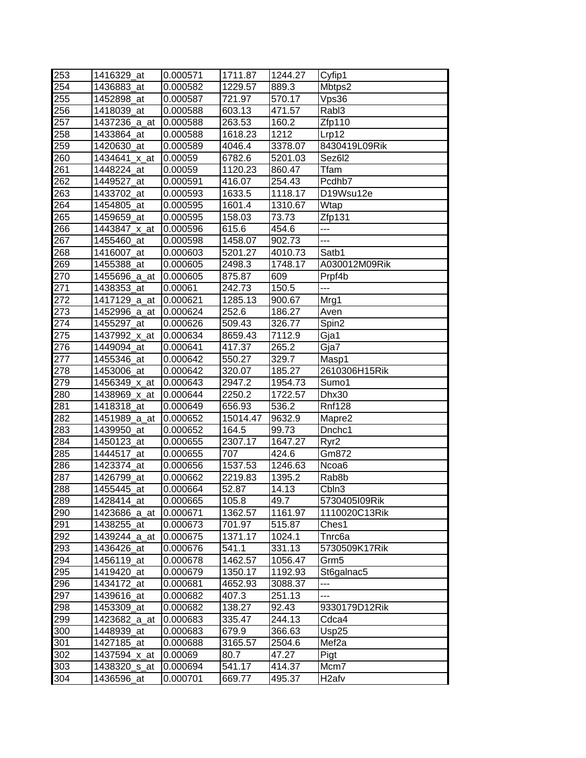| 253 | 1416329 at   | 0.000571 | 1711.87  | 1244.27 | Cyfip1             |
|-----|--------------|----------|----------|---------|--------------------|
| 254 | 1436883_at   | 0.000582 | 1229.57  | 889.3   | Mbtps2             |
| 255 | 1452898_at   | 0.000587 | 721.97   | 570.17  | Vps36              |
| 256 | 1418039_at   | 0.000588 | 603.13   | 471.57  | Rab <sub>13</sub>  |
| 257 | 1437236_a_at | 0.000588 | 263.53   | 160.2   | Zfp110             |
| 258 | 1433864 at   | 0.000588 | 1618.23  | 1212    | Lrp12              |
| 259 | 1420630_at   | 0.000589 | 4046.4   | 3378.07 | 8430419L09Rik      |
| 260 | 1434641_x_at | 0.00059  | 6782.6   | 5201.03 | Sez6l2             |
| 261 | 1448224_at   | 0.00059  | 1120.23  | 860.47  | Tfam               |
| 262 | 1449527 at   | 0.000591 | 416.07   | 254.43  | Pcdhb7             |
| 263 | 1433702_at   | 0.000593 | 1633.5   | 1118.17 | D19Wsu12e          |
| 264 | 1454805 at   | 0.000595 | 1601.4   | 1310.67 | Wtap               |
| 265 | 1459659_at   | 0.000595 | 158.03   | 73.73   | Zfp131             |
| 266 | 1443847 x at | 0.000596 | 615.6    | 454.6   | ---                |
| 267 | 1455460_at   | 0.000598 | 1458.07  | 902.73  | ---                |
| 268 | 1416007_at   | 0.000603 | 5201.27  | 4010.73 | Satb1              |
| 269 | 1455388_at   | 0.000605 | 2498.3   | 1748.17 | A030012M09Rik      |
| 270 | 1455696 a at | 0.000605 | 875.87   | 609     | Prpf4b             |
| 271 | 1438353_at   | 0.00061  | 242.73   | 150.5   | ---                |
| 272 | 1417129_a_at | 0.000621 | 1285.13  | 900.67  | Mrg1               |
| 273 | 1452996_a_at | 0.000624 | 252.6    | 186.27  | Aven               |
| 274 | 1455297 at   | 0.000626 | 509.43   | 326.77  | Spin2              |
| 275 | 1437992_x_at | 0.000634 | 8659.43  | 7112.9  | Gja1               |
| 276 | 1449094 at   | 0.000641 | 417.37   | 265.2   | Gja7               |
| 277 | 1455346_at   | 0.000642 | 550.27   | 329.7   | Masp1              |
| 278 | 1453006 at   | 0.000642 | 320.07   | 185.27  | 2610306H15Rik      |
| 279 | 1456349_x_at | 0.000643 | 2947.2   | 1954.73 | Sumo1              |
| 280 | 1438969 x at | 0.000644 | 2250.2   | 1722.57 | Dhx30              |
| 281 | 1418318_at   | 0.000649 | 656.93   | 536.2   | <b>Rnf128</b>      |
| 282 | 1451989_a_at | 0.000652 | 15014.47 | 9632.9  | Mapre2             |
| 283 | 1439950 at   | 0.000652 | 164.5    | 99.73   | Dnchc1             |
| 284 | 1450123_at   | 0.000655 | 2307.17  | 1647.27 | Ryr <sub>2</sub>   |
| 285 | 1444517 at   | 0.000655 | 707      | 424.6   | Gm872              |
| 286 | 1423374 at   | 0.000656 | 1537.53  | 1246.63 | Ncoa6              |
| 287 | 1426799 at   | 0.000662 | 2219.83  | 1395.2  | Rab <sub>8</sub> b |
| 288 | 1455445_at   | 0.000664 | 52.87    | 14.13   | Cbln3              |
| 289 | 1428414_at   | 0.000665 | 105.8    | 49.7    | 5730405109Rik      |
| 290 | 1423686_a_at | 0.000671 | 1362.57  | 1161.97 | 1110020C13Rik      |
| 291 | 1438255_at   | 0.000673 | 701.97   | 515.87  | Ches1              |
| 292 | 1439244_a_at | 0.000675 | 1371.17  | 1024.1  | Tnrc6a             |
| 293 | 1436426_at   | 0.000676 | 541.1    | 331.13  | 5730509K17Rik      |
| 294 | 1456119_at   | 0.000678 | 1462.57  | 1056.47 | Grm <sub>5</sub>   |
| 295 | 1419420 at   | 0.000679 | 1350.17  | 1192.93 | St6galnac5         |
| 296 | 1434172 at   | 0.000681 | 4652.93  | 3088.37 | ---                |
| 297 | 1439616_at   | 0.000682 | 407.3    | 251.13  | ---                |
| 298 | 1453309 at   | 0.000682 | 138.27   | 92.43   | 9330179D12Rik      |
| 299 | 1423682 a at | 0.000683 | 335.47   | 244.13  | Cdca4              |
| 300 | 1448939_at   | 0.000683 | 679.9    | 366.63  | Usp25              |
| 301 | 1427185_at   | 0.000688 | 3165.57  | 2504.6  | Mef <sub>2a</sub>  |
| 302 | 1437594_x_at | 0.00069  | 80.7     | 47.27   | Pigt               |
| 303 | 1438320_s_at | 0.000694 | 541.17   | 414.37  | Mcm7               |
| 304 | 1436596_at   | 0.000701 | 669.77   | 495.37  | H <sub>2</sub> afv |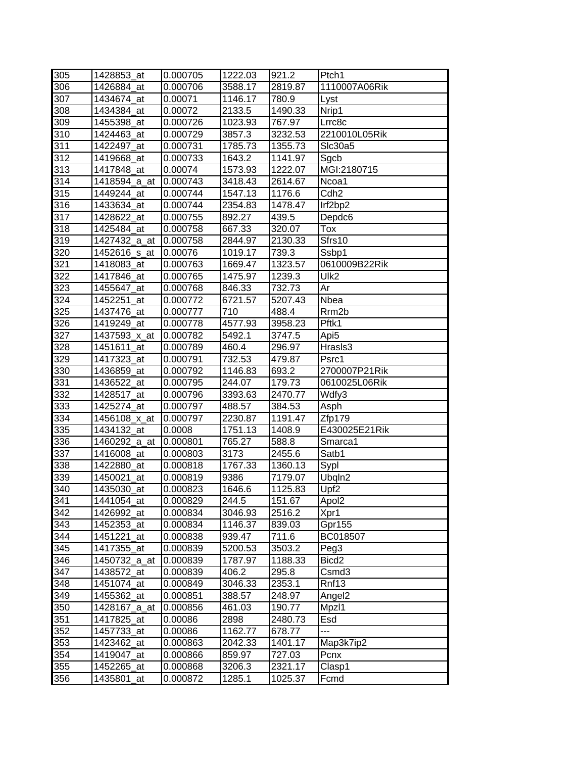| 305              | 1428853 at    | 0.000705 | 1222.03 | 921.2   | Ptch1              |
|------------------|---------------|----------|---------|---------|--------------------|
| 306              | 1426884 at    | 0.000706 | 3588.17 | 2819.87 | 1110007A06Rik      |
| 307              | 1434674 at    | 0.00071  | 1146.17 | 780.9   | Lyst               |
| 308              | 1434384 at    | 0.00072  | 2133.5  | 1490.33 | Nrip1              |
| 309              | 1455398 at    | 0.000726 | 1023.93 | 767.97  | Lrrc8c             |
| $\overline{310}$ | 1424463 at    | 0.000729 | 3857.3  | 3232.53 | 2210010L05Rik      |
| 311              | 1422497_at    | 0.000731 | 1785.73 | 1355.73 | Slc30a5            |
| 312              | 1419668_at    | 0.000733 | 1643.2  | 1141.97 | Sgcb               |
| 313              | 1417848_at    | 0.00074  | 1573.93 | 1222.07 | MGI:2180715        |
| 314              | 1418594_a_at  | 0.000743 | 3418.43 | 2614.67 | Ncoa1              |
| 315              | 1449244_at    | 0.000744 | 1547.13 | 1176.6  | Cdh <sub>2</sub>   |
| 316              | 1433634_at    | 0.000744 | 2354.83 | 1478.47 | Irf2bp2            |
| 317              | 1428622_at    | 0.000755 | 892.27  | 439.5   | Depdc6             |
| 318              | 1425484 at    | 0.000758 | 667.33  | 320.07  | Tox                |
| 319              | 1427432_a_at  | 0.000758 | 2844.97 | 2130.33 | Sfrs10             |
| 320              | 1452616 s at  | 0.00076  | 1019.17 | 739.3   | Ssbp1              |
| 321              | 1418083_at    | 0.000763 | 1669.47 | 1323.57 | 0610009B22Rik      |
| 322              | 1417846 at    | 0.000765 | 1475.97 | 1239.3  | Ulk <sub>2</sub>   |
| 323              | 1455647_at    | 0.000768 | 846.33  | 732.73  | Ar                 |
| 324              | 1452251 at    | 0.000772 | 6721.57 | 5207.43 | Nbea               |
| 325              | 1437476_at    | 0.000777 | 710     | 488.4   | Rrm <sub>2</sub> b |
| 326              | 1419249 at    | 0.000778 | 4577.93 | 3958.23 | Pftk1              |
| 327              | 1437593 x at  | 0.000782 | 5492.1  | 3747.5  | Api <sub>5</sub>   |
| 328              | 1451611 at    | 0.000789 | 460.4   | 296.97  | Hrasls3            |
| 329              | 1417323_at    | 0.000791 | 732.53  | 479.87  | Psrc1              |
| 330              | 1436859_at    | 0.000792 | 1146.83 | 693.2   | 2700007P21Rik      |
| 331              | 1436522_at    | 0.000795 | 244.07  | 179.73  | 0610025L06Rik      |
| 332              | 1428517 at    | 0.000796 | 3393.63 | 2470.77 | Wdfy3              |
| 333              | 1425274_at    | 0.000797 | 488.57  | 384.53  | Asph               |
| 334              | 1456108 x at  | 0.000797 | 2230.87 | 1191.47 | Zfp179             |
| 335              | 1434132 at    | 0.0008   | 1751.13 | 1408.9  | E430025E21Rik      |
| 336              | 1460292_a_at  | 0.000801 | 765.27  | 588.8   | Smarca1            |
| 337              | 1416008 at    | 0.000803 | 3173    | 2455.6  | Satb1              |
| 338              | 1422880 at    | 0.000818 | 1767.33 | 1360.13 | Sypl               |
| 339              | 1450021<br>at | 0.000819 | 9386    | 7179.07 | Ubqln2             |
| 340              | 1435030_at    | 0.000823 | 1646.6  | 1125.83 | Upf <sub>2</sub>   |
| 341              | 1441054 at    | 0.000829 | 244.5   | 151.67  | Apol2              |
| 342              | 1426992_at    | 0.000834 | 3046.93 | 2516.2  | Xpr1               |
| 343              | 1452353_at    | 0.000834 | 1146.37 | 839.03  | Gpr155             |
| 344              | 1451221_at    | 0.000838 | 939.47  | 711.6   | BC018507           |
| 345              | 1417355_at    | 0.000839 | 5200.53 | 3503.2  | Peg3               |
| 346              | 1450732_a_at  | 0.000839 | 1787.97 | 1188.33 | Bicd <sub>2</sub>  |
| 347              | 1438572_at    | 0.000839 | 406.2   | 295.8   | Csmd3              |
| 348              | 1451074 at    | 0.000849 | 3046.33 | 2353.1  | Rnf13              |
| 349              | 1455362_at    | 0.000851 | 388.57  | 248.97  | Angel <sub>2</sub> |
| 350              | 1428167 a at  | 0.000856 | 461.03  | 190.77  | Mpzl1              |
| 351              | 1417825_at    | 0.00086  | 2898    | 2480.73 | Esd                |
| 352              | 1457733_at    | 0.00086  | 1162.77 | 678.77  | ---                |
| 353              | 1423462_at    | 0.000863 | 2042.33 | 1401.17 | Map3k7ip2          |
| 354              | 1419047_at    | 0.000866 | 859.97  | 727.03  | Pcnx               |
| 355              | 1452265_at    | 0.000868 | 3206.3  | 2321.17 | Clasp1             |
| 356              | 1435801_at    | 0.000872 | 1285.1  | 1025.37 | Fcmd               |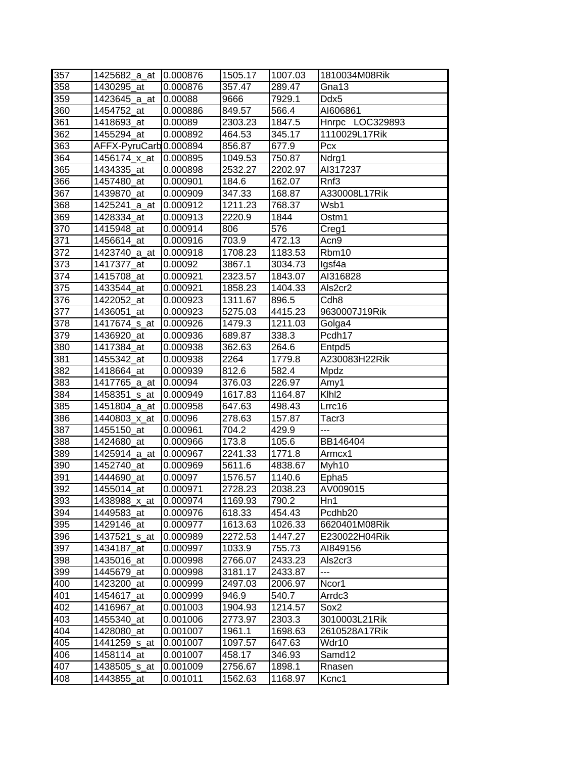| 357        | 1425682 a at          | 10.000876 | 1505.17 | 1007.03 | 1810034M08Rik       |
|------------|-----------------------|-----------|---------|---------|---------------------|
| 358        | 1430295_at            | 0.000876  | 357.47  | 289.47  | Gna13               |
| 359        | 1423645_a_at          | 0.00088   | 9666    | 7929.1  | Ddx5                |
| 360        | 1454752_at            | 0.000886  | 849.57  | 566.4   | AI606861            |
| 361        | 1418693_at            | 0.00089   | 2303.23 | 1847.5  | Hnrpc LOC329893     |
| 362        | 1455294_at            | 0.000892  | 464.53  | 345.17  | 1110029L17Rik       |
| 363        | AFFX-PyruCarb0.000894 |           | 856.87  | 677.9   | Pcx                 |
| 364        | 1456174_x_at          | 0.000895  | 1049.53 | 750.87  | Ndrg1               |
| 365        | 1434335_at            | 0.000898  | 2532.27 | 2202.97 | AI317237            |
| 366        | 1457480_at            | 0.000901  | 184.6   | 162.07  | Rnf3                |
| 367        | 1439870 at            | 0.000909  | 347.33  | 168.87  | A330008L17Rik       |
| 368        | 1425241 a at          | 0.000912  | 1211.23 | 768.37  | Wsb1                |
| 369        | 1428334_at            | 0.000913  | 2220.9  | 1844    | Ostm1               |
| 370        | 1415948_at            | 0.000914  | 806     | 576     | Creg1               |
| 371        | 1456614_at            | 0.000916  | 703.9   | 472.13  | Acn9                |
| 372        | 1423740 a at          | 0.000918  | 1708.23 | 1183.53 | Rbm10               |
| 373        | 1417377_at            | 0.00092   | 3867.1  | 3034.73 | lgsf4a              |
| 374        | 1415708 at            | 0.000921  | 2323.57 | 1843.07 | AI316828            |
| 375        | 1433544_at            | 0.000921  | 1858.23 | 1404.33 | Als2cr2             |
| 376        | 1422052 at            | 0.000923  | 1311.67 | 896.5   | Cdh <sub>8</sub>    |
| 377        | 1436051_at            | 0.000923  | 5275.03 | 4415.23 | 9630007J19Rik       |
| 378        | 1417674_s_at          | 0.000926  | 1479.3  | 1211.03 | Golga4              |
| 379        | 1436920 at            | 0.000936  | 689.87  | 338.3   | Pcdh <sub>17</sub>  |
| 380        | 1417384 at            | 0.000938  | 362.63  | 264.6   | Entpd5              |
| 381        | 1455342_at            | 0.000938  | 2264    | 1779.8  | A230083H22Rik       |
| 382        | 1418664 at            | 0.000939  | 812.6   | 582.4   | Mpdz                |
| 383        | 1417765_a_at          | 0.00094   | 376.03  | 226.97  | Amy1                |
| 384        | 1458351_s_at          | 0.000949  | 1617.83 | 1164.87 | Klh <sub>l2</sub>   |
| 385        | 1451804_a_at          | 0.000958  | 647.63  | 498.43  | Lrrc16              |
| 386        | 1440803_x_at          | 0.00096   | 278.63  | 157.87  | Tacr <sub>3</sub>   |
| 387        | 1455150_at            | 0.000961  | 704.2   | 429.9   | ---                 |
| 388        | 1424680_at            | 0.000966  | 173.8   | 105.6   | BB146404            |
| 389        | 1425914_a_at          | 0.000967  | 2241.33 | 1771.8  | Armcx1              |
| 390        | 1452740_at            | 0.000969  | 5611.6  | 4838.67 | Myh10               |
| 391        | 1444690_at            |           |         |         |                     |
| 392        |                       | 0.00097   | 1576.57 | 1140.6  | Epha <sub>5</sub>   |
| 393        | 1455014_at            | 0.000971  | 2728.23 | 2038.23 | AV009015            |
|            | 1438988_x_at          | 0.000974  | 1169.93 | 790.2   | Hn1                 |
| 394        | 1449583 at            | 0.000976  | 618.33  | 454.43  | Pcdhb <sub>20</sub> |
| 395        | 1429146_at            | 0.000977  | 1613.63 | 1026.33 | 6620401M08Rik       |
| 396        | 1437521_s_at          | 0.000989  | 2272.53 | 1447.27 | E230022H04Rik       |
| 397        | 1434187 at            | 0.000997  | 1033.9  | 755.73  | AI849156            |
| 398        | 1435016 at            | 0.000998  | 2766.07 | 2433.23 | Als2cr3             |
| 399        | 1445679_at            | 0.000998  | 3181.17 | 2433.87 | ---                 |
| 400        | 1423200 at            | 0.000999  | 2497.03 | 2006.97 | Ncor1               |
| 401        | 1454617 at            | 0.000999  | 946.9   | 540.7   | Arrdc3              |
| 402        | 1416967 at            | 0.001003  | 1904.93 | 1214.57 | Sox <sub>2</sub>    |
| 403        | 1455340_at            | 0.001006  | 2773.97 | 2303.3  | 3010003L21Rik       |
| 404        | 1428080_at            | 0.001007  | 1961.1  | 1698.63 | 2610528A17Rik       |
| 405        | 1441259_s_at          | 0.001007  | 1097.57 | 647.63  | Wdr10               |
| 406        | 1458114_at            | 0.001007  | 458.17  | 346.93  | Samd12              |
| 407<br>408 | 1438505_s_at          | 0.001009  | 2756.67 | 1898.1  | Rnasen              |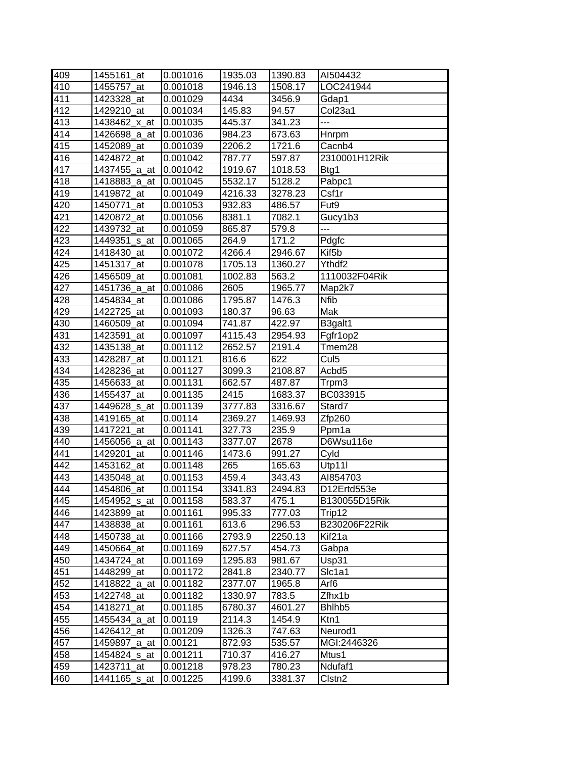| 409 | 1455161 at               | 0.001016 | 1935.03 | 1390.83 | AI504432            |
|-----|--------------------------|----------|---------|---------|---------------------|
| 410 | 1455757_at               | 0.001018 | 1946.13 | 1508.17 | LOC241944           |
| 411 | 1423328_at               | 0.001029 | 4434    | 3456.9  | Gdap1               |
| 412 | 1429210_at               | 0.001034 | 145.83  | 94.57   | Col <sub>23a1</sub> |
| 413 | 1438462_x_at             | 0.001035 | 445.37  | 341.23  | ---                 |
| 414 | 1426698 a at             | 0.001036 | 984.23  | 673.63  | Hnrpm               |
| 415 | 1452089_at               | 0.001039 | 2206.2  | 1721.6  | Cacnb4              |
| 416 | 1424872_at               | 0.001042 | 787.77  | 597.87  | 2310001H12Rik       |
| 417 | 1437455_a_at             | 0.001042 | 1919.67 | 1018.53 | Btg1                |
| 418 | 1418883_a_at             | 0.001045 | 5532.17 | 5128.2  | Pabpc1              |
| 419 | 1419872_at               | 0.001049 | 4216.33 | 3278.23 | Csf1r               |
| 420 | 1450771_at               | 0.001053 | 932.83  | 486.57  | Fut9                |
| 421 | 1420872_at               | 0.001056 | 8381.1  | 7082.1  | Gucy1b3             |
| 422 | 1439732_at               | 0.001059 | 865.87  | 579.8   | ---                 |
| 423 | 1449351_s_at             | 0.001065 | 264.9   | 171.2   | Pdgfc               |
| 424 | 1418430 at               | 0.001072 | 4266.4  | 2946.67 | Kif <sub>5</sub> b  |
| 425 | 1451317_at               | 0.001078 | 1705.13 | 1360.27 | Ythdf2              |
| 426 | 1456509_at               | 0.001081 | 1002.83 | 563.2   | 1110032F04Rik       |
| 427 | 1451736 a at             | 0.001086 | 2605    | 1965.77 | Map2k7              |
| 428 | 1454834_at               | 0.001086 | 1795.87 | 1476.3  | <b>Nfib</b>         |
| 429 | 1422725_at               | 0.001093 | 180.37  | 96.63   | Mak                 |
| 430 | 1460509_at               | 0.001094 | 741.87  | 422.97  | B3galt1             |
| 431 | 1423591 at               | 0.001097 | 4115.43 | 2954.93 | Fgfr1op2            |
| 432 | 1435138_at               | 0.001112 | 2652.57 | 2191.4  | Tmem28              |
| 433 | 1428287_at               | 0.001121 | 816.6   | 622     | Cul <sub>5</sub>    |
| 434 | 1428236_at               | 0.001127 | 3099.3  | 2108.87 | Acbd <sub>5</sub>   |
| 435 | 1456633_at               | 0.001131 | 662.57  | 487.87  | Trpm3               |
| 436 | 1455437 at               | 0.001135 | 2415    | 1683.37 | BC033915            |
| 437 | 1449628_s_at             | 0.001139 | 3777.83 | 3316.67 | Stard7              |
| 438 | 1419165_at               | 0.00114  | 2369.27 | 1469.93 | Zfp260              |
| 439 | 1417221_at               | 0.001141 | 327.73  | 235.9   | Ppm1a               |
| 440 | 1456056 a at             | 0.001143 | 3377.07 | 2678    | D6Wsu116e           |
| 441 | 1429201_at               | 0.001146 | 1473.6  | 991.27  | Cyld                |
| 442 | 1453162_at               | 0.001148 | 265     | 165.63  | Utp11I              |
| 443 | 1435048_at               | 0.001153 | 459.4   | 343.43  | AI854703            |
| 444 | 1454806_at               | 0.001154 | 3341.83 | 2494.83 | D12Ertd553e         |
| 445 | 1454952 <sub>_S_at</sub> | 0.001158 | 583.37  | 475.1   | B130055D15Rik       |
| 446 | 1423899_at               | 0.001161 | 995.33  | 777.03  | Trip12              |
| 447 | 1438838 at               | 0.001161 | 613.6   | 296.53  | B230206F22Rik       |
| 448 | 1450738_at               | 0.001166 | 2793.9  | 2250.13 | Kif <sub>21</sub> a |
| 449 | 1450664 at               | 0.001169 | 627.57  | 454.73  | Gabpa               |
| 450 | 1434724_at               | 0.001169 | 1295.83 | 981.67  | Usp31               |
| 451 | 1448299_at               | 0.001172 | 2841.8  | 2340.77 | SIc1a1              |
| 452 | 1418822_a_at             | 0.001182 | 2377.07 | 1965.8  | Arf6                |
| 453 | 1422748_at               | 0.001182 | 1330.97 | 783.5   | Zfhx1b              |
| 454 | 1418271_at               | 0.001185 | 6780.37 | 4601.27 | Bhlhb <sub>5</sub>  |
| 455 | 1455434_a_at             | 0.00119  | 2114.3  | 1454.9  | Ktn1                |
| 456 | 1426412_at               | 0.001209 | 1326.3  | 747.63  | Neurod1             |
| 457 | 1459897_a_at             | 0.00121  | 872.93  | 535.57  | MGI:2446326         |
| 458 | 1454824_s_at             | 0.001211 | 710.37  | 416.27  | Mtus1               |
| 459 | 1423711_at               | 0.001218 | 978.23  | 780.23  | Ndufaf1             |
| 460 | 1441165_s_at             | 0.001225 | 4199.6  | 3381.37 | Clstn <sub>2</sub>  |
|     |                          |          |         |         |                     |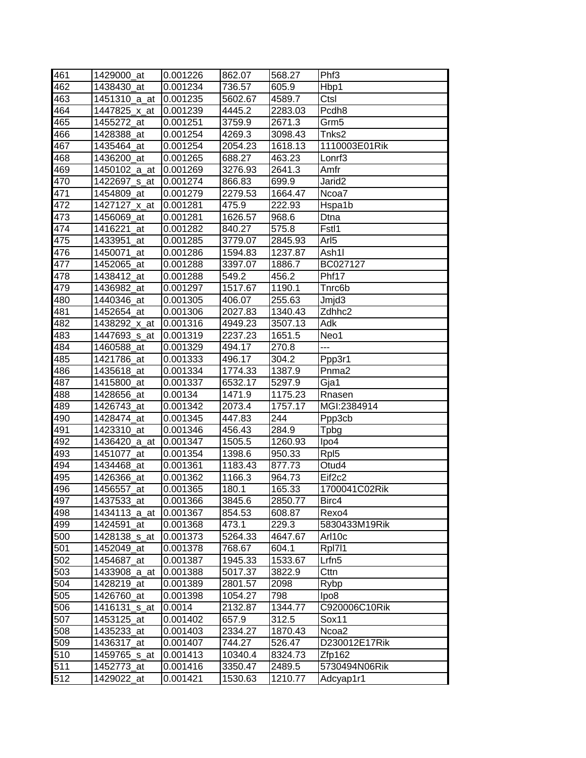| 461              | 1429000_at               | 0.001226 | 862.07  | 568.27  | Phf <sub>3</sub>   |
|------------------|--------------------------|----------|---------|---------|--------------------|
| 462              | 1438430 at               | 0.001234 | 736.57  | 605.9   | Hbp1               |
| 463              | 1451310 a at             | 0.001235 | 5602.67 | 4589.7  | Ctsl               |
| 464              | 1447825_x_at             | 0.001239 | 4445.2  | 2283.03 | Pcdh <sub>8</sub>  |
| 465              | 1455272_at               | 0.001251 | 3759.9  | 2671.3  | Grm <sub>5</sub>   |
| 466              | 1428388_at               | 0.001254 | 4269.3  | 3098.43 | Tnks2              |
| 467              | 1435464_at               | 0.001254 | 2054.23 | 1618.13 | 1110003E01Rik      |
| 468              | 1436200_at               | 0.001265 | 688.27  | 463.23  | Lonrf <sub>3</sub> |
| 469              | 1450102 a at             | 0.001269 | 3276.93 | 2641.3  | Amfr               |
| 470              | 1422697 <sub>_S_at</sub> | 0.001274 | 866.83  | 699.9   | Jarid <sub>2</sub> |
| 471              | 1454809_at               | 0.001279 | 2279.53 | 1664.47 | Ncoa7              |
| 472              | 1427127 x at             | 0.001281 | 475.9   | 222.93  | Hspa1b             |
| 473              | 1456069_at               | 0.001281 | 1626.57 | 968.6   | Dtna               |
| 474              | 1416221_at               | 0.001282 | 840.27  | 575.8   | Fstl1              |
| 475              | 1433951_at               | 0.001285 | 3779.07 | 2845.93 | Arl <sub>5</sub>   |
| 476              | 1450071_at               | 0.001286 | 1594.83 | 1237.87 | Ash1I              |
| 477              | 1452065_at               | 0.001288 | 3397.07 | 1886.7  | BC027127           |
| 478              | 1438412_at               | 0.001288 | 549.2   | 456.2   | Phf17              |
| 479              | 1436982_at               | 0.001297 | 1517.67 | 1190.1  | Tnrc6b             |
| 480              | 1440346_at               | 0.001305 | 406.07  | 255.63  | Jmjd3              |
| 481              | 1452654 at               | 0.001306 | 2027.83 | 1340.43 | Zdhhc2             |
| $48\overline{2}$ | 1438292 x at             | 0.001316 | 4949.23 | 3507.13 | Adk                |
| 483              | 1447693 s at             | 0.001319 | 2237.23 | 1651.5  | Neo1               |
| 484              | 1460588_at               | 0.001329 | 494.17  | 270.8   | ---                |
| 485              | 1421786_at               | 0.001333 | 496.17  | 304.2   | Ppp3r1             |
| 486              | 1435618_at               | 0.001334 | 1774.33 | 1387.9  | Pnma <sub>2</sub>  |
| 487              | 1415800_at               | 0.001337 | 6532.17 | 5297.9  | Gja1               |
| 488              | 1428656_at               | 0.00134  | 1471.9  | 1175.23 | Rnasen             |
| 489              | 1426743_at               | 0.001342 | 2073.4  | 1757.17 | MGI:2384914        |
| 490              | 1428474_at               | 0.001345 | 447.83  | 244     | Ppp3cb             |
| 491              | 1423310_at               | 0.001346 | 456.43  | 284.9   | Tpbg               |
| 492              | 1436420_a_at             | 0.001347 | 1505.5  | 1260.93 | lpo4               |
| 493              | 1451077_at               | 0.001354 | 1398.6  | 950.33  | Rpl <sub>5</sub>   |
| 494              | 1434468 at               | 0.001361 | 1183.43 | 877.73  | Otud4              |
| 495              | 1426366_at               | 0.001362 | 1166.3  | 964.73  | Eif <sub>2c2</sub> |
| 496              | 1456557 at               | 0.001365 | 180.1   | 165.33  | 1700041C02Rik      |
| 497              | 1437533_at               | 0.001366 | 3845.6  | 2850.77 | Birc4              |
| 498              | 1434113_a_at             | 0.001367 | 854.53  | 608.87  | Rexo4              |
| 499              | 1424591_at               | 0.001368 | 473.1   | 229.3   | 5830433M19Rik      |
| 500              | 1428138 s at             | 0.001373 | 5264.33 | 4647.67 | Arl10c             |
| 501              | 1452049_at               | 0.001378 | 768.67  | 604.1   | Rpl711             |
| 502              | 1454687_at               | 0.001387 | 1945.33 | 1533.67 | Lrfn <sub>5</sub>  |
| 503              | 1433908_a_at             | 0.001388 | 5017.37 | 3822.9  | Cttn               |
| 504              | 1428219_at               | 0.001389 | 2801.57 | 2098    | Rybp               |
| 505              | 1426760_at               | 0.001398 | 1054.27 | 798     | Ipo8               |
| 506              | 1416131_s_at             | 0.0014   | 2132.87 | 1344.77 | C920006C10Rik      |
| 507              | 1453125_at               | 0.001402 | 657.9   | 312.5   | Sox11              |
| 508              | 1435233_at               | 0.001403 | 2334.27 | 1870.43 | Ncoa2              |
| 509              | 1436317_at               | 0.001407 | 744.27  | 526.47  | D230012E17Rik      |
| 510              | 1459765_s_at             | 0.001413 | 10340.4 | 8324.73 | Zfp162             |
| 511              | 1452773_at               | 0.001416 | 3350.47 | 2489.5  | 5730494N06Rik      |
| $51\overline{2}$ | 1429022_at               | 0.001421 | 1530.63 | 1210.77 | Adcyap1r1          |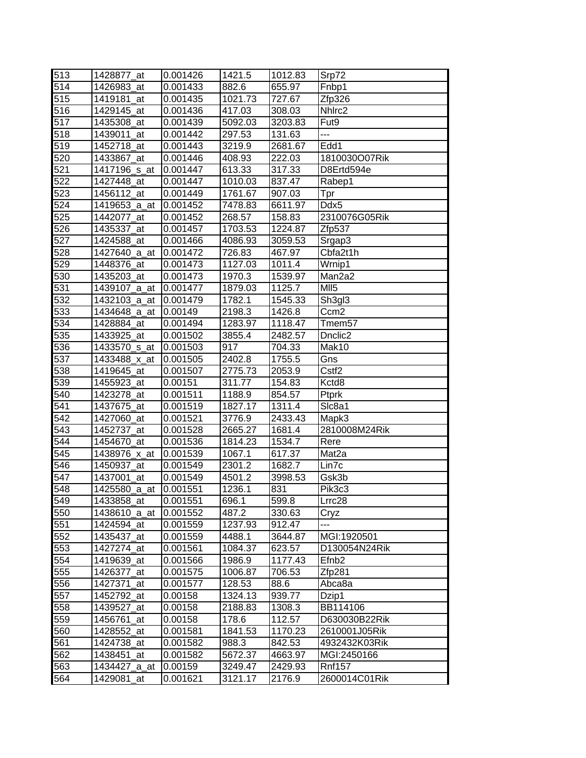| 513 | 1428877_at   | 0.001426 | 1421.5  | 1012.83 | Srp72               |
|-----|--------------|----------|---------|---------|---------------------|
| 514 | 1426983 at   | 0.001433 | 882.6   | 655.97  | Fnbp1               |
| 515 | 1419181_at   | 0.001435 | 1021.73 | 727.67  | Zfp326              |
| 516 | 1429145 at   | 0.001436 | 417.03  | 308.03  | Nhirc <sub>2</sub>  |
| 517 | 1435308_at   | 0.001439 | 5092.03 | 3203.83 | Fut <sub>9</sub>    |
| 518 | 1439011_at   | 0.001442 | 297.53  | 131.63  | ---                 |
| 519 | 1452718_at   | 0.001443 | 3219.9  | 2681.67 | Edd1                |
| 520 | 1433867_at   | 0.001446 | 408.93  | 222.03  | 1810030O07Rik       |
| 521 | 1417196_s_at | 0.001447 | 613.33  | 317.33  | D8Ertd594e          |
| 522 | 1427448_at   | 0.001447 | 1010.03 | 837.47  | Rabep1              |
| 523 | 1456112_at   | 0.001449 | 1761.67 | 907.03  | Tpr                 |
| 524 | 1419653 a at | 0.001452 | 7478.83 | 6611.97 | Ddx5                |
| 525 | 1442077_at   | 0.001452 | 268.57  | 158.83  | 2310076G05Rik       |
| 526 | 1435337_at   | 0.001457 | 1703.53 | 1224.87 | Zfp537              |
| 527 | 1424588_at   | 0.001466 | 4086.93 | 3059.53 | Srgap3              |
| 528 | 1427640_a_at | 0.001472 | 726.83  | 467.97  | Cbfa2t1h            |
| 529 | 1448376_at   | 0.001473 | 1127.03 | 1011.4  | Wrnip1              |
| 530 | 1435203_at   | 0.001473 | 1970.3  | 1539.97 | Man2a2              |
| 531 | 1439107_a_at | 0.001477 | 1879.03 | 1125.7  | MI <sub>5</sub>     |
| 532 | 1432103 a at | 0.001479 | 1782.1  | 1545.33 | Sh3gl3              |
| 533 | 1434648_a_at | 0.00149  | 2198.3  | 1426.8  | Ccm <sub>2</sub>    |
| 534 | 1428884_at   | 0.001494 | 1283.97 | 1118.47 | Tmem <sub>57</sub>  |
| 535 | 1433925_at   | 0.001502 | 3855.4  | 2482.57 | Dnclic <sub>2</sub> |
| 536 | 1433570_s_at | 0.001503 | 917     | 704.33  | Mak10               |
| 537 | 1433488_x_at | 0.001505 | 2402.8  | 1755.5  | Gns                 |
| 538 | 1419645_at   | 0.001507 | 2775.73 | 2053.9  | Cstf <sub>2</sub>   |
| 539 | 1455923_at   | 0.00151  | 311.77  | 154.83  | Kctd8               |
| 540 | 1423278_at   | 0.001511 | 1188.9  | 854.57  | Ptprk               |
| 541 | 1437675_at   | 0.001519 | 1827.17 | 1311.4  | Slc8a1              |
| 542 | 1427060_at   | 0.001521 | 3776.9  | 2433.43 | Mapk3               |
| 543 | 1452737_at   | 0.001528 | 2665.27 | 1681.4  | 2810008M24Rik       |
| 544 | 1454670 at   | 0.001536 | 1814.23 | 1534.7  | Rere                |
| 545 | 1438976_x_at | 0.001539 | 1067.1  | 617.37  | Mat <sub>2a</sub>   |
| 546 | 1450937_at   | 0.001549 | 2301.2  | 1682.7  | Lin7c               |
| 547 | 1437001 at   | 0.001549 | 4501.2  | 3998.53 | Gsk3b               |
| 548 | 1425580_a_at | 0.001551 | 1236.1  | 831     | Pik3c3              |
| 549 | 1433858_at   | 0.001551 | 696.1   | 599.8   | Lrrc28              |
| 550 | 1438610 a at | 0.001552 | 487.2   | 330.63  | Cryz                |
| 551 | 1424594 at   | 0.001559 | 1237.93 | 912.47  | ---                 |
| 552 | 1435437_at   | 0.001559 | 4488.1  | 3644.87 | MGI:1920501         |
| 553 | 1427274_at   | 0.001561 | 1084.37 | 623.57  | D130054N24Rik       |
| 554 | 1419639_at   | 0.001566 | 1986.9  | 1177.43 | Efnb <sub>2</sub>   |
| 555 | 1426377_at   | 0.001575 | 1006.87 | 706.53  | Zfp281              |
| 556 | 1427371_at   | 0.001577 | 128.53  | 88.6    | Abca8a              |
| 557 | 1452792_at   | 0.00158  | 1324.13 | 939.77  | Dzip1               |
| 558 | 1439527_at   | 0.00158  | 2188.83 | 1308.3  | BB114106            |
| 559 | 1456761_at   | 0.00158  | 178.6   | 112.57  | D630030B22Rik       |
| 560 | 1428552_at   | 0.001581 | 1841.53 | 1170.23 | 2610001J05Rik       |
| 561 | 1424738_at   | 0.001582 | 988.3   | 842.53  | 4932432K03Rik       |
| 562 | 1438451_at   | 0.001582 | 5672.37 | 4663.97 | MGI:2450166         |
| 563 | 1434427_a_at | 0.00159  | 3249.47 | 2429.93 | <b>Rnf157</b>       |
| 564 | 1429081_at   | 0.001621 | 3121.17 | 2176.9  | 2600014C01Rik       |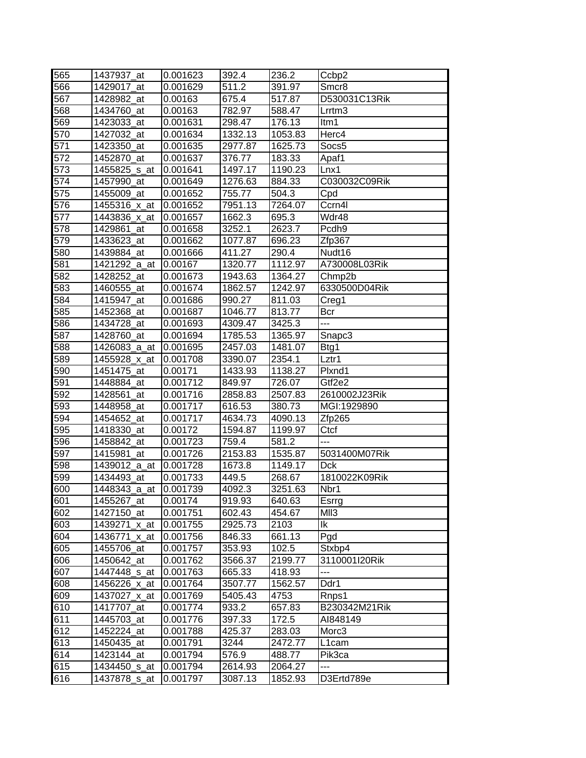| 565 | 1437937 at               | 0.001623 | 392.4   | 236.2   | Ccbp2              |
|-----|--------------------------|----------|---------|---------|--------------------|
| 566 | 1429017 at               | 0.001629 | 511.2   | 391.97  | Smcr8              |
| 567 | 1428982_at               | 0.00163  | 675.4   | 517.87  | D530031C13Rik      |
| 568 | 1434760_at               | 0.00163  | 782.97  | 588.47  | Lrrtm <sub>3</sub> |
| 569 | 1423033 at               | 0.001631 | 298.47  | 176.13  | ltm1               |
| 570 | 1427032_at               | 0.001634 | 1332.13 | 1053.83 | Herc4              |
| 571 | 1423350_at               | 0.001635 | 2977.87 | 1625.73 | Socs5              |
| 572 | 1452870_at               | 0.001637 | 376.77  | 183.33  | Apaf1              |
| 573 | 1455825_s_at             | 0.001641 | 1497.17 | 1190.23 | Lnx1               |
| 574 | 1457990 at               | 0.001649 | 1276.63 | 884.33  | C030032C09Rik      |
| 575 | 1455009 at               | 0.001652 | 755.77  | 504.3   | Cpd                |
| 576 | 1455316_x_at             | 0.001652 | 7951.13 | 7264.07 | Ccrn4l             |
| 577 | 1443836_x_at             | 0.001657 | 1662.3  | 695.3   | Wdr48              |
| 578 | 1429861_at               | 0.001658 | 3252.1  | 2623.7  | Pcdh <sub>9</sub>  |
| 579 | 1433623_at               | 0.001662 | 1077.87 | 696.23  | Zfp367             |
| 580 | 1439884_at               | 0.001666 | 411.27  | 290.4   | Nudt <sub>16</sub> |
| 581 | 1421292_a_at             | 0.00167  | 1320.77 | 1112.97 | A730008L03Rik      |
| 582 | 1428252 at               | 0.001673 | 1943.63 | 1364.27 | Chmp2b             |
| 583 | 1460555_at               | 0.001674 | 1862.57 | 1242.97 | 6330500D04Rik      |
| 584 | 1415947 at               | 0.001686 | 990.27  | 811.03  | Creg1              |
| 585 | 1452368_at               | 0.001687 | 1046.77 | 813.77  | <b>Bcr</b>         |
| 586 | 1434728 at               | 0.001693 | 4309.47 | 3425.3  | ---                |
| 587 | 1428760_at               | 0.001694 | 1785.53 | 1365.97 | Snapc3             |
| 588 | 1426083_a_at             | 0.001695 | 2457.03 | 1481.07 | Btg1               |
| 589 | 1455928_x_at             | 0.001708 | 3390.07 | 2354.1  | Lztr1              |
| 590 | 1451475_at               | 0.00171  | 1433.93 | 1138.27 | Plxnd1             |
| 591 | 1448884_at               | 0.001712 | 849.97  | 726.07  | Gtf2e2             |
| 592 | 1428561 at               | 0.001716 | 2858.83 | 2507.83 | 2610002J23Rik      |
| 593 | 1448958_at               | 0.001717 | 616.53  | 380.73  | MGI:1929890        |
| 594 | 1454652_at               | 0.001717 | 4634.73 | 4090.13 | Zfp265             |
| 595 | 1418330_at               | 0.00172  | 1594.87 | 1199.97 | Ctcf               |
| 596 | 1458842_at               | 0.001723 | 759.4   | 581.2   | ---                |
| 597 | 1415981_at               | 0.001726 | 2153.83 | 1535.87 | 5031400M07Rik      |
| 598 | 1439012_a_at             | 0.001728 | 1673.8  | 1149.17 | <b>Dck</b>         |
| 599 | 1434493_at               | 0.001733 | 449.5   | 268.67  | 1810022K09Rik      |
| 600 | 1448343_a_at             | 0.001739 | 4092.3  | 3251.63 | Nbr1               |
| 601 | 1455267 at               | 0.00174  | 919.93  | 640.63  | Esrrg              |
| 602 | 1427150_at               | 0.001751 | 602.43  | 454.67  | MII3               |
| 603 | 1439271_x_at             | 0.001755 | 2925.73 | 2103    | lk                 |
| 604 | 1436771_x_at             | 0.001756 | 846.33  | 661.13  | Pgd                |
| 605 | 1455706_at               | 0.001757 | 353.93  | 102.5   | Stxbp4             |
| 606 | 1450642 at               | 0.001762 | 3566.37 | 2199.77 | 3110001I20Rik      |
| 607 | 1447448 <sub>_S_at</sub> | 0.001763 | 665.33  | 418.93  | $\overline{a}$     |
| 608 | 1456226_x_at             | 0.001764 | 3507.77 | 1562.57 | Ddr1               |
| 609 | 1437027 x at             | 0.001769 | 5405.43 | 4753    | Rnps1              |
| 610 | 1417707_at               | 0.001774 | 933.2   | 657.83  | B230342M21Rik      |
| 611 | 1445703_at               | 0.001776 | 397.33  | 172.5   | AI848149           |
| 612 | 1452224_at               | 0.001788 | 425.37  | 283.03  | Morc3              |
| 613 | 1450435_at               | 0.001791 | 3244    | 2472.77 | L1cam              |
| 614 | 1423144_at               | 0.001794 | 576.9   | 488.77  | Pik3ca             |
| 615 | 1434450_s_at             | 0.001794 | 2614.93 | 2064.27 | ---                |
| 616 | 1437878_s_at             | 0.001797 | 3087.13 | 1852.93 | D3Ertd789e         |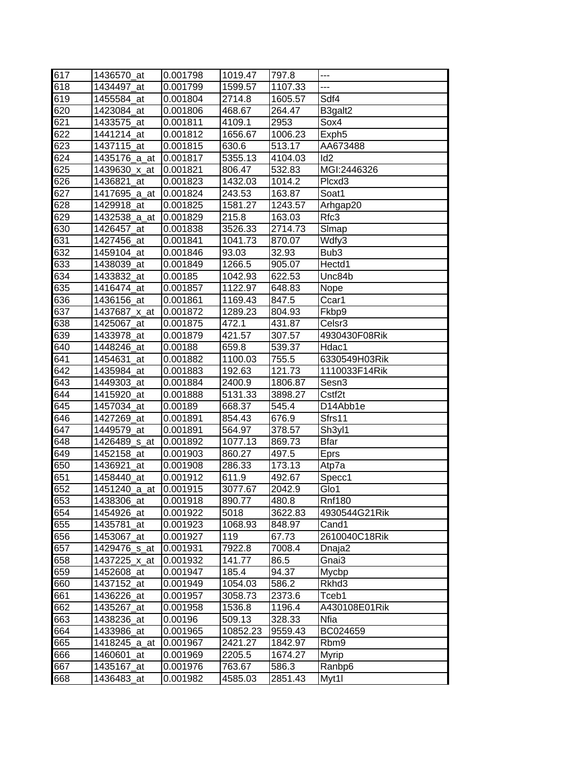| 617 | 1436570 at   | 0.001798 | 1019.47  | 797.8   | $\overline{a}$     |
|-----|--------------|----------|----------|---------|--------------------|
| 618 | 1434497_at   | 0.001799 | 1599.57  | 1107.33 | ---                |
| 619 | 1455584_at   | 0.001804 | 2714.8   | 1605.57 | Sdf4               |
| 620 | 1423084_at   | 0.001806 | 468.67   | 264.47  | B3galt2            |
| 621 | 1433575_at   | 0.001811 | 4109.1   | 2953    | Sox4               |
| 622 | 1441214_at   | 0.001812 | 1656.67  | 1006.23 | Exph <sub>5</sub>  |
| 623 | 1437115_at   | 0.001815 | 630.6    | 513.17  | AA673488           |
| 624 | 1435176_a_at | 0.001817 | 5355.13  | 4104.03 | Id <sub>2</sub>    |
| 625 | 1439630_x_at | 0.001821 | 806.47   | 532.83  | MGI:2446326        |
| 626 | 1436821_at   | 0.001823 | 1432.03  | 1014.2  | Plcxd <sub>3</sub> |
| 627 | 1417695_a_at | 0.001824 | 243.53   | 163.87  | Soat1              |
| 628 | 1429918_at   | 0.001825 | 1581.27  | 1243.57 | Arhgap20           |
| 629 | 1432538_a_at | 0.001829 | 215.8    | 163.03  | Rfc3               |
| 630 | 1426457_at   | 0.001838 | 3526.33  | 2714.73 | Slmap              |
| 631 | 1427456_at   | 0.001841 | 1041.73  | 870.07  | Wdfy3              |
| 632 | 1459104_at   | 0.001846 | 93.03    | 32.93   | Bub3               |
| 633 | 1438039_at   | 0.001849 | 1266.5   | 905.07  | Hectd1             |
| 634 | 1433832_at   | 0.00185  | 1042.93  | 622.53  | Unc84b             |
| 635 | 1416474_at   | 0.001857 | 1122.97  | 648.83  | Nope               |
| 636 | 1436156_at   | 0.001861 | 1169.43  | 847.5   | Ccar1              |
| 637 | 1437687 x at | 0.001872 | 1289.23  | 804.93  | Fkbp9              |
| 638 | 1425067_at   | 0.001875 | 472.1    | 431.87  | Celsr <sub>3</sub> |
| 639 | 1433978_at   | 0.001879 | 421.57   | 307.57  | 4930430F08Rik      |
| 640 | 1448246 at   | 0.00188  | 659.8    | 539.37  | Hdac1              |
| 641 | 1454631_at   | 0.001882 | 1100.03  | 755.5   | 6330549H03Rik      |
| 642 | 1435984_at   | 0.001883 | 192.63   | 121.73  | 1110033F14Rik      |
| 643 | 1449303_at   | 0.001884 | 2400.9   | 1806.87 | Sesn3              |
| 644 | 1415920 at   | 0.001888 | 5131.33  | 3898.27 | Cstf <sub>2t</sub> |
| 645 | 1457034_at   | 0.00189  | 668.37   | 545.4   | D14Abb1e           |
| 646 | 1427269_at   | 0.001891 | 854.43   | 676.9   | Sfrs11             |
| 647 | 1449579_at   | 0.001891 | 564.97   | 378.57  | Sh3yl1             |
| 648 | 1426489 s at | 0.001892 | 1077.13  | 869.73  | <b>Bfar</b>        |
| 649 | 1452158_at   | 0.001903 | 860.27   | 497.5   | <b>Eprs</b>        |
| 650 | 1436921_at   | 0.001908 | 286.33   | 173.13  | Atp7a              |
| 651 | 1458440_at   | 0.001912 | 611.9    | 492.67  | Specc1             |
| 652 | 1451240_a_at | 0.001915 | 3077.67  | 2042.9  | Glo1               |
| 653 | 1438306 at   | 0.001918 | 890.77   | 480.8   | <b>Rnf180</b>      |
| 654 | 1454926_at   | 0.001922 | 5018     | 3622.83 | 4930544G21Rik      |
| 655 | 1435781_at   | 0.001923 | 1068.93  | 848.97  | Cand1              |
| 656 | 1453067_at   | 0.001927 | 119      | 67.73   | 2610040C18Rik      |
| 657 | 1429476_s_at | 0.001931 | 7922.8   | 7008.4  | Dnaja2             |
| 658 | 1437225_x_at | 0.001932 | 141.77   | 86.5    | Gnai3              |
| 659 | 1452608_at   | 0.001947 | 185.4    | 94.37   | Mycbp              |
| 660 | 1437152_at   | 0.001949 | 1054.03  | 586.2   | Rkhd3              |
| 661 | 1436226_at   | 0.001957 | 3058.73  | 2373.6  | Tceb1              |
| 662 | 1435267_at   | 0.001958 | 1536.8   | 1196.4  | A430108E01Rik      |
| 663 | 1438236_at   | 0.00196  | 509.13   | 328.33  | Nfia               |
| 664 | 1433986_at   | 0.001965 | 10852.23 | 9559.43 | BC024659           |
| 665 | 1418245_a_at | 0.001967 | 2421.27  | 1842.97 | Rbm9               |
| 666 | 1460601_at   | 0.001969 | 2205.5   | 1674.27 | Myrip              |
| 667 | 1435167_at   | 0.001976 | 763.67   | 586.3   | Ranbp6             |
| 668 | 1436483_at   | 0.001982 | 4585.03  | 2851.43 | Myt1l              |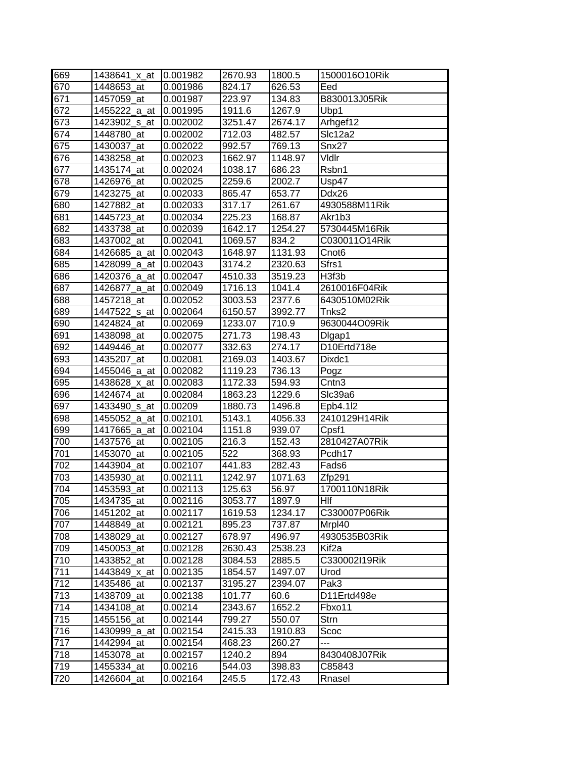| 669 | 1438641_x_at | 0.001982 | 2670.93             | 1800.5  | 1500016O10Rik     |
|-----|--------------|----------|---------------------|---------|-------------------|
| 670 | 1448653 at   | 0.001986 | 824.17              | 626.53  | Eed               |
| 671 | 1457059_at   | 0.001987 | 223.97              | 134.83  | B830013J05Rik     |
| 672 | 1455222_a_at | 0.001995 | 1911.6              | 1267.9  | Ubp1              |
| 673 | 1423902_s_at | 0.002002 | 3251.47             | 2674.17 | Arhgef12          |
| 674 | 1448780_at   | 0.002002 | $\overline{712.03}$ | 482.57  | Slc12a2           |
| 675 | 1430037_at   | 0.002022 | 992.57              | 769.13  | Snx27             |
| 676 | 1438258_at   | 0.002023 | 1662.97             | 1148.97 | Vidir             |
| 677 | 1435174_at   | 0.002024 | 1038.17             | 686.23  | Rsbn1             |
| 678 | 1426976_at   | 0.002025 | 2259.6              | 2002.7  | Usp47             |
| 679 | 1423275_at   | 0.002033 | 865.47              | 653.77  | Ddx26             |
| 680 | 1427882 at   | 0.002033 | 317.17              | 261.67  | 4930588M11Rik     |
| 681 | 1445723_at   | 0.002034 | 225.23              | 168.87  | Akr1b3            |
| 682 | 1433738_at   | 0.002039 | 1642.17             | 1254.27 | 5730445M16Rik     |
| 683 | 1437002_at   | 0.002041 | 1069.57             | 834.2   | C030011O14Rik     |
| 684 | 1426685_a_at | 0.002043 | 1648.97             | 1131.93 | Cnot <sub>6</sub> |
| 685 | 1428099_a_at | 0.002043 | 3174.2              | 2320.63 | Sfrs1             |
| 686 | 1420376_a_at | 0.002047 | 4510.33             | 3519.23 | H3f3b             |
| 687 | 1426877 a at | 0.002049 | 1716.13             | 1041.4  | 2610016F04Rik     |
| 688 | 1457218_at   | 0.002052 | 3003.53             | 2377.6  | 6430510M02Rik     |
| 689 | 1447522 s at | 0.002064 | 6150.57             | 3992.77 | Tnks2             |
| 690 | 1424824 at   | 0.002069 | 1233.07             | 710.9   | 9630044O09Rik     |
| 691 | 1438098_at   | 0.002075 | 271.73              | 198.43  | Digap1            |
| 692 | 1449446_at   | 0.002077 | 332.63              | 274.17  | D10Ertd718e       |
| 693 | 1435207 at   | 0.002081 | 2169.03             | 1403.67 | Dixdc1            |
| 694 | 1455046_a_at | 0.002082 | 1119.23             | 736.13  | Pogz              |
| 695 | 1438628_x_at | 0.002083 | 1172.33             | 594.93  | Cntn <sub>3</sub> |
| 696 | 1424674_at   | 0.002084 | 1863.23             | 1229.6  | SIc39a6           |
| 697 | 1433490_s_at | 0.00209  | 1880.73             | 1496.8  | Epb4.112          |
| 698 | 1455052_a_at | 0.002101 | 5143.1              | 4056.33 | 2410129H14Rik     |
| 699 | 1417665_a_at | 0.002104 | 1151.8              | 939.07  | Cpsf1             |
| 700 | 1437576_at   | 0.002105 | 216.3               | 152.43  | 2810427A07Rik     |
| 701 | 1453070_at   | 0.002105 | 522                 | 368.93  | Pcdh17            |
| 702 | 1443904_at   | 0.002107 | 441.83              | 282.43  | Fads6             |
| 703 | 1435930_at   | 0.002111 | 1242.97             | 1071.63 | Zfp291            |
| 704 | 1453593_at   | 0.002113 | 125.63              | 56.97   | 1700110N18Rik     |
| 705 | 1434735_at   | 0.002116 | 3053.77             | 1897.9  | Hlf               |
| 706 | 1451202_at   | 0.002117 | 1619.53             | 1234.17 | C330007P06Rik     |
| 707 | 1448849_at   | 0.002121 | 895.23              | 737.87  | Mrpl40            |
| 708 | 1438029_at   | 0.002127 | 678.97              | 496.97  | 4930535B03Rik     |
| 709 | 1450053_at   | 0.002128 | 2630.43             | 2538.23 | Kif <sub>2a</sub> |
| 710 | 1433852 at   | 0.002128 | 3084.53             | 2885.5  | C330002l19Rik     |
| 711 | 1443849 x at | 0.002135 | 1854.57             | 1497.07 | Urod              |
| 712 | 1435486 at   | 0.002137 | 3195.27             | 2394.07 | Pak3              |
| 713 | 1438709 at   | 0.002138 | 101.77              | 60.6    | D11Ertd498e       |
| 714 | 1434108_at   | 0.00214  | 2343.67             | 1652.2  | Fbxo11            |
| 715 | 1455156_at   | 0.002144 | 799.27              | 550.07  | Strn              |
| 716 | 1430999_a_at | 0.002154 | 2415.33             | 1910.83 | Scoc              |
| 717 | 1442994_at   | 0.002154 | 468.23              | 260.27  | ---               |
| 718 | 1453078_at   | 0.002157 | 1240.2              | 894     | 8430408J07Rik     |
| 719 | 1455334_at   | 0.00216  | 544.03              | 398.83  | C85843            |
| 720 | 1426604_at   | 0.002164 | 245.5               | 172.43  | Rnasel            |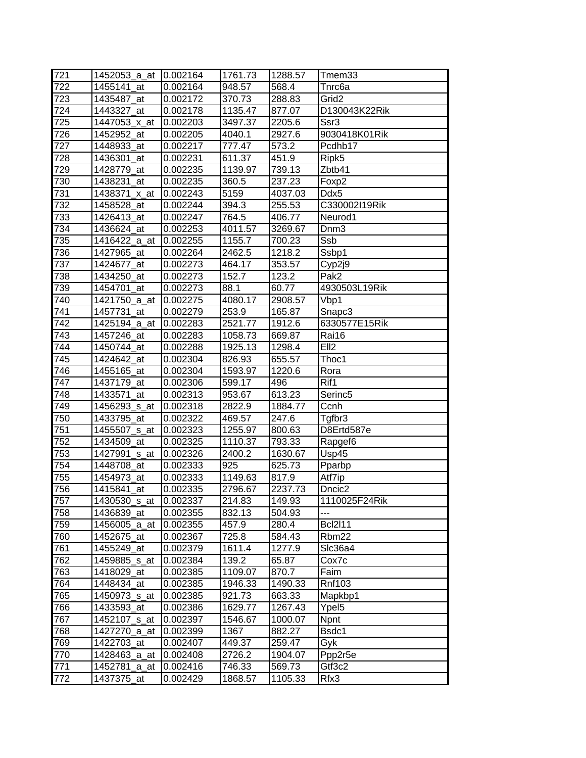| 721 | 1452053 a at             | 10.002164 | 1761.73 | 1288.57 | Tmem33              |
|-----|--------------------------|-----------|---------|---------|---------------------|
| 722 | 1455141 at               | 0.002164  | 948.57  | 568.4   | Tnrc6a              |
| 723 | 1435487 at               | 0.002172  | 370.73  | 288.83  | Grid <sub>2</sub>   |
| 724 | 1443327_at               | 0.002178  | 1135.47 | 877.07  | D130043K22Rik       |
| 725 | 1447053_x_at             | 0.002203  | 3497.37 | 2205.6  | Ssr3                |
| 726 | 1452952 at               | 0.002205  | 4040.1  | 2927.6  | 9030418K01Rik       |
| 727 | 1448933_at               | 0.002217  | 777.47  | 573.2   | Pcdhb17             |
| 728 | 1436301_at               | 0.002231  | 611.37  | 451.9   | Ripk5               |
| 729 | 1428779_at               | 0.002235  | 1139.97 | 739.13  | Zbtb41              |
| 730 | 1438231 at               | 0.002235  | 360.5   | 237.23  | Foxp2               |
| 731 | 1438371_x_at             | 0.002243  | 5159    | 4037.03 | Ddx5                |
| 732 | 1458528_at               | 0.002244  | 394.3   | 255.53  | C330002l19Rik       |
| 733 | 1426413_at               | 0.002247  | 764.5   | 406.77  | Neurod1             |
| 734 | 1436624_at               | 0.002253  | 4011.57 | 3269.67 | Dnm <sub>3</sub>    |
| 735 | 1416422_a_at             | 0.002255  | 1155.7  | 700.23  | Ssb                 |
| 736 | 1427965_at               | 0.002264  | 2462.5  | 1218.2  | Ssbp1               |
| 737 | 1424677_at               | 0.002273  | 464.17  | 353.57  | Cyp2j9              |
| 738 | 1434250 at               | 0.002273  | 152.7   | 123.2   | Pak <sub>2</sub>    |
| 739 | 1454701_at               | 0.002273  | 88.1    | 60.77   | 4930503L19Rik       |
| 740 | 1421750 a at             | 0.002275  | 4080.17 | 2908.57 | Vbp1                |
| 741 | 1457731_at               | 0.002279  | 253.9   | 165.87  | Snapc3              |
| 742 | 1425194 a at             | 0.002283  | 2521.77 | 1912.6  | 6330577E15Rik       |
| 743 | 1457246_at               | 0.002283  | 1058.73 | 669.87  | Rai16               |
| 744 | 1450744_at               | 0.002288  | 1925.13 | 1298.4  | Ell <sub>2</sub>    |
| 745 | 1424642 at               | 0.002304  | 826.93  | 655.57  | Thoc1               |
| 746 | 1455165 at               | 0.002304  | 1593.97 | 1220.6  | Rora                |
| 747 | 1437179_at               | 0.002306  | 599.17  | 496     | Rif1                |
| 748 | 1433571 at               | 0.002313  | 953.67  | 613.23  | Serinc <sub>5</sub> |
| 749 | 1456293_s_at             | 0.002318  | 2822.9  | 1884.77 | Ccnh                |
| 750 | 1433795_at               | 0.002322  | 469.57  | 247.6   | Tgfbr3              |
| 751 | 1455507_s_at             | 0.002323  | 1255.97 | 800.63  | D8Ertd587e          |
| 752 | 1434509_at               | 0.002325  | 1110.37 | 793.33  | Rapgef6             |
| 753 | 1427991_s_at             | 0.002326  | 2400.2  | 1630.67 | Usp45               |
| 754 | 1448708_at               | 0.002333  | 925     | 625.73  | Pparbp              |
| 755 | 1454973_at               | 0.002333  | 1149.63 | 817.9   | Atf7ip              |
| 756 | 1415841_at               | 0.002335  | 2796.67 | 2237.73 | Dncic <sub>2</sub>  |
| 757 | 1430530 <sub>_S_at</sub> | 0.002337  | 214.83  | 149.93  | 1110025F24Rik       |
| 758 | 1436839_at               | 0.002355  | 832.13  | 504.93  | ---                 |
| 759 | 1456005_a_at             | 0.002355  | 457.9   | 280.4   | <b>Bcl2l11</b>      |
| 760 | 1452675_at               | 0.002367  | 725.8   | 584.43  | Rbm22               |
| 761 | 1455249_at               | 0.002379  | 1611.4  | 1277.9  | Slc36a4             |
| 762 | 1459885_s_at             | 0.002384  | 139.2   | 65.87   | Cox7c               |
| 763 | 1418029_at               | 0.002385  | 1109.07 | 870.7   | Faim                |
| 764 | 1448434_at               | 0.002385  | 1946.33 | 1490.33 | <b>Rnf103</b>       |
| 765 | 1450973 s at             | 0.002385  | 921.73  | 663.33  | Mapkbp1             |
| 766 | 1433593 at               | 0.002386  | 1629.77 | 1267.43 | Ypel <sub>5</sub>   |
| 767 | 1452107 <sub>_S_at</sub> | 0.002397  | 1546.67 | 1000.07 | <b>Npnt</b>         |
| 768 | 1427270_a_at             | 0.002399  | 1367    | 882.27  | Bsdc1               |
| 769 | 1422703_at               | 0.002407  | 449.37  | 259.47  | Gyk                 |
| 770 | 1428463_a_at             | 0.002408  | 2726.2  | 1904.07 | Ppp2r5e             |
| 771 | 1452781_a_at             | 0.002416  | 746.33  | 569.73  | Gtf3c2              |
| 772 | 1437375_at               | 0.002429  | 1868.57 | 1105.33 | Rfx3                |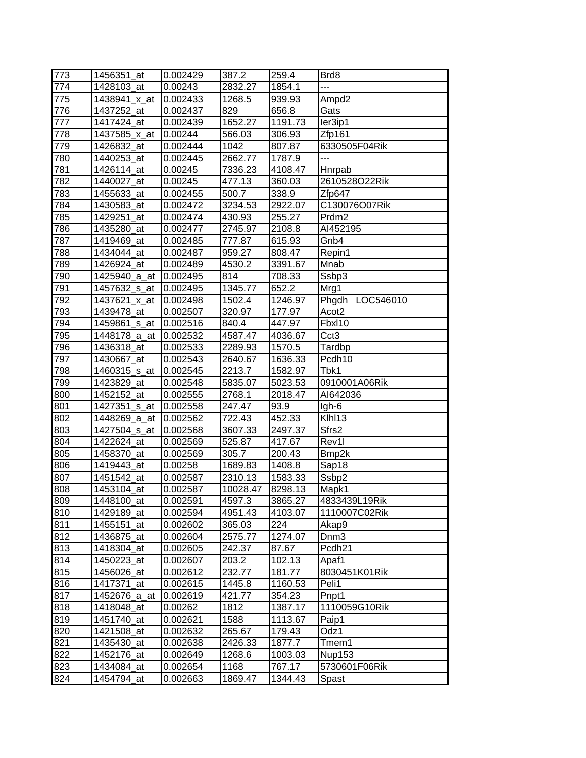| 773 | 1456351_at   | 0.002429              | 387.2    | 259.4   | Brd8               |
|-----|--------------|-----------------------|----------|---------|--------------------|
| 774 | 1428103_at   | 0.00243               | 2832.27  | 1854.1  | ---                |
| 775 | 1438941_x_at | 0.002433              | 1268.5   | 939.93  | Ampd <sub>2</sub>  |
| 776 | 1437252_at   | 0.002437              | 829      | 656.8   | Gats               |
| 777 | 1417424_at   | 0.002439              | 1652.27  | 1191.73 | ler3ip1            |
| 778 | 1437585_x_at | 0.00244               | 566.03   | 306.93  | Zfp161             |
| 779 | 1426832_at   | $0.002\overline{444}$ | 1042     | 807.87  | 6330505F04Rik      |
| 780 | 1440253_at   | 0.002445              | 2662.77  | 1787.9  | ---                |
| 781 | 1426114 at   | 0.00245               | 7336.23  | 4108.47 | Hnrpab             |
| 782 | 1440027 at   | 0.00245               | 477.13   | 360.03  | 2610528O22Rik      |
| 783 | 1455633_at   | 0.002455              | 500.7    | 338.9   | Zfp647             |
| 784 | 1430583_at   | 0.002472              | 3234.53  | 2922.07 | C130076O07Rik      |
| 785 | 1429251_at   | 0.002474              | 430.93   | 255.27  | Prdm <sub>2</sub>  |
| 786 | 1435280_at   | 0.002477              | 2745.97  | 2108.8  | AI452195           |
| 787 | 1419469_at   | 0.002485              | 777.87   | 615.93  | Gnb4               |
| 788 | 1434044_at   | 0.002487              | 959.27   | 808.47  | Repin1             |
| 789 | 1426924_at   | 0.002489              | 4530.2   | 3391.67 | Mnab               |
| 790 | 1425940_a_at | 0.002495              | 814      | 708.33  | Ssbp3              |
| 791 | 1457632_s_at | 0.002495              | 1345.77  | 652.2   | Mrg1               |
| 792 | 1437621 x at | 0.002498              | 1502.4   | 1246.97 | Phgdh LOC546010    |
| 793 | 1439478_at   | 0.002507              | 320.97   | 177.97  | Acot <sub>2</sub>  |
| 794 | 1459861 s at | 0.002516              | 840.4    | 447.97  | Fbxl10             |
| 795 | 1448178_a_at | 0.002532              | 4587.47  | 4036.67 | Cct <sub>3</sub>   |
| 796 | 1436318_at   | 0.002533              | 2289.93  | 1570.5  | Tardbp             |
| 797 | 1430667_at   | 0.002543              | 2640.67  | 1636.33 | Pcdh10             |
| 798 | 1460315_s_at | 0.002545              | 2213.7   | 1582.97 | Tbk1               |
| 799 | 1423829_at   | 0.002548              | 5835.07  | 5023.53 | 0910001A06Rik      |
| 800 | 1452152_at   | 0.002555              | 2768.1   | 2018.47 | AI642036           |
| 801 | 1427351_s_at | 0.002558              | 247.47   | 93.9    | Igh-6              |
| 802 | 1448269_a_at | 0.002562              | 722.43   | 452.33  | Klhl13             |
| 803 | 1427504_s_at | 0.002568              | 3607.33  | 2497.37 | Sfrs2              |
| 804 | 1422624 at   | 0.002569              | 525.87   | 417.67  | Rev1l              |
| 805 | 1458370_at   | 0.002569              | 305.7    | 200.43  | Bmp2k              |
| 806 | 1419443 at   | 0.00258               | 1689.83  | 1408.8  | Sap18              |
| 807 | 1451542_at   | 0.002587              | 2310.13  | 1583.33 | Ssbp2              |
| 808 | 1453104 at   | 0.002587              | 10028.47 | 8298.13 | Mapk1              |
| 809 | 1448100_at   | 0.002591              | 4597.3   | 3865.27 | 4833439L19Rik      |
| 810 | 1429189_at   | 0.002594              | 4951.43  | 4103.07 | 1110007C02Rik      |
| 811 | 1455151 at   | 0.002602              | 365.03   | 224     | Akap9              |
| 812 | 1436875_at   | 0.002604              | 2575.77  | 1274.07 | Dnm <sub>3</sub>   |
| 813 | 1418304_at   | 0.002605              | 242.37   | 87.67   | Pcdh <sub>21</sub> |
| 814 | 1450223_at   | 0.002607              | 203.2    | 102.13  | Apaf1              |
| 815 | 1456026_at   | 0.002612              | 232.77   | 181.77  | 8030451K01Rik      |
| 816 | 1417371 at   | 0.002615              | 1445.8   | 1160.53 | Peli1              |
| 817 | 1452676_a_at | 0.002619              | 421.77   | 354.23  | Pnpt1              |
| 818 | 1418048 at   | 0.00262               | 1812     | 1387.17 | 1110059G10Rik      |
| 819 | 1451740_at   | 0.002621              | 1588     | 1113.67 | Paip1              |
| 820 | 1421508_at   | 0.002632              | 265.67   | 179.43  | Odz1               |
| 821 | 1435430_at   | 0.002638              | 2426.33  | 1877.7  | Tmem1              |
| 822 | 1452176_at   | 0.002649              | 1268.6   | 1003.03 | <b>Nup153</b>      |
| 823 | 1434084_at   | 0.002654              | 1168     | 767.17  | 5730601F06Rik      |
| 824 | 1454794_at   | 0.002663              | 1869.47  | 1344.43 | Spast              |
|     |              |                       |          |         |                    |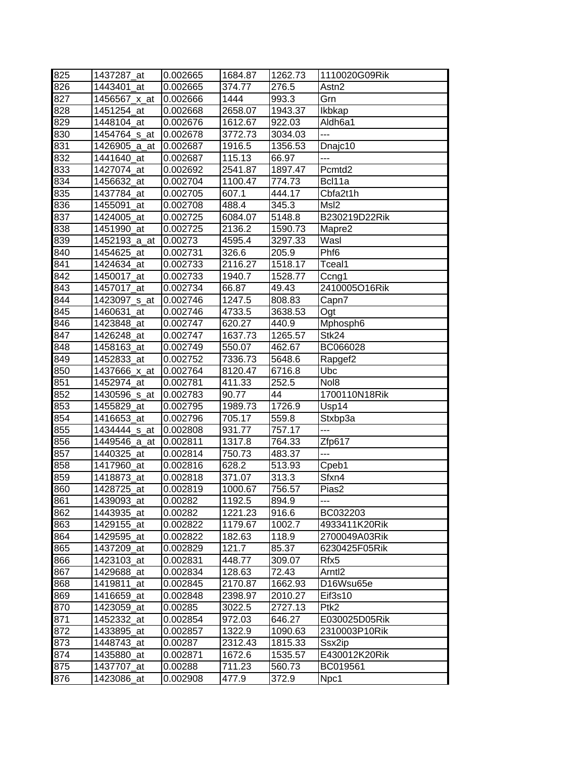| 825 | 1437287 at   | 0.002665 | 1684.87 | 1262.73 | 1110020G09Rik       |
|-----|--------------|----------|---------|---------|---------------------|
| 826 | 1443401 at   | 0.002665 | 374.77  | 276.5   | Astn2               |
| 827 | 1456567 x at | 0.002666 | 1444    | 993.3   | Grn                 |
| 828 | 1451254_at   | 0.002668 | 2658.07 | 1943.37 | Ikbkap              |
| 829 | 1448104_at   | 0.002676 | 1612.67 | 922.03  | Aldh6a1             |
| 830 | 1454764 s at | 0.002678 | 3772.73 | 3034.03 | ---                 |
| 831 | 1426905_a_at | 0.002687 | 1916.5  | 1356.53 | Dnajc10             |
| 832 | 1441640_at   | 0.002687 | 115.13  | 66.97   | $\overline{a}$      |
| 833 | 1427074_at   | 0.002692 | 2541.87 | 1897.47 | Pcmtd2              |
| 834 | 1456632 at   | 0.002704 | 1100.47 | 774.73  | Bcl11a              |
| 835 | 1437784_at   | 0.002705 | 607.1   | 444.17  | Cbfa2t1h            |
| 836 | 1455091_at   | 0.002708 | 488.4   | 345.3   | Msl <sub>2</sub>    |
| 837 | 1424005_at   | 0.002725 | 6084.07 | 5148.8  | B230219D22Rik       |
| 838 | 1451990_at   | 0.002725 | 2136.2  | 1590.73 | Mapre2              |
| 839 | 1452193_a_at | 0.00273  | 4595.4  | 3297.33 | Wasl                |
| 840 | 1454625_at   | 0.002731 | 326.6   | 205.9   | Phf <sub>6</sub>    |
| 841 | 1424634_at   | 0.002733 | 2116.27 | 1518.17 | Tceal1              |
| 842 | 1450017_at   | 0.002733 | 1940.7  | 1528.77 | Ccng1               |
| 843 | 1457017 at   | 0.002734 | 66.87   | 49.43   | 2410005O16Rik       |
| 844 | 1423097_s_at | 0.002746 | 1247.5  | 808.83  | Capn7               |
| 845 | 1460631 at   | 0.002746 | 4733.5  | 3638.53 | Ogt                 |
| 846 | 1423848_at   | 0.002747 | 620.27  | 440.9   | Mphosph6            |
| 847 | 1426248_at   | 0.002747 | 1637.73 | 1265.57 | Stk24               |
| 848 | 1458163_at   | 0.002749 | 550.07  | 462.67  | BC066028            |
| 849 | 1452833_at   | 0.002752 | 7336.73 | 5648.6  | Rapgef <sub>2</sub> |
| 850 | 1437666_x_at | 0.002764 | 8120.47 | 6716.8  | Ubc                 |
| 851 | 1452974_at   | 0.002781 | 411.33  | 252.5   | Nol8                |
| 852 | 1430596_s_at | 0.002783 | 90.77   | 44      | 1700110N18Rik       |
| 853 | 1455829_at   | 0.002795 | 1989.73 | 1726.9  | Usp14               |
| 854 | 1416653_at   | 0.002796 | 705.17  | 559.8   | Stxbp3a             |
| 855 | 1434444_s_at | 0.002808 | 931.77  | 757.17  | ---                 |
| 856 | 1449546_a_at | 0.002811 | 1317.8  | 764.33  | Zfp617              |
| 857 | 1440325_at   | 0.002814 | 750.73  | 483.37  | ---                 |
| 858 | 1417960_at   | 0.002816 | 628.2   | 513.93  | Cpeb1               |
| 859 | 1418873_at   | 0.002818 | 371.07  | 313.3   | Sfxn4               |
| 860 | 1428725_at   | 0.002819 | 1000.67 | 756.57  | Pias2               |
| 861 | 1439093 at   | 0.00282  | 1192.5  | 894.9   | ---                 |
| 862 | 1443935_at   | 0.00282  | 1221.23 | 916.6   | BC032203            |
| 863 | 1429155 at   | 0.002822 | 1179.67 | 1002.7  | 4933411K20Rik       |
| 864 | 1429595_at   | 0.002822 | 182.63  | 118.9   | 2700049A03Rik       |
| 865 | 1437209_at   | 0.002829 | 121.7   | 85.37   | 6230425F05Rik       |
| 866 | 1423103_at   | 0.002831 | 448.77  | 309.07  | Rfx5                |
| 867 | 1429688_at   | 0.002834 | 128.63  | 72.43   | Arntl <sub>2</sub>  |
| 868 | 1419811 at   | 0.002845 | 2170.87 | 1662.93 | D16Wsu65e           |
| 869 | 1416659_at   | 0.002848 | 2398.97 | 2010.27 | Eif3s10             |
| 870 | 1423059_at   | 0.00285  | 3022.5  | 2727.13 | Ptk2                |
| 871 | 1452332_at   | 0.002854 | 972.03  | 646.27  | E030025D05Rik       |
| 872 | 1433895_at   | 0.002857 | 1322.9  | 1090.63 | 2310003P10Rik       |
| 873 | 1448743_at   | 0.00287  | 2312.43 | 1815.33 | Ssx2ip              |
| 874 | 1435880_at   | 0.002871 | 1672.6  | 1535.57 | E430012K20Rik       |
| 875 | 1437707_at   | 0.00288  | 711.23  | 560.73  | BC019561            |
| 876 | 1423086_at   | 0.002908 | 477.9   | 372.9   | Npc1                |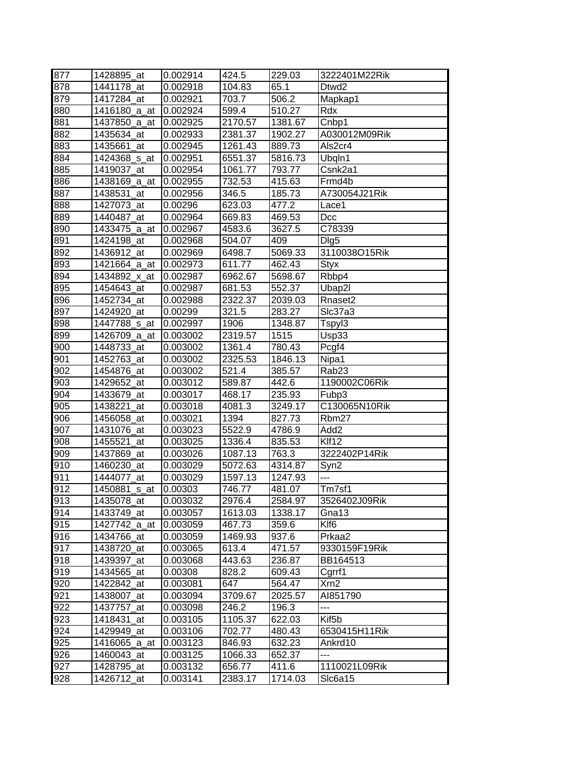| 877 | 1428895_at    | 0.002914 | 424.5   | 229.03  | 3222401M22Rik       |
|-----|---------------|----------|---------|---------|---------------------|
| 878 | 1441178 at    | 0.002918 | 104.83  | 65.1    | Dtwd2               |
| 879 | 1417284_at    | 0.002921 | 703.7   | 506.2   | Mapkap1             |
| 880 | 1416180_a_at  | 0.002924 | 599.4   | 510.27  | Rdx                 |
| 881 | 1437850_a_at  | 0.002925 | 2170.57 | 1381.67 | Chbp1               |
| 882 | 1435634_at    | 0.002933 | 2381.37 | 1902.27 | A030012M09Rik       |
| 883 | 1435661_at    | 0.002945 | 1261.43 | 889.73  | Als2cr4             |
| 884 | 1424368_s_at  | 0.002951 | 6551.37 | 5816.73 | Ubqln1              |
| 885 | 1419037 at    | 0.002954 | 1061.77 | 793.77  | Csnk2a1             |
| 886 | 1438169_a_at  | 0.002955 | 732.53  | 415.63  | Frmd4b              |
| 887 | 1438531 at    | 0.002956 | 346.5   | 185.73  | A730054J21Rik       |
| 888 | 1427073_at    | 0.00296  | 623.03  | 477.2   | Lace1               |
| 889 | 1440487_at    | 0.002964 | 669.83  | 469.53  | Dcc                 |
| 890 | 1433475_a_at  | 0.002967 | 4583.6  | 3627.5  | C78339              |
| 891 | 1424198_at    | 0.002968 | 504.07  | 409     | Dig <sub>5</sub>    |
| 892 | 1436912_at    | 0.002969 | 6498.7  | 5069.33 | 3110038O15Rik       |
| 893 | 1421664_a_at  | 0.002973 | 611.77  | 462.43  | Styx                |
| 894 | 1434892_x_at  | 0.002987 | 6962.67 | 5698.67 | Rbbp4               |
| 895 | 1454643 at    | 0.002987 | 681.53  | 552.37  | Ubap2l              |
| 896 | 1452734_at    | 0.002988 | 2322.37 | 2039.03 | Rnaset <sub>2</sub> |
| 897 | 1424920 at    | 0.00299  | 321.5   | 283.27  | SIc37a3             |
| 898 | 1447788 s at  | 0.002997 | 1906    | 1348.87 | Tspyl3              |
| 899 | 1426709_a_at  | 0.003002 | 2319.57 | 1515    | Usp33               |
| 900 | 1448733_at    | 0.003002 | 1361.4  | 780.43  | Pcgf4               |
| 901 | 1452763_at    | 0.003002 | 2325.53 | 1846.13 | Nipa1               |
| 902 | 1454876_at    | 0.003002 | 521.4   | 385.57  | Rab <sub>23</sub>   |
| 903 | 1429652 at    | 0.003012 | 589.87  | 442.6   | 1190002C06Rik       |
| 904 | 1433679_at    | 0.003017 | 468.17  | 235.93  | Fubp3               |
| 905 | 1438221_at    | 0.003018 | 4081.3  | 3249.17 | C130065N10Rik       |
| 906 | 1456058_at    | 0.003021 | 1394    | 827.73  | Rbm27               |
| 907 | 1431076_at    | 0.003023 | 5522.9  | 4786.9  | Add <sub>2</sub>    |
| 908 | 1455521<br>at | 0.003025 | 1336.4  | 835.53  | Klf12               |
| 909 | 1437869_at    | 0.003026 | 1087.13 | 763.3   | 3222402P14Rik       |
| 910 | 1460230_at    | 0.003029 | 5072.63 | 4314.87 | Syn2                |
| 911 | 1444077 at    | 0.003029 | 1597.13 | 1247.93 | $\overline{a}$      |
| 912 | 1450881_s_at  | 0.00303  | 746.77  | 481.07  | Tm7sf1              |
| 913 | 1435078_at    | 0.003032 | 2976.4  | 2584.97 | 3526402J09Rik       |
| 914 | 1433749_at    | 0.003057 | 1613.03 | 1338.17 | Gna13               |
| 915 | 1427742_a_at  | 0.003059 | 467.73  | 359.6   | Klf6                |
| 916 | 1434766_at    | 0.003059 | 1469.93 | 937.6   | Prkaa2              |
| 917 | 1438720_at    | 0.003065 | 613.4   | 471.57  | 9330159F19Rik       |
| 918 | 1439397_at    | 0.003068 | 443.63  | 236.87  | BB164513            |
| 919 | 1434565 at    | 0.00308  | 828.2   | 609.43  | Cgrrf1              |
| 920 | 1422842 at    | 0.003081 | 647     | 564.47  | Xrn2                |
| 921 | 1438007_at    | 0.003094 | 3709.67 | 2025.57 | AI851790            |
| 922 | 1437757_at    | 0.003098 | 246.2   | 196.3   | ---                 |
| 923 | 1418431 at    | 0.003105 | 1105.37 | 622.03  | Kif <sub>5</sub> b  |
| 924 | 1429949_at    | 0.003106 | 702.77  | 480.43  | 6530415H11Rik       |
| 925 | 1416065_a_at  | 0.003123 | 846.93  | 632.23  | Ankrd10             |
| 926 | 1460043_at    | 0.003125 | 1066.33 | 652.37  | ---                 |
| 927 | 1428795_at    | 0.003132 | 656.77  | 411.6   | 1110021L09Rik       |
| 928 | 1426712_at    | 0.003141 | 2383.17 | 1714.03 | SIc6a15             |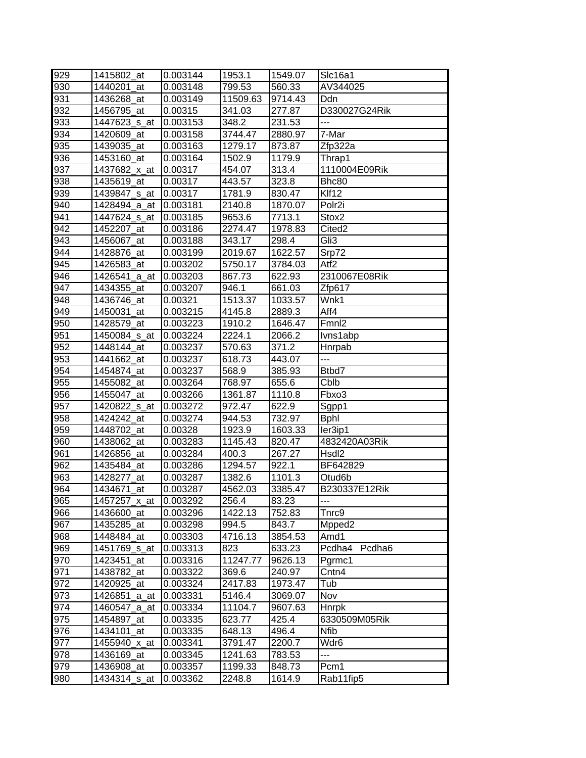| 929 | 1415802 at   | 0.003144 | 1953.1   | 1549.07 | Slc16a1            |
|-----|--------------|----------|----------|---------|--------------------|
| 930 | 1440201 at   | 0.003148 | 799.53   | 560.33  | AV344025           |
| 931 | 1436268 at   | 0.003149 | 11509.63 | 9714.43 | Ddn                |
| 932 | 1456795_at   | 0.00315  | 341.03   | 277.87  | D330027G24Rik      |
| 933 | 1447623_s_at | 0.003153 | 348.2    | 231.53  | ---                |
| 934 | 1420609_at   | 0.003158 | 3744.47  | 2880.97 | 7-Mar              |
| 935 | 1439035_at   | 0.003163 | 1279.17  | 873.87  | Zfp322a            |
| 936 | 1453160_at   | 0.003164 | 1502.9   | 1179.9  | Thrap1             |
| 937 | 1437682 x at | 0.00317  | 454.07   | 313.4   | 1110004E09Rik      |
| 938 | 1435619_at   | 0.00317  | 443.57   | 323.8   | Bhc80              |
| 939 | 1439847_s_at | 0.00317  | 1781.9   | 830.47  | Klf12              |
| 940 | 1428494_a_at | 0.003181 | 2140.8   | 1870.07 | Polr <sub>2i</sub> |
| 941 | 1447624_s_at | 0.003185 | 9653.6   | 7713.1  | Stox2              |
| 942 | 1452207_at   | 0.003186 | 2274.47  | 1978.83 | Cited <sub>2</sub> |
| 943 | 1456067_at   | 0.003188 | 343.17   | 298.4   | Gli3               |
| 944 | 1428876 at   | 0.003199 | 2019.67  | 1622.57 | Srp72              |
| 945 | 1426583_at   | 0.003202 | 5750.17  | 3784.03 | Atf <sub>2</sub>   |
| 946 | 1426541 a at | 0.003203 | 867.73   | 622.93  | 2310067E08Rik      |
| 947 | 1434355_at   | 0.003207 | 946.1    | 661.03  | Zfp617             |
| 948 | 1436746 at   | 0.00321  | 1513.37  | 1033.57 | Wnk1               |
| 949 | 1450031_at   | 0.003215 | 4145.8   | 2889.3  | Aff4               |
| 950 | 1428579 at   | 0.003223 | 1910.2   | 1646.47 | Fmnl2              |
| 951 | 1450084 s at | 0.003224 | 2224.1   | 2066.2  | Ivns1abp           |
| 952 | 1448144 at   | 0.003237 | 570.63   | 371.2   | Hnrpab             |
| 953 | 1441662_at   | 0.003237 | 618.73   | 443.07  | $---$              |
| 954 | 1454874 at   | 0.003237 | 568.9    | 385.93  | Btbd7              |
| 955 | 1455082_at   | 0.003264 | 768.97   | 655.6   | Cblb               |
| 956 | 1455047 at   | 0.003266 | 1361.87  | 1110.8  | Fbxo3              |
| 957 | 1420822_s_at | 0.003272 | 972.47   | 622.9   | Sgpp1              |
| 958 | 1424242 at   | 0.003274 | 944.53   | 732.97  | <b>Bphl</b>        |
| 959 | 1448702 at   | 0.00328  | 1923.9   | 1603.33 | ler3ip1            |
| 960 | 1438062 at   | 0.003283 | 1145.43  | 820.47  | 4832420A03Rik      |
| 961 | 1426856 at   | 0.003284 | 400.3    | 267.27  | Hsdl <sub>2</sub>  |
| 962 | 1435484_at   | 0.003286 | 1294.57  | 922.1   | BF642829           |
| 963 | 1428277 at   | 0.003287 | 1382.6   | 1101.3  | Otud6b             |
| 964 | 1434671_at   | 0.003287 | 4562.03  | 3385.47 | B230337E12Rik      |
| 965 | 1457257_x_at | 0.003292 | 256.4    | 83.23   | ---                |
| 966 | 1436600 at   | 0.003296 | 1422.13  | 752.83  | Tnrc9              |
| 967 | 1435285_at   | 0.003298 | 994.5    | 843.7   | Mpped <sub>2</sub> |
| 968 | 1448484_at   | 0.003303 | 4716.13  | 3854.53 | Amd1               |
| 969 | 1451769_s_at | 0.003313 | 823      | 633.23  | Pcdha4<br>Pcdha6   |
| 970 | 1423451_at   | 0.003316 | 11247.77 | 9626.13 | Pgrmc1             |
| 971 | 1438782 at   | 0.003322 | 369.6    | 240.97  | Cntn4              |
| 972 | 1420925_at   | 0.003324 | 2417.83  | 1973.47 | Tub                |
| 973 | 1426851 a at | 0.003331 | 5146.4   | 3069.07 | Nov                |
| 974 | 1460547_a_at | 0.003334 | 11104.7  | 9607.63 | <b>Hnrpk</b>       |
| 975 | 1454897_at   | 0.003335 | 623.77   | 425.4   | 6330509M05Rik      |
| 976 | 1434101_at   | 0.003335 | 648.13   | 496.4   | <b>Nfib</b>        |
| 977 | 1455940_x_at | 0.003341 | 3791.47  | 2200.7  | Wdr6               |
| 978 | 1436169_at   | 0.003345 | 1241.63  | 783.53  | ---                |
| 979 | 1436908_at   | 0.003357 | 1199.33  | 848.73  | Pcm1               |
| 980 | 1434314_s_at | 0.003362 | 2248.8   | 1614.9  | Rab11fip5          |
|     |              |          |          |         |                    |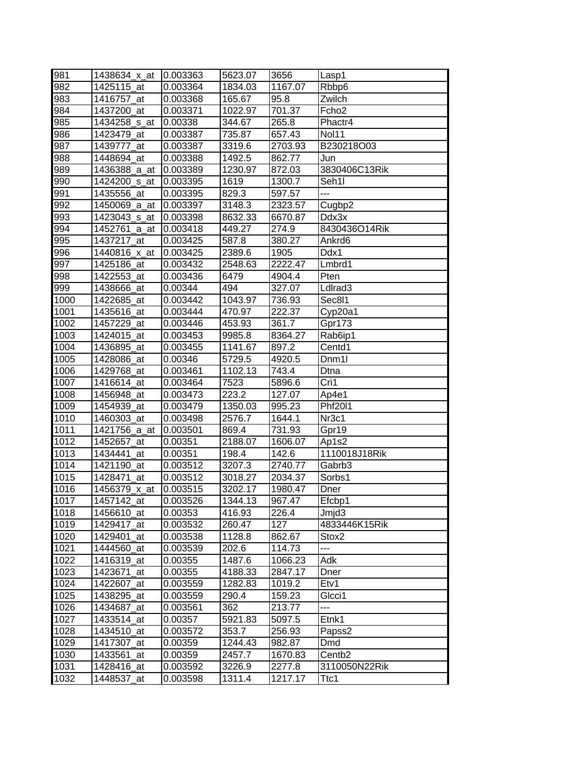| 981  | 1438634_x_at | 0.003363 | 5623.07 | 3656    | Lasp1               |
|------|--------------|----------|---------|---------|---------------------|
| 982  | 1425115 at   | 0.003364 | 1834.03 | 1167.07 | Rbbp6               |
| 983  | 1416757_at   | 0.003368 | 165.67  | 95.8    | Zwilch              |
| 984  | 1437200_at   | 0.003371 | 1022.97 | 701.37  | Fcho <sub>2</sub>   |
| 985  | 1434258_s_at | 0.00338  | 344.67  | 265.8   | Phactr4             |
| 986  | 1423479_at   | 0.003387 | 735.87  | 657.43  | Nol11               |
| 987  | 1439777_at   | 0.003387 | 3319.6  | 2703.93 | B230218O03          |
| 988  | 1448694_at   | 0.003388 | 1492.5  | 862.77  | Jun                 |
| 989  | 1436388_a_at | 0.003389 | 1230.97 | 872.03  | 3830406C13Rik       |
| 990  | 1424200 s at | 0.003395 | 1619    | 1300.7  | Seh1I               |
| 991  | 1435556_at   | 0.003395 | 829.3   | 597.57  | $\overline{a}$      |
| 992  | 1450069_a_at | 0.003397 | 3148.3  | 2323.57 | Cugbp2              |
| 993  | 1423043_s_at | 0.003398 | 8632.33 | 6670.87 | Ddx3x               |
| 994  | 1452761_a_at | 0.003418 | 449.27  | 274.9   | 8430436O14Rik       |
| 995  | 1437217_at   | 0.003425 | 587.8   | 380.27  | Ankrd6              |
| 996  | 1440816_x_at | 0.003425 | 2389.6  | 1905    | Ddx1                |
| 997  | 1425186_at   | 0.003432 | 2548.63 | 2222.47 | Lmbrd1              |
| 998  | 1422553_at   | 0.003436 | 6479    | 4904.4  | Pten                |
| 999  | 1438666_at   | 0.00344  | 494     | 327.07  | LdIrad <sub>3</sub> |
| 1000 | 1422685_at   | 0.003442 | 1043.97 | 736.93  | Sec8l1              |
| 1001 | 1435616_at   | 0.003444 | 470.97  | 222.37  | Cyp20a1             |
| 1002 | 1457229_at   | 0.003446 | 453.93  | 361.7   | Gpr173              |
| 1003 | 1424015 at   | 0.003453 | 9985.8  | 8364.27 | Rab6ip1             |
| 1004 | 1436895_at   | 0.003455 | 1141.67 | 897.2   | Centd1              |
| 1005 | 1428086_at   | 0.00346  | 5729.5  | 4920.5  | Dnm <sub>1</sub>    |
| 1006 | 1429768_at   | 0.003461 | 1102.13 | 743.4   | Dtna                |
| 1007 | 1416614_at   | 0.003464 | 7523    | 5896.6  | Cri1                |
| 1008 | 1456948_at   | 0.003473 | 223.2   | 127.07  | Ap4e1               |
| 1009 | 1454939_at   | 0.003479 | 1350.03 | 995.23  | Phf2011             |
| 1010 | 1460303_at   | 0.003498 | 2576.7  | 1644.1  | Nr <sub>3c1</sub>   |
| 1011 | 1421756_a_at | 0.003501 | 869.4   | 731.93  | Gpr19               |
| 1012 | 1452657_at   | 0.00351  | 2188.07 | 1606.07 | Ap1s2               |
| 1013 | 1434441_at   | 0.00351  | 198.4   | 142.6   | 1110018J18Rik       |
| 1014 | 1421190_at   | 0.003512 | 3207.3  | 2740.77 | Gabrb3              |
| 1015 | 1428471 at   | 0.003512 | 3018.27 | 2034.37 | Sorbs1              |
| 1016 | 1456379_x_at | 0.003515 | 3202.17 | 1980.47 | Dner                |
| 1017 | 1457142_at   | 0.003526 | 1344.13 | 967.47  | Efcbp1              |
| 1018 | 1456610_at   | 0.00353  | 416.93  | 226.4   | Jmjd3               |
| 1019 | 1429417_at   | 0.003532 | 260.47  | 127     | 4833446K15Rik       |
| 1020 | 1429401_at   | 0.003538 | 1128.8  | 862.67  | Stox <sub>2</sub>   |
| 1021 | 1444560_at   | 0.003539 | 202.6   | 114.73  | ---                 |
| 1022 | 1416319_at   | 0.00355  | 1487.6  | 1066.23 | Adk                 |
| 1023 | 1423671_at   | 0.00355  | 4188.33 | 2847.17 | Dner                |
| 1024 | 1422607_at   | 0.003559 | 1282.83 | 1019.2  | Etv1                |
| 1025 | 1438295 at   | 0.003559 | 290.4   | 159.23  | Glcci1              |
| 1026 | 1434687 at   | 0.003561 | 362     | 213.77  | ---                 |
| 1027 | 1433514_at   | 0.00357  | 5921.83 | 5097.5  | Etnk1               |
| 1028 | 1434510_at   | 0.003572 | 353.7   | 256.93  | Papss2              |
| 1029 | 1417307_at   | 0.00359  | 1244.43 | 982.87  | Dmd                 |
| 1030 | 1433561_at   | 0.00359  | 2457.7  | 1670.83 | Centb <sub>2</sub>  |
| 1031 | 1428416_at   | 0.003592 | 3226.9  | 2277.8  | 3110050N22Rik       |
| 1032 | 1448537_at   | 0.003598 | 1311.4  | 1217.17 | Ttc1                |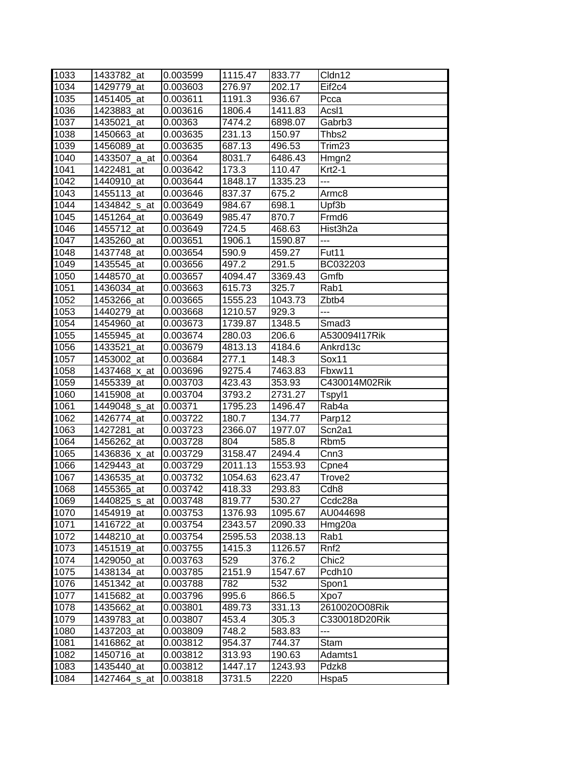| 1033 | 1433782_at   | 0.003599 | 1115.47 | 833.77  | Cldn12             |
|------|--------------|----------|---------|---------|--------------------|
| 1034 | 1429779 at   | 0.003603 | 276.97  | 202.17  | Eif <sub>2c4</sub> |
| 1035 | 1451405_at   | 0.003611 | 1191.3  | 936.67  | Pcca               |
| 1036 | 1423883_at   | 0.003616 | 1806.4  | 1411.83 | AcsI1              |
| 1037 | 1435021_at   | 0.00363  | 7474.2  | 6898.07 | Gabrb <sub>3</sub> |
| 1038 | 1450663_at   | 0.003635 | 231.13  | 150.97  | Thbs2              |
| 1039 | 1456089_at   | 0.003635 | 687.13  | 496.53  | Trim <sub>23</sub> |
| 1040 | 1433507_a_at | 0.00364  | 8031.7  | 6486.43 | Hmgn2              |
| 1041 | 1422481 at   | 0.003642 | 173.3   | 110.47  | $Krt2-1$           |
| 1042 | 1440910_at   | 0.003644 | 1848.17 | 1335.23 | ---                |
| 1043 | 1455113_at   | 0.003646 | 837.37  | 675.2   | Armc8              |
| 1044 | 1434842_s_at | 0.003649 | 984.67  | 698.1   | Upf3b              |
| 1045 | 1451264_at   | 0.003649 | 985.47  | 870.7   | Frmd6              |
| 1046 | 1455712_at   | 0.003649 | 724.5   | 468.63  | Hist3h2a           |
| 1047 | 1435260_at   | 0.003651 | 1906.1  | 1590.87 | $---$              |
| 1048 | 1437748_at   | 0.003654 | 590.9   | 459.27  | Fut <sub>11</sub>  |
| 1049 | 1435545 at   | 0.003656 | 497.2   | 291.5   | BC032203           |
| 1050 | 1448570_at   | 0.003657 | 4094.47 | 3369.43 | Gmfb               |
| 1051 | 1436034 at   | 0.003663 | 615.73  | 325.7   | Rab1               |
| 1052 | 1453266_at   | 0.003665 | 1555.23 | 1043.73 | Zbtb4              |
| 1053 | 1440279_at   | 0.003668 | 1210.57 | 929.3   | ---                |
| 1054 | 1454960_at   | 0.003673 | 1739.87 | 1348.5  | Smad <sub>3</sub>  |
| 1055 | 1455945_at   | 0.003674 | 280.03  | 206.6   | A530094I17Rik      |
| 1056 | 1433521 at   | 0.003679 | 4813.13 | 4184.6  | Ankrd13c           |
| 1057 | 1453002 at   | 0.003684 | 277.1   | 148.3   | Sox11              |
| 1058 | 1437468_x_at | 0.003696 | 9275.4  | 7463.83 | Fbxw11             |
| 1059 | 1455339 at   | 0.003703 | 423.43  | 353.93  | C430014M02Rik      |
| 1060 | 1415908_at   | 0.003704 | 3793.2  | 2731.27 | Tspyl1             |
| 1061 | 1449048_s_at | 0.00371  | 1795.23 | 1496.47 | $Rab\overline{4a}$ |
| 1062 | 1426774_at   | 0.003722 | 180.7   | 134.77  | Parp12             |
| 1063 | 1427281_at   | 0.003723 | 2366.07 | 1977.07 | Scn2a1             |
| 1064 | 1456262_at   | 0.003728 | 804     | 585.8   | Rbm <sub>5</sub>   |
| 1065 | 1436836_x_at | 0.003729 | 3158.47 | 2494.4  | Cnn <sub>3</sub>   |
| 1066 | 1429443 at   | 0.003729 | 2011.13 | 1553.93 | Cpne4              |
| 1067 | 1436535_at   | 0.003732 | 1054.63 | 623.47  | Trove <sub>2</sub> |
| 1068 | 1455365_at   | 0.003742 | 418.33  | 293.83  | Cdh <sub>8</sub>   |
| 1069 | 1440825_s_at | 0.003748 | 819.77  | 530.27  | Ccdc28a            |
| 1070 | 1454919_at   | 0.003753 | 1376.93 | 1095.67 | AU044698           |
| 1071 | 1416722_at   | 0.003754 | 2343.57 | 2090.33 | Hmg20a             |
| 1072 | 1448210_at   | 0.003754 | 2595.53 | 2038.13 | Rab1               |
| 1073 | 1451519_at   | 0.003755 | 1415.3  | 1126.57 | Rnf <sub>2</sub>   |
| 1074 | 1429050_at   | 0.003763 | 529     | 376.2   | Chic <sub>2</sub>  |
| 1075 | 1438134_at   | 0.003785 | 2151.9  | 1547.67 | Pcdh <sub>10</sub> |
| 1076 | 1451342_at   | 0.003788 | 782     | 532     | Spon1              |
| 1077 | 1415682_at   | 0.003796 | 995.6   | 866.5   | Xpo7               |
| 1078 | 1435662_at   | 0.003801 | 489.73  | 331.13  | 2610020O08Rik      |
| 1079 | 1439783_at   | 0.003807 | 453.4   | 305.3   | C330018D20Rik      |
| 1080 | 1437203_at   | 0.003809 | 748.2   | 583.83  | ---                |
| 1081 | 1416862_at   | 0.003812 | 954.37  | 744.37  | Stam               |
| 1082 | 1450716_at   | 0.003812 | 313.93  | 190.63  | Adamts1            |
| 1083 | 1435440_at   | 0.003812 | 1447.17 | 1243.93 | Pdzk8              |
| 1084 | 1427464_s_at | 0.003818 | 3731.5  | 2220    | Hspa5              |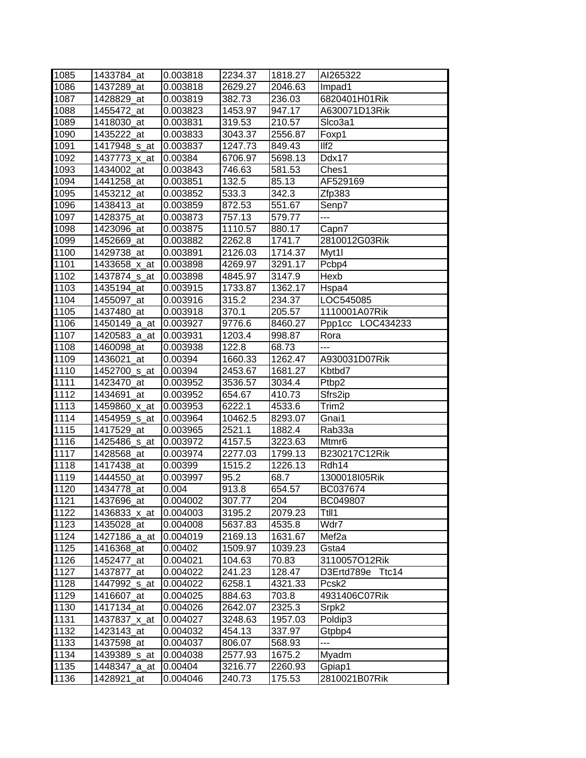| 1085 | 1433784_at               | 0.003818 | 2234.37 | 1818.27 | AI265322          |
|------|--------------------------|----------|---------|---------|-------------------|
| 1086 | 1437289 at               | 0.003818 | 2629.27 | 2046.63 | Impad1            |
| 1087 | 1428829_at               | 0.003819 | 382.73  | 236.03  | 6820401H01Rik     |
| 1088 | 1455472_at               | 0.003823 | 1453.97 | 947.17  | A630071D13Rik     |
| 1089 | 1418030_at               | 0.003831 | 319.53  | 210.57  | SIco3a1           |
| 1090 | 1435222_at               | 0.003833 | 3043.37 | 2556.87 | Foxp1             |
| 1091 | 1417948_s_at             | 0.003837 | 1247.73 | 849.43  | III2              |
| 1092 | 1437773_x_at             | 0.00384  | 6706.97 | 5698.13 | Ddx17             |
| 1093 | 1434002_at               | 0.003843 | 746.63  | 581.53  | Ches1             |
| 1094 | 1441258_at               | 0.003851 | 132.5   | 85.13   | AF529169          |
| 1095 | 1453212_at               | 0.003852 | 533.3   | 342.3   | Zfp383            |
| 1096 | 1438413_at               | 0.003859 | 872.53  | 551.67  | Senp7             |
| 1097 | 1428375_at               |          | 757.13  | 579.77  | ---               |
|      |                          | 0.003873 |         |         |                   |
| 1098 | 1423096_at               | 0.003875 | 1110.57 | 880.17  | Capn7             |
| 1099 | 1452669_at               | 0.003882 | 2262.8  | 1741.7  | 2810012G03Rik     |
| 1100 | 1429738_at               | 0.003891 | 2126.03 | 1714.37 | Myt1l             |
| 1101 | 1433658_x_at             | 0.003898 | 4269.97 | 3291.17 | Pcbp4             |
| 1102 | 1437874 <sub>_S_at</sub> | 0.003898 | 4845.97 | 3147.9  | Hexb              |
| 1103 | 1435194 at               | 0.003915 | 1733.87 | 1362.17 | Hspa4             |
| 1104 | 1455097_at               | 0.003916 | 315.2   | 234.37  | LOC545085         |
| 1105 | 1437480 at               | 0.003918 | 370.1   | 205.57  | 1110001A07Rik     |
| 1106 | 1450149_a_at             | 0.003927 | 9776.6  | 8460.27 | Ppp1cc LOC434233  |
| 1107 | 1420583_a_at             | 0.003931 | 1203.4  | 998.87  | Rora              |
| 1108 | 1460098_at               | 0.003938 | 122.8   | 68.73   | ---               |
| 1109 | 1436021 at               | 0.00394  | 1660.33 | 1262.47 | A930031D07Rik     |
| 1110 | 1452700_s_at             | 0.00394  | 2453.67 | 1681.27 | Kbtbd7            |
| 1111 | 1423470 at               | 0.003952 | 3536.57 | 3034.4  | Ptbp2             |
| 1112 | 1434691 at               | 0.003952 | 654.67  | 410.73  | Sfrs2ip           |
| 1113 | 1459860_x_at             | 0.003953 | 6222.1  | 4533.6  | Trim <sub>2</sub> |
| 1114 | 1454959 <sub>_S_at</sub> | 0.003964 | 10462.5 | 8293.07 | Gnai1             |
| 1115 | 1417529_at               | 0.003965 | 2521.1  | 1882.4  | Rab33a            |
| 1116 | 1425486_s_at             | 0.003972 | 4157.5  | 3223.63 | Mtmr <sub>6</sub> |
| 1117 | 1428568_at               | 0.003974 | 2277.03 | 1799.13 | B230217C12Rik     |
| 1118 | 1417438_at               | 0.00399  | 1515.2  | 1226.13 | Rdh14             |
| 1119 | 1444550_at               | 0.003997 | 95.2    | 68.7    | 1300018I05Rik     |
| 1120 | 1434778 at               | 0.004    | 913.8   | 654.57  | BC037674          |
| 1121 | 1437696 at               | 0.004002 | 307.77  | 204     | BC049807          |
| 1122 | 1436833_x_at             | 0.004003 | 3195.2  | 2079.23 | Ttll1             |
| 1123 | 1435028_at               | 0.004008 | 5637.83 | 4535.8  | Wdr7              |
| 1124 | 1427186 a at             | 0.004019 | 2169.13 | 1631.67 | Mef <sub>2a</sub> |
| 1125 | 1416368_at               | 0.00402  | 1509.97 | 1039.23 | Gsta4             |
| 1126 | 1452477_at               | 0.004021 | 104.63  | 70.83   | 3110057O12Rik     |
| 1127 | 1437877 at               | 0.004022 | 241.23  | 128.47  | D3Ertd789e Ttc14  |
| 1128 | 1447992_s_at             | 0.004022 | 6258.1  | 4321.33 | Pcsk <sub>2</sub> |
| 1129 | 1416607_at               | 0.004025 | 884.63  | 703.8   | 4931406C07Rik     |
| 1130 | 1417134_at               | 0.004026 | 2642.07 | 2325.3  | Srpk2             |
| 1131 | 1437837_x_at             | 0.004027 | 3248.63 | 1957.03 | Poldip3           |
| 1132 | 1423143_at               | 0.004032 | 454.13  | 337.97  | Gtpbp4            |
| 1133 | 1437598_at               | 0.004037 | 806.07  | 568.93  | ---               |
| 1134 | 1439389 <sub>_S_at</sub> | 0.004038 | 2577.93 | 1675.2  | Myadm             |
| 1135 | 1448347_a_at             | 0.00404  | 3216.77 | 2260.93 | Gpiap1            |
| 1136 | 1428921_at               | 0.004046 | 240.73  | 175.53  | 2810021B07Rik     |
|      |                          |          |         |         |                   |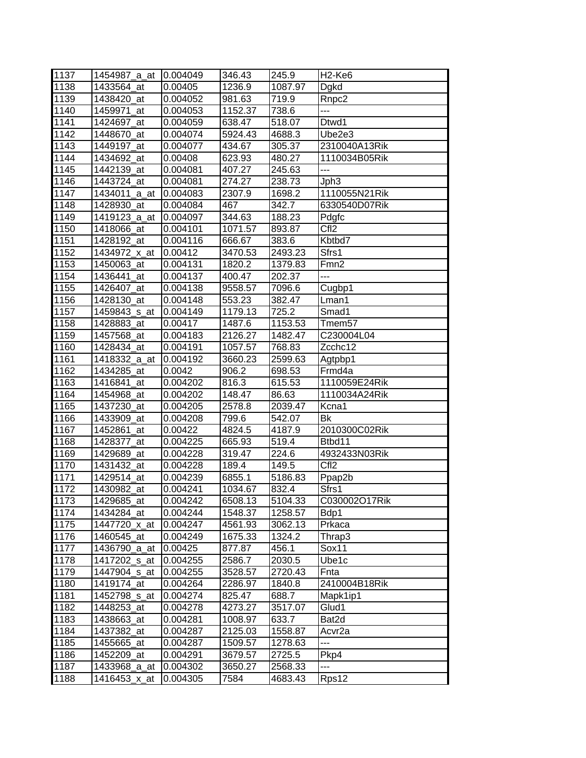| 1137 | 1454987_a_at  | 0.004049 | 346.43  | 245.9   | H <sub>2</sub> -Ke <sub>6</sub> |
|------|---------------|----------|---------|---------|---------------------------------|
| 1138 | 1433564 at    | 0.00405  | 1236.9  | 1087.97 | Dgkd                            |
| 1139 | 1438420_at    | 0.004052 | 981.63  | 719.9   | Rnpc <sub>2</sub>               |
| 1140 | 1459971_at    | 0.004053 | 1152.37 | 738.6   | ---                             |
| 1141 | 1424697 at    | 0.004059 | 638.47  | 518.07  | Dtwd1                           |
| 1142 | 1448670_at    | 0.004074 | 5924.43 | 4688.3  | Ube2e3                          |
| 1143 | 1449197_at    | 0.004077 | 434.67  | 305.37  | 2310040A13Rik                   |
| 1144 | 1434692_at    | 0.00408  | 623.93  | 480.27  | 1110034B05Rik                   |
| 1145 | 1442139_at    | 0.004081 | 407.27  | 245.63  | ---                             |
| 1146 | 1443724 at    | 0.004081 | 274.27  | 238.73  | Jph3                            |
| 1147 | 1434011_a_at  | 0.004083 | 2307.9  | 1698.2  | 1110055N21Rik                   |
| 1148 | 1428930_at    | 0.004084 | 467     | 342.7   | 6330540D07Rik                   |
| 1149 | 1419123_a_at  | 0.004097 | 344.63  | 188.23  | Pdgfc                           |
| 1150 | 1418066_at    | 0.004101 | 1071.57 | 893.87  | CfI <sub>2</sub>                |
| 1151 | 1428192_at    | 0.004116 | 666.67  | 383.6   | Kbtbd7                          |
| 1152 | 1434972_x_at  | 0.00412  | 3470.53 | 2493.23 | Sfrs1                           |
| 1153 | 1450063_at    | 0.004131 | 1820.2  | 1379.83 | Fmn <sub>2</sub>                |
| 1154 | 1436441_at    | 0.004137 | 400.47  | 202.37  | ---                             |
| 1155 | 1426407 at    | 0.004138 | 9558.57 | 7096.6  | Cugbp1                          |
| 1156 | 1428130_at    | 0.004148 | 553.23  | 382.47  | Lman1                           |
| 1157 | 1459843_s_at  | 0.004149 | 1179.13 | 725.2   | Smad1                           |
| 1158 | 1428883_at    | 0.00417  | 1487.6  | 1153.53 | Tmem <sub>57</sub>              |
| 1159 | 1457568_at    | 0.004183 | 2126.27 | 1482.47 | C230004L04                      |
| 1160 | 1428434 at    | 0.004191 | 1057.57 | 768.83  | Zcchc12                         |
| 1161 | 1418332_a_at  | 0.004192 | 3660.23 | 2599.63 | Agtpbp1                         |
| 1162 | 1434285_at    | 0.0042   | 906.2   | 698.53  | Frmd4a                          |
| 1163 | 1416841 at    | 0.004202 | 816.3   | 615.53  | 1110059E24Rik                   |
| 1164 | 1454968_at    | 0.004202 | 148.47  | 86.63   | 1110034A24Rik                   |
| 1165 | 1437230_at    | 0.004205 | 2578.8  | 2039.47 | Kcna1                           |
| 1166 | 1433909_at    | 0.004208 | 799.6   | 542.07  | Βk                              |
| 1167 | 1452861_at    | 0.00422  | 4824.5  | 4187.9  | 2010300C02Rik                   |
| 1168 | 1428377<br>at | 0.004225 | 665.93  | 519.4   | Btbd11                          |
| 1169 | 1429689_at    | 0.004228 | 319.47  | 224.6   | 4932433N03Rik                   |
| 1170 | 1431432 at    | 0.004228 | 189.4   | 149.5   | CfI <sub>2</sub>                |
| 1171 | 1429514_at    | 0.004239 | 6855.1  | 5186.83 | Ppap2b                          |
| 1172 | 1430982_at    | 0.004241 | 1034.67 | 832.4   | Sfrs1                           |
| 1173 | 1429685_at    | 0.004242 | 6508.13 | 5104.33 | C030002O17Rik                   |
| 1174 | 1434284_at    | 0.004244 | 1548.37 | 1258.57 | Bdp1                            |
| 1175 | 1447720_x_at  | 0.004247 | 4561.93 | 3062.13 | Prkaca                          |
| 1176 | 1460545_at    | 0.004249 | 1675.33 | 1324.2  | Thrap3                          |
| 1177 | 1436790_a_at  | 0.00425  | 877.87  | 456.1   | Sox11                           |
| 1178 | 1417202 s at  | 0.004255 | 2586.7  | 2030.5  | Ube1c                           |
| 1179 | 1447904_s_at  | 0.004255 | 3528.57 | 2720.43 | Fnta                            |
| 1180 | 1419174_at    | 0.004264 | 2286.97 | 1840.8  | 2410004B18Rik                   |
| 1181 | 1452798_s_at  | 0.004274 | 825.47  | 688.7   | Mapk1ip1                        |
| 1182 | 1448253_at    | 0.004278 | 4273.27 | 3517.07 | Glud1                           |
| 1183 | 1438663_at    | 0.004281 | 1008.97 | 633.7   | Bat2d                           |
| 1184 | 1437382_at    | 0.004287 | 2125.03 | 1558.87 | Acvr2a                          |
| 1185 | 1455665_at    | 0.004287 | 1509.57 | 1278.63 |                                 |
| 1186 | 1452209_at    | 0.004291 | 3679.57 | 2725.5  | Pkp4                            |
| 1187 | 1433968_a_at  | 0.004302 | 3650.27 | 2568.33 | ---                             |
| 1188 | 1416453_x_at  | 0.004305 | 7584    | 4683.43 | Rps12                           |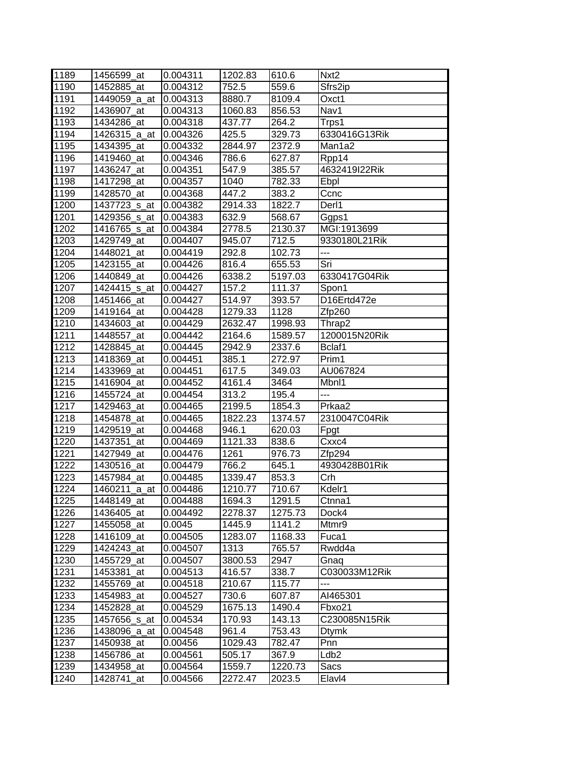|              | 1456599_at               | 0.004311             | 1202.83            | 610.6             | Nxt <sub>2</sub>     |
|--------------|--------------------------|----------------------|--------------------|-------------------|----------------------|
| 1189<br>1190 | 1452885 at               | 0.004312             | 752.5              | 559.6             | Sfrs2ip              |
| 1191         | 1449059_a_at             | 0.004313             | 8880.7             | 8109.4            | Oxct1                |
| 1192         | 1436907_at               | 0.004313             | 1060.83            | 856.53            | Nav1                 |
| 1193         | 1434286 at               | 0.004318             | 437.77             | 264.2             | Trps1                |
| 1194         | 1426315_a_at             | 0.004326             | 425.5              | 329.73            | 6330416G13Rik        |
|              |                          |                      |                    |                   |                      |
| 1195         | 1434395_at               | 0.004332             | 2844.97            | 2372.9            | Man1a2               |
| 1196         | 1419460_at               | 0.004346             | 786.6              | 627.87            | Rpp14                |
| 1197         | 1436247_at               | 0.004351             | 547.9              | 385.57            | 4632419I22Rik        |
| 1198         | 1417298 at               | 0.004357             | 1040               | 782.33            | Ebpl                 |
| 1199         | 1428570_at               | 0.004368             | 447.2              | 383.2             | Ccnc                 |
| 1200         | 1437723 s at             | 0.004382             | 2914.33            | 1822.7            | Derl1                |
| 1201         | 1429356_s_at             | 0.004383             | 632.9              | 568.67            | Ggps1                |
| 1202         | 1416765_s_at             | 0.004384             | 2778.5             | 2130.37           | MGI:1913699          |
| 1203         | 1429749 at               | 0.004407             | 945.07             | 712.5             | 9330180L21Rik        |
| 1204         | 1448021_at               | 0.004419             | 292.8              | 102.73            | $---$                |
| 1205         | 1423155 at               | 0.004426             | 816.4              | 655.53            | Sri                  |
| 1206         | 1440849_at               | 0.004426             | 6338.2             | 5197.03           | 6330417G04Rik        |
| 1207         | 1424415 s at             | 0.004427             | 157.2              | 111.37            | Spon1                |
| 1208         | 1451466_at               | 0.004427             | 514.97             | 393.57            | D16Ertd472e          |
| 1209         | 1419164_at               | 0.004428             | 1279.33            | 1128              | Zfp260               |
| 1210         | 1434603_at               | 0.004429             | 2632.47            | 1998.93           | Thrap <sub>2</sub>   |
| 1211         | 1448557 at               | 0.004442             | 2164.6             | 1589.57           | 1200015N20Rik        |
| 1212         | 1428845 at               | 0.004445             | 2942.9             | 2337.6            | Bclaf1               |
| 1213         | 1418369 at               | 0.004451             | 385.1              | 272.97            | Prim1                |
| 1214         | 1433969_at               | 0.004451             | 617.5              | 349.03            | AU067824             |
| 1215         | 1416904 at               | 0.004452             | 4161.4             | 3464              | Mbnl1                |
| 1216         | 1455724_at               | 0.004454             | 313.2              | 195.4             | ---                  |
| 1217         | 1429463_at               | 0.004465             | 2199.5             | 1854.3            | Prkaa2               |
| 1218         | 1454878 at               | 0.004465             | 1822.23            | 1374.57           | 2310047C04Rik        |
| 1219         | 1429519_at               | 0.004468             | 946.1              | 620.03            | Fpgt                 |
| 1220         |                          |                      |                    |                   |                      |
|              | 1437351<br>at            | 0.004469             | 1121.33            | 838.6             | Cxxc4                |
| 1221         | 1427949_at               | 0.004476             | 1261               | 976.73            | Zfp294               |
| 1222         | 1430516 at               | 0.004479             | 766.2              |                   | 4930428B01Rik        |
|              |                          |                      |                    | 645.1             | Crh                  |
| 1223         | 1457984_at               | 0.004485             | 1339.47<br>1210.77 | 853.3             | Kdelr1               |
| 1224         | 1460211_a_at             | 0.004486             |                    | 710.67            | Ctnna1               |
| 1225         | 1448149_at               | 0.004488<br>0.004492 | 1694.3             | 1291.5            |                      |
| 1226         | 1436405_at<br>1455058 at |                      | 2278.37            | 1275.73           | Dock4<br>Mtmr9       |
| 1227         |                          | 0.0045               | 1445.9             | 1141.2            |                      |
| 1228         | 1416109 at               | 0.004505             | 1283.07            | 1168.33           | Fuca1                |
| 1229         | 1424243_at               | 0.004507             | 1313               | 765.57            | Rwdd4a               |
| 1230         | 1455729_at               | 0.004507             | 3800.53            | 2947              | Gnaq                 |
| 1231         | 1453381_at               | 0.004513             | 416.57             | 338.7             | C030033M12Rik<br>--- |
| 1232         | 1455769 at               | 0.004518             | 210.67             | 115.77            |                      |
| 1233         | 1454983_at               | 0.004527             | 730.6              | 607.87            | AI465301             |
| 1234         | 1452828 at               | 0.004529             | 1675.13            | 1490.4            | Fbxo21               |
| 1235         | 1457656_s_at             | 0.004534             | 170.93             | 143.13            | C230085N15Rik        |
| 1236         | 1438096_a_at             | 0.004548             | 961.4              | 753.43            | <b>Dtymk</b>         |
| 1237         | 1450938_at               | 0.00456              | 1029.43            | 782.47            | Pnn                  |
| 1238         | 1456786_at               | 0.004561             | 505.17             | 367.9             | Ldb <sub>2</sub>     |
| 1239<br>1240 | 1434958_at<br>1428741_at | 0.004564<br>0.004566 | 1559.7<br>2272.47  | 1220.73<br>2023.5 | Sacs<br>Elavl4       |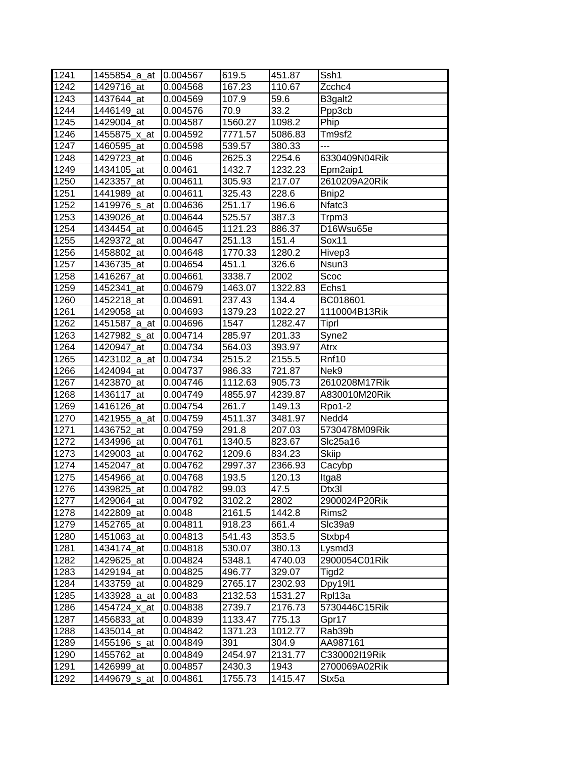| 1241 | 1455854_a_at             | 0.004567 | 619.5   | 451.87  | Ssh1              |
|------|--------------------------|----------|---------|---------|-------------------|
| 1242 | 1429716 at               | 0.004568 | 167.23  | 110.67  | Zcchc4            |
| 1243 | 1437644_at               | 0.004569 | 107.9   | 59.6    | B3galt2           |
| 1244 | 1446149_at               | 0.004576 | 70.9    | 33.2    | Ppp3cb            |
| 1245 | 1429004_at               | 0.004587 | 1560.27 | 1098.2  | Phip              |
| 1246 | 1455875_x_at             | 0.004592 | 7771.57 | 5086.83 | Tm9sf2            |
| 1247 | 1460595_at               | 0.004598 | 539.57  | 380.33  | $\overline{a}$    |
| 1248 | 1429723_at               | 0.0046   | 2625.3  | 2254.6  | 6330409N04Rik     |
| 1249 | 1434105_at               | 0.00461  | 1432.7  | 1232.23 | Epm2aip1          |
| 1250 | 1423357 at               | 0.004611 | 305.93  | 217.07  | 2610209A20Rik     |
| 1251 | 1441989_at               | 0.004611 | 325.43  | 228.6   | Bnip2             |
| 1252 | 1419976 <sub>_S_at</sub> | 0.004636 | 251.17  | 196.6   | Nfatc3            |
| 1253 | 1439026_at               | 0.004644 | 525.57  | 387.3   | Trpm3             |
| 1254 | 1434454_at               | 0.004645 | 1121.23 | 886.37  | D16Wsu65e         |
| 1255 | 1429372 at               | 0.004647 | 251.13  | 151.4   | Sox11             |
| 1256 | 1458802_at               | 0.004648 | 1770.33 | 1280.2  | Hivep3            |
| 1257 | 1436735_at               | 0.004654 | 451.1   | 326.6   | Nsun3             |
| 1258 | 1416267_at               | 0.004661 | 3338.7  | 2002    | Scoc              |
| 1259 | 1452341 at               | 0.004679 | 1463.07 | 1322.83 | Echs1             |
| 1260 | 1452218 at               | 0.004691 | 237.43  | 134.4   | BC018601          |
| 1261 | 1429058_at               | 0.004693 | 1379.23 | 1022.27 | 1110004B13Rik     |
| 1262 | 1451587_a_at             | 0.004696 | 1547    | 1282.47 | Tiprl             |
| 1263 | 1427982 s at             | 0.004714 | 285.97  | 201.33  | Syne <sub>2</sub> |
| 1264 | 1420947 at               | 0.004734 | 564.03  | 393.97  | Atrx              |
| 1265 | 1423102 a at             | 0.004734 | 2515.2  | 2155.5  | Rnf10             |
| 1266 | 1424094_at               | 0.004737 | 986.33  | 721.87  | Nek9              |
| 1267 | 1423870 at               | 0.004746 | 1112.63 | 905.73  | 2610208M17Rik     |
| 1268 | 1436117_at               | 0.004749 | 4855.97 | 4239.87 | A830010M20Rik     |
| 1269 | 1416126_at               | 0.004754 | 261.7   | 149.13  | Rpo1-2            |
| 1270 | 1421955_a_at             | 0.004759 | 4511.37 | 3481.97 | Nedd4             |
| 1271 | 1436752_at               | 0.004759 | 291.8   | 207.03  | 5730478M09Rik     |
| 1272 | 1434996_at               | 0.004761 | 1340.5  | 823.67  | Slc25a16          |
| 1273 | 1429003 at               | 0.004762 | 1209.6  | 834.23  | <b>Skiip</b>      |
| 1274 | 1452047 at               | 0.004762 | 2997.37 | 2366.93 | Cacybp            |
| 1275 | 1454966_at               | 0.004768 | 193.5   | 120.13  | Itga8             |
| 1276 | 1439825_at               | 0.004782 | 99.03   | 47.5    | Dtx3l             |
| 1277 | 1429064 at               | 0.004792 | 3102.2  | 2802    | 2900024P20Rik     |
| 1278 | 1422809_at               | 0.0048   | 2161.5  | 1442.8  | Rims2             |
| 1279 | 1452765_at               | 0.004811 | 918.23  | 661.4   | SIc39a9           |
| 1280 | 1451063_at               | 0.004813 | 541.43  | 353.5   | Stxbp4            |
| 1281 | 1434174_at               | 0.004818 | 530.07  | 380.13  | Lysmd3            |
| 1282 | 1429625 at               | 0.004824 | 5348.1  | 4740.03 | 2900054C01Rik     |
| 1283 | 1429194 at               | 0.004825 | 496.77  | 329.07  | Tigd2             |
| 1284 | 1433759_at               | 0.004829 | 2765.17 | 2302.93 | Dpy1911           |
| 1285 | 1433928_a_at             | 0.00483  | 2132.53 | 1531.27 | Rpl13a            |
| 1286 | 1454724_x_at             | 0.004838 | 2739.7  | 2176.73 | 5730446C15Rik     |
| 1287 | 1456833_at               | 0.004839 | 1133.47 | 775.13  | Gpr17             |
| 1288 | 1435014_at               | 0.004842 | 1371.23 | 1012.77 | Rab39b            |
| 1289 | 1455196 <sub>_S_at</sub> | 0.004849 | 391     | 304.9   | AA987161          |
| 1290 | 1455762_at               | 0.004849 | 2454.97 | 2131.77 | C330002I19Rik     |
| 1291 | 1426999_at               | 0.004857 | 2430.3  | 1943    | 2700069A02Rik     |
| 1292 | 1449679 <sub>_S_at</sub> | 0.004861 | 1755.73 | 1415.47 | Stx5a             |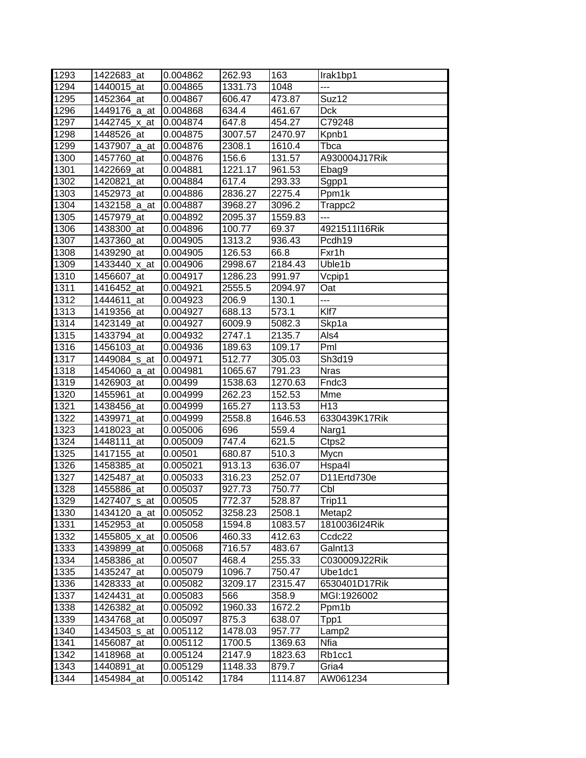| 1293 | 1422683 at    | 0.004862 | 262.93  | 163     | Irak1bp1           |
|------|---------------|----------|---------|---------|--------------------|
| 1294 | 1440015 at    | 0.004865 | 1331.73 | 1048    | ---                |
| 1295 | 1452364 at    | 0.004867 | 606.47  | 473.87  | Suz12              |
| 1296 | 1449176_a_at  | 0.004868 | 634.4   | 461.67  | <b>Dck</b>         |
| 1297 | 1442745_x_at  | 0.004874 | 647.8   | 454.27  | C79248             |
| 1298 | 1448526_at    | 0.004875 | 3007.57 | 2470.97 | Kpnb1              |
| 1299 | 1437907_a_at  | 0.004876 | 2308.1  | 1610.4  | Tbca               |
| 1300 | 1457760_at    | 0.004876 | 156.6   | 131.57  | A930004J17Rik      |
| 1301 | 1422669 at    | 0.004881 | 1221.17 | 961.53  | Ebag9              |
| 1302 | 1420821_at    | 0.004884 | 617.4   | 293.33  | Sgpp1              |
| 1303 | 1452973_at    | 0.004886 | 2836.27 | 2275.4  | Ppm1k              |
| 1304 | 1432158_a_at  | 0.004887 | 3968.27 | 3096.2  | Trappc2            |
| 1305 | 1457979_at    | 0.004892 | 2095.37 | 1559.83 | ---                |
| 1306 | 1438300_at    | 0.004896 | 100.77  | 69.37   | 4921511I16Rik      |
| 1307 | 1437360_at    | 0.004905 | 1313.2  | 936.43  | Pcdh <sub>19</sub> |
| 1308 | 1439290_at    | 0.004905 | 126.53  | 66.8    | Fxr1h              |
| 1309 | 1433440_x_at  | 0.004906 | 2998.67 | 2184.43 | Uble1b             |
| 1310 | 1456607 at    | 0.004917 | 1286.23 | 991.97  | Vcpip1             |
| 1311 | 1416452_at    | 0.004921 | 2555.5  | 2094.97 | Oat                |
| 1312 | 1444611_at    | 0.004923 | 206.9   | 130.1   | ---                |
| 1313 | 1419356_at    | 0.004927 | 688.13  | 573.1   | Klf7               |
| 1314 | 1423149_at    | 0.004927 | 6009.9  | 5082.3  | Skp1a              |
| 1315 | 1433794_at    | 0.004932 | 2747.1  | 2135.7  | Als4               |
| 1316 | 1456103_at    | 0.004936 | 189.63  | 109.17  | Pml                |
| 1317 | 1449084_s_at  | 0.004971 | 512.77  | 305.03  | Sh3d19             |
| 1318 | 1454060 a at  | 0.004981 | 1065.67 | 791.23  | <b>Nras</b>        |
| 1319 | 1426903_at    | 0.00499  | 1538.63 | 1270.63 | Fndc3              |
| 1320 | 1455961_at    | 0.004999 | 262.23  | 152.53  | Mme                |
| 1321 | 1438456_at    | 0.004999 | 165.27  | 113.53  | H <sub>13</sub>    |
| 1322 | 1439971_at    | 0.004999 | 2558.8  | 1646.53 | 6330439K17Rik      |
| 1323 | 1418023_at    | 0.005006 | 696     | 559.4   | Narg1              |
| 1324 | 1448111<br>at | 0.005009 | 747.4   | 621.5   | Ctps2              |
| 1325 | 1417155 at    | 0.00501  | 680.87  | 510.3   | Mycn               |
| 1326 | 1458385_at    | 0.005021 | 913.13  | 636.07  | Hspa4l             |
| 1327 | 1425487 at    | 0.005033 | 316.23  | 252.07  | D11Ertd730e        |
| 1328 | 1455886_at    | 0.005037 | 927.73  | 750.77  | Cbl                |
| 1329 | 1427407_s_at  | 0.00505  | 772.37  | 528.87  | Trip11             |
| 1330 | 1434120_a_at  | 0.005052 | 3258.23 | 2508.1  | Metap2             |
| 1331 | 1452953_at    | 0.005058 | 1594.8  | 1083.57 | 1810036I24Rik      |
| 1332 | 1455805_x_at  | 0.00506  | 460.33  | 412.63  | Ccdc22             |
| 1333 | 1439899 at    | 0.005068 | 716.57  | 483.67  | Galnt13            |
| 1334 | 1458386_at    | 0.00507  | 468.4   | 255.33  | C030009J22Rik      |
| 1335 | 1435247 at    | 0.005079 | 1096.7  | 750.47  | Ube1dc1            |
| 1336 | 1428333_at    | 0.005082 | 3209.17 | 2315.47 | 6530401D17Rik      |
| 1337 | 1424431_at    | 0.005083 | 566     | 358.9   | MGI:1926002        |
| 1338 | 1426382_at    | 0.005092 | 1960.33 | 1672.2  | Ppm1b              |
| 1339 | 1434768_at    | 0.005097 | 875.3   | 638.07  | Tpp1               |
| 1340 | 1434503_s_at  | 0.005112 | 1478.03 | 957.77  | Lamp2              |
| 1341 | 1456087_at    | 0.005112 | 1700.5  | 1369.63 | Nfia               |
| 1342 | 1418968_at    | 0.005124 | 2147.9  | 1823.63 | Rb1cc1             |
| 1343 | 1440891_at    | 0.005129 | 1148.33 | 879.7   | Gria4              |
| 1344 | 1454984_at    | 0.005142 | 1784    | 1114.87 | AW061234           |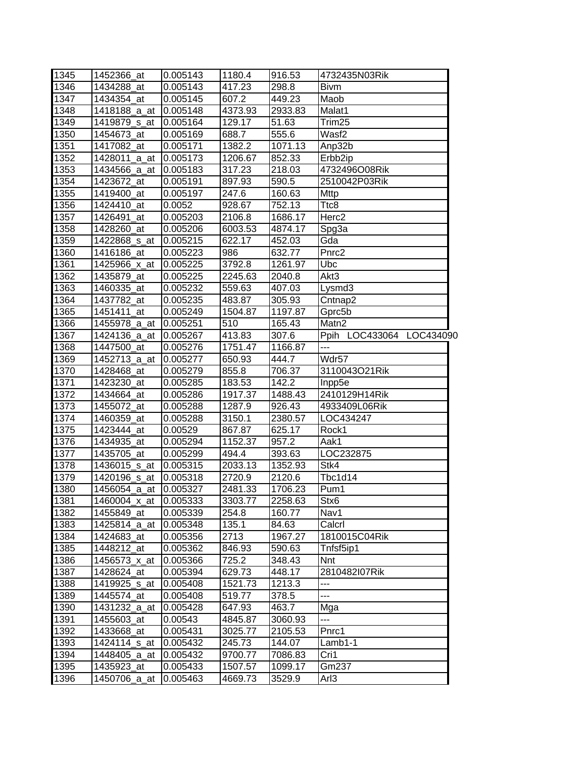| 1345 | 1452366_at            | 0.005143 | 1180.4              | 916.53  | 4732435N03Rik            |
|------|-----------------------|----------|---------------------|---------|--------------------------|
| 1346 | 1434288 at            | 0.005143 | 417.23              | 298.8   | <b>Bivm</b>              |
| 1347 | 1434354_at            | 0.005145 | 607.2               | 449.23  | Maob                     |
| 1348 | 1418188_a_at 0.005148 |          | 4373.93             | 2933.83 | Malat1                   |
| 1349 | 1419879 s at 0.005164 |          | $\overline{129.17}$ | 51.63   | Trim <sub>25</sub>       |
| 1350 | 1454673_at            | 0.005169 | 688.7               | 555.6   | Wasf2                    |
| 1351 | 1417082 at            | 0.005171 | 1382.2              | 1071.13 | Anp32b                   |
| 1352 | 1428011_a_at 0.005173 |          | 1206.67             | 852.33  | Erbb <sub>2ip</sub>      |
| 1353 | 1434566 a at 0.005183 |          | 317.23              | 218.03  | 4732496O08Rik            |
| 1354 | 1423672_at            | 0.005191 | 897.93              | 590.5   | 2510042P03Rik            |
| 1355 | 1419400_at            | 0.005197 | 247.6               | 160.63  | Mttp                     |
| 1356 | 1424410_at            | 0.0052   | 928.67              | 752.13  | Ttc8                     |
| 1357 | 1426491_at            | 0.005203 | 2106.8              | 1686.17 | Herc2                    |
| 1358 | 1428260_at            | 0.005206 | 6003.53             | 4874.17 | Spg3a                    |
| 1359 | 1422868_s_at          | 0.005215 | 622.17              | 452.03  | Gda                      |
| 1360 | 1416186_at            | 0.005223 | 986                 | 632.77  | Pnrc2                    |
| 1361 | 1425966 x at          | 0.005225 | 3792.8              | 1261.97 | Ubc                      |
| 1362 | 1435879 at            | 0.005225 | 2245.63             | 2040.8  | Akt3                     |
| 1363 | 1460335_at            | 0.005232 | 559.63              | 407.03  | Lysmd3                   |
| 1364 | 1437782_at            | 0.005235 | 483.87              | 305.93  | Cntnap2                  |
| 1365 | 1451411 at            | 0.005249 | 1504.87             | 1197.87 | Gprc5b                   |
| 1366 | 1455978_a_at 0.005251 |          | 510                 | 165.43  | Matn2                    |
| 1367 | 1424136_a_at          | 0.005267 | 413.83              | 307.6   | Ppih LOC433064 LOC434090 |
| 1368 | 1447500_at            | 0.005276 | 1751.47             | 1166.87 | ---                      |
| 1369 | 1452713_a_at 0.005277 |          | 650.93              | 444.7   | Wdr57                    |
| 1370 | 1428468_at            | 0.005279 | 855.8               | 706.37  | 3110043O21Rik            |
| 1371 | 1423230 at            | 0.005285 | 183.53              | 142.2   | Inpp5e                   |
| 1372 | 1434664_at            | 0.005286 | 1917.37             | 1488.43 | 2410129H14Rik            |
| 1373 | 1455072_at            | 0.005288 | 1287.9              | 926.43  | 4933409L06Rik            |
| 1374 | 1460359_at            | 0.005288 | 3150.1              | 2380.57 | LOC434247                |
| 1375 | 1423444 at            | 0.00529  | 867.87              | 625.17  | Rock1                    |
| 1376 | 1434935_at            | 0.005294 | 1152.37             | 957.2   | Aak1                     |
| 1377 | 1435705_at            | 0.005299 | 494.4               | 393.63  | LOC232875                |
| 1378 | 1436015_s_at          | 0.005315 | 2033.13             | 1352.93 | Stk4                     |
| 1379 | 1420196_s_at          | 0.005318 | 2720.9              | 2120.6  | Tbc1d14                  |
| 1380 | 1456054 a at 0.005327 |          | 2481.33             | 1706.23 | Pum1                     |
| 1381 | 1460004_x_at          | 0.005333 | 3303.77             | 2258.63 | Stx6                     |
| 1382 | 1455849_at            | 0.005339 | 254.8               | 160.77  | Nav1                     |
| 1383 | 1425814_a_at          | 0.005348 | 135.1               | 84.63   | Calcrl                   |
| 1384 | 1424683_at            | 0.005356 | 2713                | 1967.27 | 1810015C04Rik            |
| 1385 | 1448212_at            | 0.005362 | 846.93              | 590.63  | Tnfsf5ip1                |
| 1386 | 1456573_x_at          | 0.005366 | 725.2               | 348.43  | <b>Nnt</b>               |
| 1387 | 1428624_at            | 0.005394 | 629.73              | 448.17  | 2810482l07Rik            |
| 1388 | 1419925_s_at          | 0.005408 | 1521.73             | 1213.3  |                          |
| 1389 | 1445574_at            | 0.005408 | 519.77              | 378.5   | ---                      |
| 1390 | 1431232_a_at          | 0.005428 | 647.93              | 463.7   | Mga                      |
| 1391 | 1455603_at            | 0.00543  | 4845.87             | 3060.93 | ---                      |
| 1392 | 1433668_at            | 0.005431 | 3025.77             | 2105.53 | Pnrc1                    |
| 1393 | 1424114_s_at          | 0.005432 | 245.73              | 144.07  | Lamb1-1                  |
| 1394 | 1448405_a_at          | 0.005432 | 9700.77             | 7086.83 | Cri1                     |
| 1395 | 1435923_at            | 0.005433 | 1507.57             | 1099.17 | Gm237                    |
| 1396 | 1450706_a_at          | 0.005463 | 4669.73             | 3529.9  | Arl3                     |
|      |                       |          |                     |         |                          |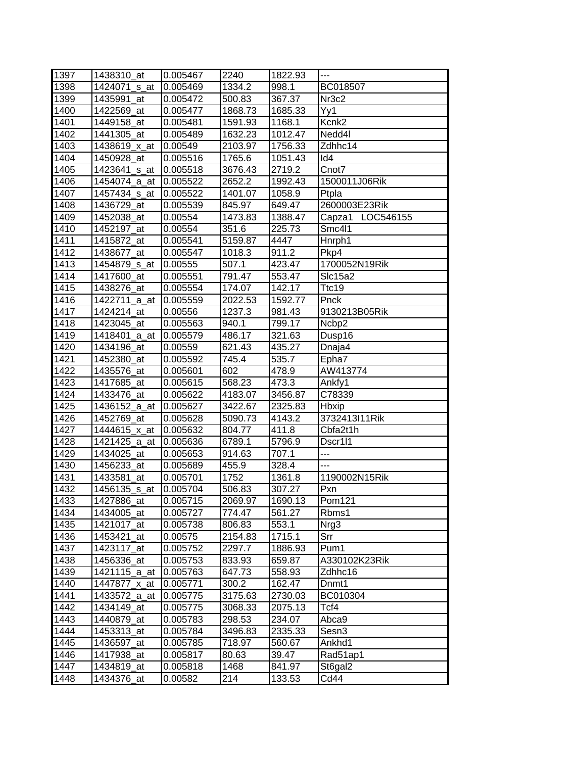| 1397 | 1438310_at   | 0.005467 | 2240    | 1822.93 | $\overline{a}$    |
|------|--------------|----------|---------|---------|-------------------|
| 1398 | 1424071 s at | 0.005469 | 1334.2  | 998.1   | BC018507          |
| 1399 | 1435991 at   | 0.005472 | 500.83  | 367.37  | Nr <sub>3c2</sub> |
| 1400 | 1422569_at   | 0.005477 | 1868.73 | 1685.33 | Yy1               |
| 1401 | 1449158_at   | 0.005481 | 1591.93 | 1168.1  | Kcnk <sub>2</sub> |
| 1402 | 1441305_at   | 0.005489 | 1632.23 | 1012.47 | Nedd4l            |
| 1403 | 1438619_x_at | 0.00549  | 2103.97 | 1756.33 | Zdhhc14           |
| 1404 | 1450928_at   | 0.005516 | 1765.6  | 1051.43 | Id <sub>4</sub>   |
| 1405 | 1423641_s_at | 0.005518 | 3676.43 | 2719.2  | Cnot7             |
| 1406 | 1454074_a_at | 0.005522 | 2652.2  | 1992.43 | 1500011J06Rik     |
| 1407 | 1457434_s_at | 0.005522 | 1401.07 | 1058.9  | Ptpla             |
| 1408 | 1436729_at   | 0.005539 | 845.97  | 649.47  | 2600003E23Rik     |
| 1409 | 1452038_at   | 0.00554  | 1473.83 | 1388.47 | Capza1 LOC546155  |
| 1410 | 1452197_at   | 0.00554  | 351.6   | 225.73  | Smc4l1            |
| 1411 | 1415872_at   | 0.005541 | 5159.87 | 4447    | Hnrph1            |
| 1412 | 1438677 at   | 0.005547 | 1018.3  | 911.2   | Pkp4              |
| 1413 | 1454879 s at | 0.00555  | 507.1   | 423.47  | 1700052N19Rik     |
| 1414 | 1417600 at   | 0.005551 | 791.47  | 553.47  | Slc15a2           |
| 1415 | 1438276_at   | 0.005554 | 174.07  | 142.17  | Ttc19             |
| 1416 | 1422711_a_at | 0.005559 | 2022.53 | 1592.77 | Pnck              |
| 1417 | 1424214 at   | 0.00556  | 1237.3  | 981.43  | 9130213B05Rik     |
| 1418 | 1423045_at   | 0.005563 | 940.1   | 799.17  | Ncbp2             |
| 1419 | 1418401_a_at | 0.005579 | 486.17  | 321.63  | Dusp16            |
| 1420 | 1434196_at   | 0.00559  | 621.43  | 435.27  | Dnaja4            |
| 1421 | 1452380_at   | 0.005592 | 745.4   | 535.7   | Epha7             |
| 1422 | 1435576_at   | 0.005601 | 602     | 478.9   | AW413774          |
| 1423 | 1417685_at   | 0.005615 | 568.23  | 473.3   | Ankfy1            |
| 1424 | 1433476 at   | 0.005622 | 4183.07 | 3456.87 | C78339            |
| 1425 | 1436152_a_at | 0.005627 | 3422.67 | 2325.83 | <b>Hbxip</b>      |
| 1426 | 1452769 at   | 0.005628 | 5090.73 | 4143.2  | 3732413111Rik     |
| 1427 | 1444615_x_at | 0.005632 | 804.77  | 411.8   | Cbfa2t1h          |
| 1428 | 1421425_a_at | 0.005636 | 6789.1  | 5796.9  | Dscr111           |
| 1429 | 1434025_at   | 0.005653 | 914.63  | 707.1   | ---               |
| 1430 | 1456233_at   | 0.005689 | 455.9   | 328.4   | $\overline{a}$    |
| 1431 | 1433581_at   | 0.005701 | 1752    | 1361.8  | 1190002N15Rik     |
| 1432 | 1456135 s at | 0.005704 | 506.83  | 307.27  | Pxn               |
| 1433 | 1427886 at   | 0.005715 | 2069.97 | 1690.13 | Pom121            |
| 1434 | 1434005_at   | 0.005727 | 774.47  | 561.27  | Rbms1             |
| 1435 | 1421017_at   | 0.005738 | 806.83  | 553.1   | Nrg3              |
| 1436 | 1453421_at   | 0.00575  | 2154.83 | 1715.1  | Srr               |
| 1437 | 1423117_at   | 0.005752 | 2297.7  | 1886.93 | Pum1              |
| 1438 | 1456336 at   | 0.005753 | 833.93  | 659.87  | A330102K23Rik     |
| 1439 | 1421115_a_at | 0.005763 | 647.73  | 558.93  | Zdhhc16           |
| 1440 | 1447877_x_at | 0.005771 | 300.2   | 162.47  | Dnmt1             |
| 1441 | 1433572_a_at | 0.005775 | 3175.63 | 2730.03 | BC010304          |
| 1442 | 1434149_at   | 0.005775 | 3068.33 | 2075.13 | Tcf4              |
| 1443 | 1440879_at   | 0.005783 | 298.53  | 234.07  | Abca9             |
| 1444 | 1453313_at   | 0.005784 | 3496.83 | 2335.33 | Sesn3             |
| 1445 | 1436597_at   | 0.005785 | 718.97  | 560.67  | Ankhd1            |
| 1446 | 1417938_at   | 0.005817 | 80.63   | 39.47   | Rad51ap1          |
| 1447 | 1434819_at   | 0.005818 | 1468    | 841.97  | St6gal2           |
| 1448 | 1434376_at   | 0.00582  | 214     | 133.53  | Cd44              |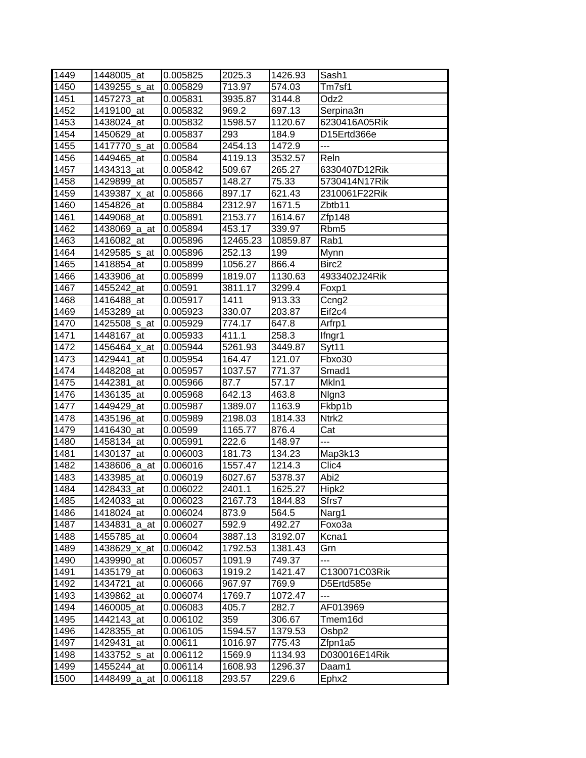| 1449         | 1448005_at                 | 0.005825             | 2025.3             | 1426.93         | Sash1                          |
|--------------|----------------------------|----------------------|--------------------|-----------------|--------------------------------|
| 1450         | 1439255 s at               | 0.005829             | 713.97             | 574.03          | Tm7sf1                         |
| 1451         | 1457273_at                 | 0.005831             | 3935.87            | 3144.8          | Odz <sub>2</sub>               |
| 1452         | 1419100_at                 | 0.005832             | 969.2              | 697.13          | Serpina3n                      |
| 1453         | 1438024_at                 | 0.005832             | 1598.57            | 1120.67         | 6230416A05Rik                  |
| 1454         | 1450629 at                 | 0.005837             | 293                | 184.9           | D15Ertd366e                    |
| 1455         | 1417770_s_at               | 0.00584              | 2454.13            | 1472.9          | $\overline{a}$                 |
|              |                            |                      |                    | 3532.57         | Reln                           |
| 1456         | 1449465_at                 | 0.00584<br>0.005842  | 4119.13            |                 | 6330407D12Rik                  |
| 1457         | 1434313_at                 |                      | 509.67             | 265.27          |                                |
| 1458<br>1459 | 1429899_at<br>1439387_x_at | 0.005857<br>0.005866 | 148.27<br>897.17   | 75.33<br>621.43 | 5730414N17Rik<br>2310061F22Rik |
| 1460         | 1454826_at                 | 0.005884             |                    | 1671.5          | Zbtb11                         |
| 1461         | 1449068_at                 |                      | 2312.97<br>2153.77 | 1614.67         |                                |
| 1462         |                            | 0.005891             |                    |                 | Zfp148                         |
|              | 1438069_a_at               | 0.005894             | 453.17             | 339.97          | Rbm <sub>5</sub>               |
| 1463         | 1416082_at                 | 0.005896             | 12465.23           | 10859.87        | Rab1                           |
| 1464         | 1429585_s_at               | 0.005896             | 252.13             | 199             | Mynn                           |
| 1465         | 1418854_at                 | 0.005899             | 1056.27            | 866.4           | Birc2                          |
| 1466         | 1433906_at                 | 0.005899             | 1819.07            | 1130.63         | 4933402J24Rik                  |
| 1467         | 1455242_at                 | 0.00591              | 3811.17            | 3299.4          | Foxp1                          |
| 1468         | 1416488_at                 | 0.005917             | 1411               | 913.33          | Ccng <sub>2</sub>              |
| 1469         | 1453289_at                 | 0.005923             | 330.07             | 203.87          | Eif <sub>2c4</sub>             |
| 1470         | 1425508_s_at               | 0.005929             | 774.17             | 647.8           | Arfrp1                         |
| 1471         | 1448167 at                 | 0.005933             | 411.1              | 258.3           | Ifngr1                         |
| 1472         | 1456464_x_at               | 0.005944             | 5261.93            | 3449.87         | Syt11                          |
| 1473         | 1429441_at                 | 0.005954             | 164.47             | 121.07          | Fbxo30                         |
| 1474         | 1448208_at                 | 0.005957             | 1037.57            | 771.37          | Smad1                          |
| 1475         | 1442381 at                 | 0.005966             | 87.7               | 57.17           | Mkln1                          |
| 1476         | 1436135_at                 | 0.005968             | 642.13             | 463.8           | Nlgn3                          |
| 1477         | 1449429_at                 | 0.005987             | 1389.07            | 1163.9          | Fkbp1b                         |
| 1478         | 1435196_at                 | 0.005989             | 2198.03            | 1814.33         | Ntrk2                          |
| 1479         | 1416430_at                 | 0.00599              | 1165.77            | 876.4           | Cat                            |
| 1480         | 1458134_at                 | 0.005991             | 222.6              | 148.97          | ---                            |
| 1481         | 1430137_at                 | 0.006003             | 181.73             | 134.23          | Map3k13                        |
| 1482         | 1438606_a_at               | 0.006016             | 1557.47            | 1214.3          | Clic4                          |
| 1483         | 1433985_at                 | 0.006019             | 6027.67            | 5378.37         | Abi2                           |
| 1484         | 1428433_at                 | 0.006022             | 2401.1             | 1625.27         | Hipk2                          |
| 1485         | 1424033 at                 | 0.006023             | 2167.73            | 1844.83         | Sfrs7                          |
| 1486         | 1418024_at                 | 0.006024             | 873.9              | 564.5           | Narg1                          |
| 1487         | 1434831_a_at               | 0.006027             | 592.9              | 492.27          | Foxo3a                         |
| 1488         | 1455785_at                 | 0.00604              | 3887.13            | 3192.07         | Kcna1                          |
| 1489         | 1438629_x_at               | 0.006042             | 1792.53            | 1381.43         | Grn                            |
| 1490         | 1439990 at                 | 0.006057             | 1091.9             | 749.37          | ---                            |
| 1491         | 1435179_at                 | 0.006063             | 1919.2             | 1421.47         | C130071C03Rik                  |
| 1492         | 1434721_at                 | 0.006066             | 967.97             | 769.9           | D5Ertd585e                     |
| 1493         | 1439862_at                 | 0.006074             | 1769.7             | 1072.47         | ---                            |
| 1494         | 1460005_at                 | 0.006083             | 405.7              | 282.7           | AF013969                       |
| 1495         | 1442143_at                 | 0.006102             | 359                | 306.67          | Tmem16d                        |
| 1496         | 1428355_at                 | 0.006105             | 1594.57            | 1379.53         | Osbp2                          |
| 1497         | 1429431_at                 | 0.00611              | 1016.97            | 775.43          | Zfpn1a5                        |
| 1498         | 1433752_s_at               | 0.006112             | 1569.9             | 1134.93         | D030016E14Rik                  |
| 1499         | 1455244_at                 | 0.006114             | 1608.93            | 1296.37         | Daam1                          |
| 1500         | 1448499_a_at               | 0.006118             | 293.57             | 229.6           | Ephx2                          |
|              |                            |                      |                    |                 |                                |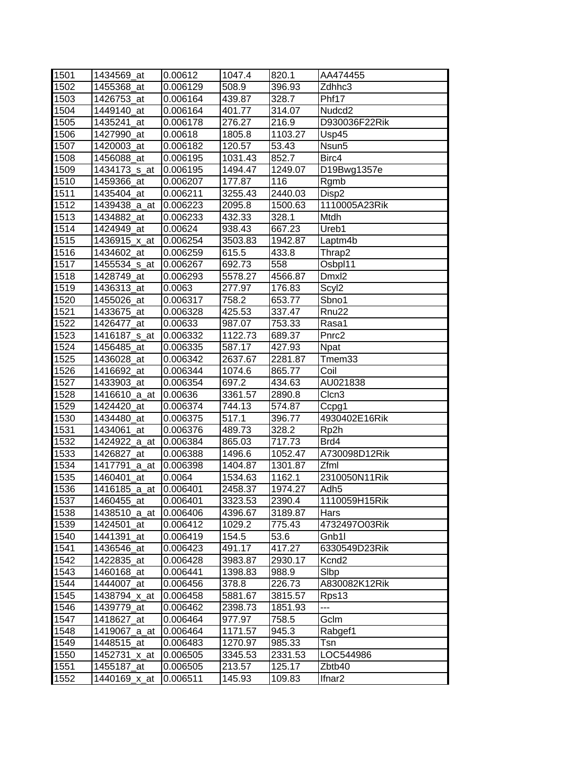| 1501 | 1434569 at    | 0.00612  | 1047.4              | 820.1   | AA474455           |
|------|---------------|----------|---------------------|---------|--------------------|
| 1502 | 1455368_at    | 0.006129 | 508.9               | 396.93  | Zdhhc3             |
| 1503 | 1426753 at    | 0.006164 | 439.87              | 328.7   | Phf17              |
| 1504 | 1449140_at    | 0.006164 | 401.77              | 314.07  | Nudcd <sub>2</sub> |
| 1505 | $1435241$ _at | 0.006178 | 276.27              | 216.9   | D930036F22Rik      |
| 1506 | 1427990_at    | 0.00618  | 1805.8              | 1103.27 | Usp45              |
| 1507 | 1420003_at    | 0.006182 | $\overline{120.57}$ | 53.43   | Nsun <sub>5</sub>  |
| 1508 | 1456088_at    | 0.006195 | 1031.43             | 852.7   | Birc4              |
| 1509 | 1434173_s_at  | 0.006195 | 1494.47             | 1249.07 | D19Bwg1357e        |
| 1510 | 1459366 at    | 0.006207 | 177.87              | 116     | Rgmb               |
| 1511 | 1435404_at    | 0.006211 | 3255.43             | 2440.03 | Disp2              |
| 1512 | 1439438_a_at  | 0.006223 | 2095.8              | 1500.63 | 1110005A23Rik      |
| 1513 | 1434882_at    | 0.006233 | 432.33              | 328.1   | Mtdh               |
| 1514 | 1424949 at    | 0.00624  | 938.43              | 667.23  | Ureb1              |
| 1515 | 1436915_x_at  | 0.006254 | 3503.83             | 1942.87 | Laptm4b            |
| 1516 | 1434602 at    | 0.006259 | 615.5               | 433.8   | Thrap2             |
| 1517 | 1455534 s at  | 0.006267 | 692.73              | 558     | Osbpl11            |
| 1518 | 1428749 at    | 0.006293 | 5578.27             | 4566.87 | Dmxl2              |
| 1519 | 1436313 at    | 0.0063   | 277.97              | 176.83  | Scyl <sub>2</sub>  |
| 1520 | 1455026_at    | 0.006317 | 758.2               | 653.77  | Sbno1              |
| 1521 | 1433675_at    | 0.006328 | 425.53              | 337.47  | Rnu <sub>22</sub>  |
| 1522 | 1426477 at    | 0.00633  | 987.07              | 753.33  | Rasa1              |
| 1523 | 1416187_s_at  | 0.006332 | 1122.73             | 689.37  | Pnrc2              |
| 1524 | 1456485_at    | 0.006335 | 587.17              | 427.93  | <b>Npat</b>        |
| 1525 | 1436028_at    | 0.006342 | 2637.67             | 2281.87 | Tmem33             |
| 1526 | 1416692_at    | 0.006344 | 1074.6              | 865.77  | Coil               |
| 1527 | 1433903_at    | 0.006354 | 697.2               | 434.63  | AU021838           |
| 1528 | 1416610 a at  | 0.00636  | 3361.57             | 2890.8  | Clcn3              |
| 1529 | 1424420_at    | 0.006374 | 744.13              | 574.87  | Ccpg1              |
| 1530 | 1434480 at    | 0.006375 | 517.1               | 396.77  | 4930402E16Rik      |
| 1531 | 1434061 at    | 0.006376 | 489.73              | 328.2   | Rp2h               |
| 1532 | 1424922_a_at  | 0.006384 | 865.03              | 717.73  | Brd4               |
| 1533 | 1426827_at    | 0.006388 | 1496.6              | 1052.47 | A730098D12Rik      |
| 1534 | 1417791 a at  | 0.006398 | 1404.87             | 1301.87 | Zfml               |
| 1535 | 1460401 at    | 0.0064   | 1534.63             | 1162.1  | 2310050N11Rik      |
| 1536 | 1416185 a at  | 0.006401 | 2458.37             | 1974.27 | Adh <sub>5</sub>   |
| 1537 | 1460455_at    | 0.006401 | 3323.53             | 2390.4  | 1110059H15Rik      |
| 1538 | 1438510_a_at  | 0.006406 | 4396.67             | 3189.87 | Hars               |
| 1539 | 1424501_at    | 0.006412 | 1029.2              | 775.43  | 4732497O03Rik      |
| 1540 | 1441391_at    | 0.006419 | 154.5               | 53.6    | Gnb1l              |
| 1541 | 1436546 at    | 0.006423 | 491.17              | 417.27  | 6330549D23Rik      |
| 1542 | 1422835_at    | 0.006428 | 3983.87             | 2930.17 | Kcnd <sub>2</sub>  |
| 1543 | 1460168_at    | 0.006441 | 1398.83             | 988.9   | Slbp               |
| 1544 | 1444007 at    | 0.006456 | 378.8               | 226.73  | A830082K12Rik      |
| 1545 | 1438794 x at  | 0.006458 | 5881.67             | 3815.57 | Rps13              |
| 1546 | 1439779_at    | 0.006462 | 2398.73             | 1851.93 | ---                |
| 1547 | 1418627 at    | 0.006464 | 977.97              | 758.5   | Gclm               |
| 1548 | 1419067_a_at  | 0.006464 | 1171.57             | 945.3   | Rabgef1            |
| 1549 | 1448515_at    | 0.006483 | 1270.97             | 985.33  | Tsn                |
| 1550 | 1452731_x_at  | 0.006505 | 3345.53             | 2331.53 | LOC544986          |
| 1551 | 1455187_at    | 0.006505 | 213.57              | 125.17  | Zbtb40             |
| 1552 | 1440169_x_at  | 0.006511 | 145.93              | 109.83  | Ifnar <sub>2</sub> |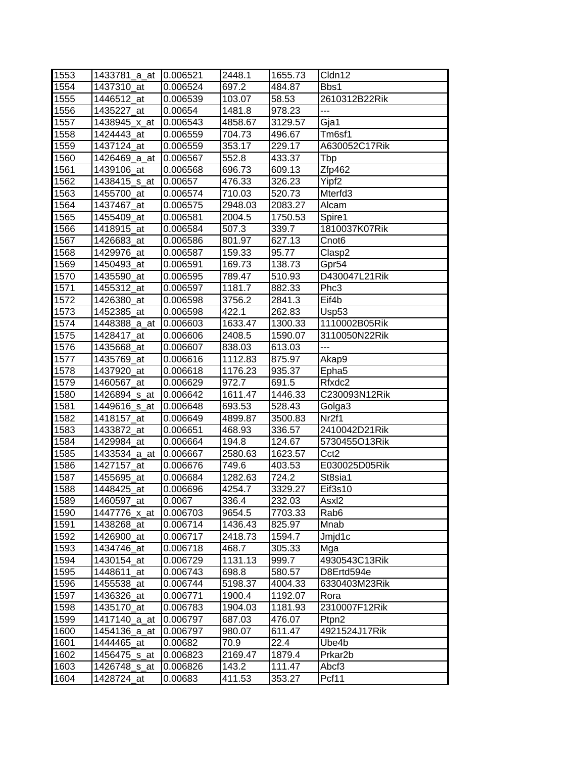| 1553 | 1433781 a at | 10.006521 | 2448.1  | 1655.73 | Cldn12              |
|------|--------------|-----------|---------|---------|---------------------|
| 1554 | 1437310_at   | 0.006524  | 697.2   | 484.87  | Bbs1                |
| 1555 | 1446512_at   | 0.006539  | 103.07  | 58.53   | 2610312B22Rik       |
| 1556 | 1435227 at   | 0.00654   | 1481.8  | 978.23  | ---                 |
| 1557 | 1438945_x_at | 0.006543  | 4858.67 | 3129.57 | Gja1                |
| 1558 | 1424443_at   | 0.006559  | 704.73  | 496.67  | Tm6sf1              |
| 1559 | 1437124_at   | 0.006559  | 353.17  | 229.17  | A630052C17Rik       |
| 1560 | 1426469_a_at | 0.006567  | 552.8   | 433.37  | Tbp                 |
| 1561 | 1439106 at   | 0.006568  | 696.73  | 609.13  | Zfp462              |
| 1562 | 1438415_s_at | 0.00657   | 476.33  | 326.23  | Yipf <sub>2</sub>   |
| 1563 | 1455700_at   | 0.006574  | 710.03  | 520.73  | Mterfd <sub>3</sub> |
| 1564 | 1437467_at   | 0.006575  | 2948.03 | 2083.27 | Alcam               |
| 1565 | 1455409_at   | 0.006581  | 2004.5  | 1750.53 | Spire1              |
| 1566 | 1418915_at   | 0.006584  | 507.3   | 339.7   | 1810037K07Rik       |
| 1567 | 1426683_at   | 0.006586  | 801.97  | 627.13  | Cnot <sub>6</sub>   |
| 1568 | 1429976_at   | 0.006587  | 159.33  | 95.77   | Clasp2              |
| 1569 | 1450493_at   | 0.006591  | 169.73  | 138.73  | Gpr54               |
| 1570 | 1435590 at   | 0.006595  | 789.47  | 510.93  | D430047L21Rik       |
| 1571 | 1455312_at   | 0.006597  | 1181.7  | 882.33  | Phc3                |
| 1572 | 1426380 at   | 0.006598  | 3756.2  | 2841.3  | Eif4b               |
| 1573 | 1452385 at   | 0.006598  | 422.1   | 262.83  | Usp <sub>53</sub>   |
| 1574 | 1448388_a_at | 0.006603  | 1633.47 | 1300.33 | 1110002B05Rik       |
| 1575 | 1428417_at   | 0.006606  | 2408.5  | 1590.07 | 3110050N22Rik       |
| 1576 | 1435668_at   | 0.006607  | 838.03  | 613.03  | ---                 |
| 1577 | 1435769_at   | 0.006616  | 1112.83 | 875.97  | Akap9               |
| 1578 | 1437920_at   | 0.006618  | 1176.23 | 935.37  | Epha <sub>5</sub>   |
| 1579 | 1460567_at   | 0.006629  | 972.7   | 691.5   | Rfxdc2              |
| 1580 | 1426894_s_at | 0.006642  | 1611.47 | 1446.33 | C230093N12Rik       |
| 1581 | 1449616_s_at | 0.006648  | 693.53  | 528.43  | Golga3              |
| 1582 | 1418157_at   | 0.006649  | 4899.87 | 3500.83 | Nr <sub>2f1</sub>   |
| 1583 | 1433872_at   | 0.006651  | 468.93  | 336.57  | 2410042D21Rik       |
| 1584 | 1429984_at   | 0.006664  | 194.8   | 124.67  | 5730455O13Rik       |
| 1585 | 1433534_a_at | 0.006667  | 2580.63 | 1623.57 | Cct <sub>2</sub>    |
| 1586 | 1427157_at   | 0.006676  | 749.6   | 403.53  | E030025D05Rik       |
| 1587 | 1455695_at   | 0.006684  | 1282.63 | 724.2   | St8sia1             |
| 1588 | 1448425_at   | 0.006696  | 4254.7  | 3329.27 | Eif3s10             |
| 1589 | 1460597 at   | 0.0067    | 336.4   | 232.03  | Asxl <sub>2</sub>   |
| 1590 | 1447776_x_at | 0.006703  | 9654.5  | 7703.33 | Rab <sub>6</sub>    |
| 1591 | 1438268_at   | 0.006714  | 1436.43 | 825.97  | Mnab                |
| 1592 | 1426900_at   | 0.006717  | 2418.73 | 1594.7  | Jmjd1c              |
| 1593 | 1434746 at   | 0.006718  | 468.7   | 305.33  | Mga                 |
| 1594 | 1430154_at   | 0.006729  | 1131.13 | 999.7   | 4930543C13Rik       |
| 1595 | 1448611_at   | 0.006743  | 698.8   | 580.57  | D8Ertd594e          |
| 1596 | 1455538_at   | 0.006744  | 5198.37 | 4004.33 | 6330403M23Rik       |
| 1597 | 1436326_at   | 0.006771  | 1900.4  | 1192.07 | Rora                |
| 1598 | 1435170_at   | 0.006783  | 1904.03 | 1181.93 | 2310007F12Rik       |
| 1599 | 1417140_a_at | 0.006797  | 687.03  | 476.07  | Ptpn2               |
| 1600 | 1454136_a_at | 0.006797  | 980.07  | 611.47  | 4921524J17Rik       |
| 1601 | 1444465 at   | 0.00682   | 70.9    | 22.4    | Ube4b               |
| 1602 | 1456475_s_at | 0.006823  | 2169.47 | 1879.4  | Prkar <sub>2b</sub> |
| 1603 | 1426748_s_at | 0.006826  | 143.2   | 111.47  | Abcf3               |
| 1604 | 1428724_at   | 0.00683   | 411.53  | 353.27  | Pcf11               |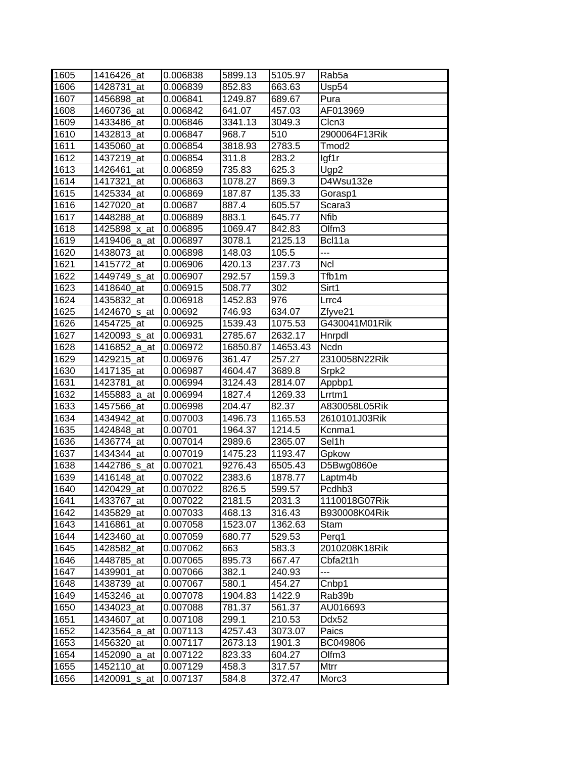| 1605 | 1416426 at   | 0.006838 | 5899.13  | 5105.97  | Rab <sub>5</sub> a |
|------|--------------|----------|----------|----------|--------------------|
| 1606 | 1428731_at   | 0.006839 | 852.83   | 663.63   | Usp54              |
| 1607 | 1456898_at   | 0.006841 | 1249.87  | 689.67   | Pura               |
| 1608 | 1460736_at   | 0.006842 | 641.07   | 457.03   | AF013969           |
| 1609 | 1433486_at   | 0.006846 | 3341.13  | 3049.3   | Clcn3              |
| 1610 | 1432813_at   | 0.006847 | 968.7    | 510      | 2900064F13Rik      |
| 1611 | 1435060_at   | 0.006854 | 3818.93  | 2783.5   | Tmod <sub>2</sub>  |
| 1612 | 1437219_at   | 0.006854 | 311.8    | 283.2    | lgf1r              |
| 1613 | 1426461_at   | 0.006859 | 735.83   | 625.3    | Ugp2               |
| 1614 | 1417321_at   | 0.006863 | 1078.27  | 869.3    | D4Wsu132e          |
| 1615 | 1425334_at   | 0.006869 | 187.87   | 135.33   | Gorasp1            |
| 1616 | 1427020_at   | 0.00687  | 887.4    | 605.57   | Scara3             |
| 1617 | 1448288_at   | 0.006889 | 883.1    | 645.77   | <b>Nfib</b>        |
| 1618 | 1425898_x_at | 0.006895 | 1069.47  | 842.83   | Olfm <sub>3</sub>  |
| 1619 | 1419406_a_at | 0.006897 | 3078.1   | 2125.13  | Bcl11a             |
| 1620 | 1438073_at   | 0.006898 | 148.03   | 105.5    | ---                |
| 1621 | 1415772_at   | 0.006906 | 420.13   | 237.73   | <b>Ncl</b>         |
| 1622 | 1449749 s at | 0.006907 | 292.57   | 159.3    | Tfb1m              |
| 1623 | 1418640_at   | 0.006915 | 508.77   | 302      | Sirt1              |
| 1624 | 1435832_at   | 0.006918 | 1452.83  | 976      | Lrrc4              |
| 1625 | 1424670_s_at | 0.00692  | 746.93   | 634.07   | Zfyve21            |
| 1626 | 1454725 at   | 0.006925 | 1539.43  | 1075.53  | G430041M01Rik      |
| 1627 | 1420093_s_at | 0.006931 | 2785.67  | 2632.17  | Hnrpdl             |
| 1628 | 1416852_a_at | 0.006972 | 16850.87 | 14653.43 | <b>Ncdn</b>        |
| 1629 | 1429215_at   | 0.006976 | 361.47   | 257.27   | 2310058N22Rik      |
| 1630 | 1417135_at   | 0.006987 | 4604.47  | 3689.8   | Srpk2              |
| 1631 | 1423781_at   | 0.006994 | 3124.43  | 2814.07  | Appbp1             |
| 1632 | 1455883_a_at | 0.006994 | 1827.4   | 1269.33  | Lrrtm1             |
| 1633 | 1457566_at   | 0.006998 | 204.47   | 82.37    | A830058L05Rik      |
| 1634 | 1434942 at   | 0.007003 | 1496.73  | 1165.53  | 2610101J03Rik      |
| 1635 | 1424848 at   | 0.00701  | 1964.37  | 1214.5   | Kcnma1             |
| 1636 | 1436774_at   | 0.007014 | 2989.6   | 2365.07  | Sel1h              |
| 1637 | 1434344_at   | 0.007019 | 1475.23  | 1193.47  | Gpkow              |
| 1638 | 1442786_s_at | 0.007021 | 9276.43  | 6505.43  | D5Bwg0860e         |
| 1639 | 1416148_at   | 0.007022 | 2383.6   | 1878.77  | Laptm4b            |
| 1640 | 1420429 at   | 0.007022 | 826.5    | 599.57   | Pcdhb3             |
| 1641 | 1433767 at   | 0.007022 | 2181.5   | 2031.3   | 1110018G07Rik      |
| 1642 | 1435829 at   | 0.007033 | 468.13   | 316.43   | B930008K04Rik      |
| 1643 | 1416861_at   | 0.007058 | 1523.07  | 1362.63  | Stam               |
| 1644 | 1423460_at   | 0.007059 | 680.77   | 529.53   | Perg1              |
| 1645 | 1428582 at   | 0.007062 | 663      | 583.3    | 2010208K18Rik      |
| 1646 | 1448785_at   | 0.007065 | 895.73   | 667.47   | Cbfa2t1h           |
| 1647 | 1439901_at   | 0.007066 | 382.1    | 240.93   | $---$              |
| 1648 | 1438739_at   | 0.007067 | 580.1    | 454.27   | Cnbp1              |
| 1649 | 1453246_at   | 0.007078 | 1904.83  | 1422.9   | Rab39b             |
| 1650 | 1434023_at   | 0.007088 | 781.37   | 561.37   | AU016693           |
| 1651 | 1434607_at   | 0.007108 | 299.1    | 210.53   | Ddx52              |
| 1652 | 1423564_a_at | 0.007113 | 4257.43  | 3073.07  | Paics              |
| 1653 | 1456320_at   | 0.007117 | 2673.13  | 1901.3   | BC049806           |
| 1654 | 1452090_a_at | 0.007122 | 823.33   | 604.27   | Olfm <sub>3</sub>  |
| 1655 | 1452110_at   | 0.007129 | 458.3    | 317.57   | Mtrr               |
| 1656 | 1420091_s_at | 0.007137 | 584.8    | 372.47   | Morc <sub>3</sub>  |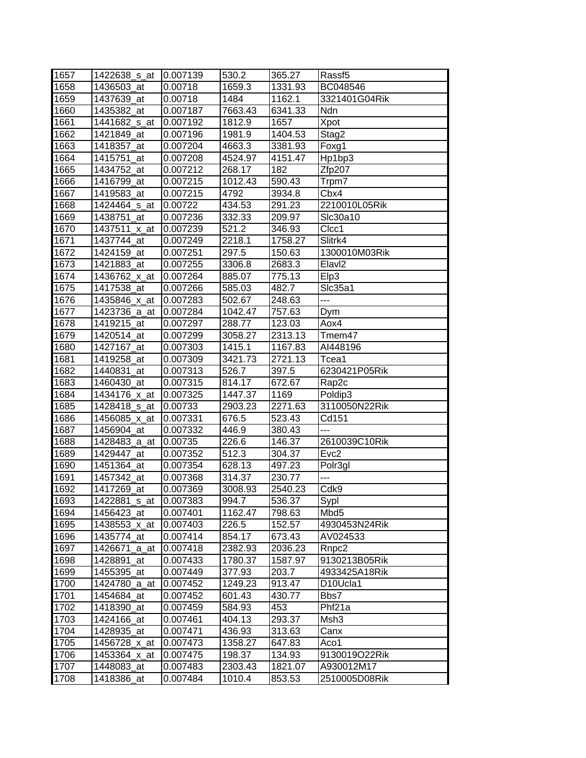| 1657 | 1422638_s_at | 0.007139 | 530.2   | 365.27              | Rassf <sub>5</sub>                |
|------|--------------|----------|---------|---------------------|-----------------------------------|
| 1658 | 1436503_at   | 0.00718  | 1659.3  | 1331.93             | BC048546                          |
| 1659 | 1437639 at   | 0.00718  | 1484    | 1162.1              | 3321401G04Rik                     |
| 1660 | 1435382_at   | 0.007187 | 7663.43 | 6341.33             | Ndn                               |
| 1661 | 1441682_s_at | 0.007192 | 1812.9  | 1657                | Xpot                              |
| 1662 | 1421849_at   | 0.007196 | 1981.9  | 1404.53             | Stag2                             |
| 1663 | 1418357_at   | 0.007204 | 4663.3  | 3381.93             | Foxg1                             |
| 1664 | 1415751_at   | 0.007208 | 4524.97 | 4151.47             | Hp1bp3                            |
| 1665 | 1434752_at   | 0.007212 | 268.17  | 182                 | Zfp207                            |
| 1666 | 1416799_at   | 0.007215 | 1012.43 | 590.43              | Trpm7                             |
| 1667 | 1419583_at   | 0.007215 | 4792    | 3934.8              | Cbx4                              |
| 1668 | 1424464 s at | 0.00722  | 434.53  | 291.23              | 2210010L05Rik                     |
| 1669 | 1438751_at   | 0.007236 | 332.33  | 209.97              | Slc30a10                          |
| 1670 | 1437511_x_at | 0.007239 | 521.2   | 346.93              | Clcc1                             |
| 1671 | 1437744_at   | 0.007249 | 2218.1  | 1758.27             | Slitrk4                           |
| 1672 | 1424159 at   | 0.007251 | 297.5   | 150.63              | 1300010M03Rik                     |
| 1673 | 1421883_at   | 0.007255 | 3306.8  | 2683.3              | Elavl <sub>2</sub>                |
| 1674 | 1436762 x at | 0.007264 | 885.07  | 775.13              | Elp3                              |
| 1675 | 1417538_at   | 0.007266 | 585.03  | 482.7               | SIc35a1                           |
| 1676 | 1435846_x_at | 0.007283 | 502.67  | 248.63              | $\overline{a}$                    |
| 1677 | 1423736 a at | 0.007284 | 1042.47 | 757.63              | Dym                               |
| 1678 | 1419215_at   | 0.007297 | 288.77  | 123.03              | Aox4                              |
| 1679 | 1420514_at   | 0.007299 | 3058.27 | 2313.13             | Tmem47                            |
| 1680 | 1427167 at   | 0.007303 | 1415.1  | 1167.83             | AI448196                          |
| 1681 | 1419258_at   | 0.007309 | 3421.73 | 2721.13             | Tcea1                             |
| 1682 | 1440831 at   | 0.007313 | 526.7   | 397.5               | 6230421P05Rik                     |
| 1683 | 1460430_at   | 0.007315 | 814.17  | 672.67              | Rap <sub>2c</sub>                 |
| 1684 | 1434176_x_at | 0.007325 | 1447.37 | 1169                | Poldip3                           |
| 1685 | 1428418_s_at | 0.00733  | 2903.23 | 2271.63             | 3110050N22Rik                     |
| 1686 | 1456085_x_at | 0.007331 | 676.5   | $\overline{523}.43$ | Cd151                             |
| 1687 | 1456904 at   | 0.007332 | 446.9   | 380.43              | ---                               |
| 1688 | 1428483_a_at | 0.00735  | 226.6   | 146.37              | 2610039C10Rik                     |
| 1689 | 1429447_at   | 0.007352 | 512.3   | 304.37              | Evc <sub>2</sub>                  |
| 1690 | 1451364_at   | 0.007354 | 628.13  | 497.23              | Polr3gl                           |
| 1691 | 1457342 at   | 0.007368 | 314.37  | 230.77              | ---                               |
| 1692 | 1417269 at   | 0.007369 | 3008.93 | 2540.23             | Cdk9                              |
| 1693 | 1422881_s_at | 0.007383 | 994.7   | 536.37              | Sypl                              |
| 1694 | 1456423_at   | 0.007401 | 1162.47 | 798.63              | Mbd <sub>5</sub>                  |
| 1695 | 1438553 x at | 0.007403 | 226.5   | 152.57              | 4930453N24Rik                     |
| 1696 | 1435774 at   | 0.007414 | 854.17  | 673.43              | AV024533                          |
| 1697 | 1426671_a_at | 0.007418 | 2382.93 | 2036.23             | Rnpc <sub>2</sub>                 |
| 1698 | 1428891_at   | 0.007433 | 1780.37 | 1587.97             | 9130213B05Rik                     |
| 1699 | 1455395_at   | 0.007449 | 377.93  | 203.7               | 4933425A18Rik                     |
| 1700 | 1424780_a_at | 0.007452 | 1249.23 | 913.47              | D <sub>10</sub> U <sub>cla1</sub> |
| 1701 | 1454684_at   | 0.007452 | 601.43  | 430.77              | Bbs7                              |
| 1702 | 1418390_at   | 0.007459 | 584.93  | 453                 | Phf21a                            |
| 1703 | 1424166_at   | 0.007461 | 404.13  | 293.37              | Msh3                              |
| 1704 | 1428935_at   | 0.007471 | 436.93  | 313.63              | Canx                              |
| 1705 | 1456728_x_at | 0.007473 | 1358.27 | 647.83              | Aco1                              |
| 1706 | 1453364_x_at | 0.007475 | 198.37  | 134.93              | 9130019O22Rik                     |
| 1707 | 1448083_at   | 0.007483 | 2303.43 | 1821.07             | A930012M17                        |
| 1708 | 1418386_at   | 0.007484 | 1010.4  | 853.53              | 2510005D08Rik                     |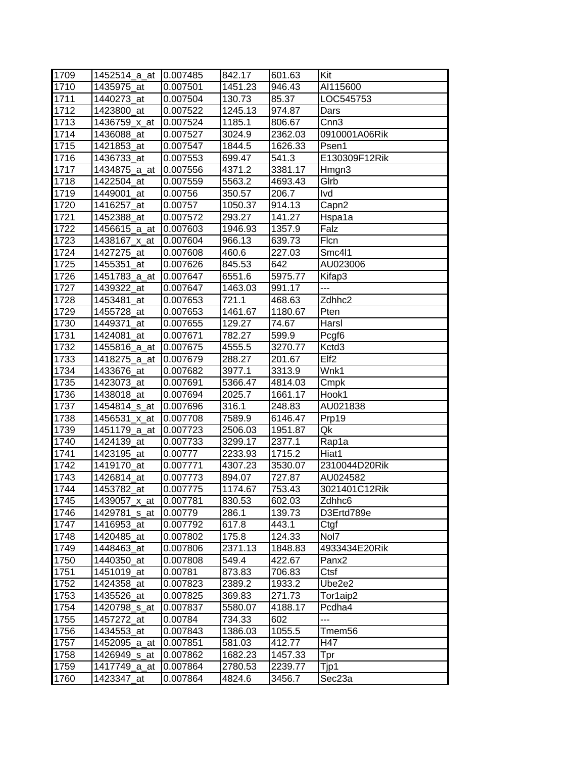| 1709 | 1452514_a_at             | 10.007485 | 842.17  | 601.63  | Kit                |
|------|--------------------------|-----------|---------|---------|--------------------|
| 1710 | 1435975 at               | 0.007501  | 1451.23 | 946.43  | AI115600           |
| 1711 | 1440273_at               | 0.007504  | 130.73  | 85.37   | LOC545753          |
| 1712 | 1423800_at               | 0.007522  | 1245.13 | 974.87  | Dars               |
| 1713 | 1436759 x at             | 0.007524  | 1185.1  | 806.67  | Cnn <sub>3</sub>   |
| 1714 | 1436088_at               | 0.007527  | 3024.9  | 2362.03 | 0910001A06Rik      |
| 1715 | 1421853_at               | 0.007547  | 1844.5  | 1626.33 | Psen1              |
| 1716 | 1436733_at               | 0.007553  | 699.47  | 541.3   | E130309F12Rik      |
| 1717 | 1434875_a_at             | 0.007556  | 4371.2  | 3381.17 | Hmgn3              |
| 1718 | 1422504_at               | 0.007559  | 5563.2  | 4693.43 | Glrb               |
| 1719 | 1449001_at               | 0.00756   | 350.57  | 206.7   | Ivd                |
| 1720 | 1416257_at               | 0.00757   | 1050.37 | 914.13  | Capn2              |
| 1721 | 1452388_at               | 0.007572  | 293.27  | 141.27  | Hspa1a             |
| 1722 | 1456615_a_at             | 0.007603  | 1946.93 | 1357.9  | Falz               |
| 1723 | 1438167_x_at             | 0.007604  | 966.13  | 639.73  | Flcn               |
| 1724 | 1427275_at               | 0.007608  | 460.6   | 227.03  | Smc4l1             |
| 1725 | 1455351_at               | 0.007626  | 845.53  | 642     | AU023006           |
| 1726 | 1451783 a at             | 0.007647  | 6551.6  | 5975.77 | Kifap3             |
| 1727 | 1439322 at               | 0.007647  | 1463.03 | 991.17  | $---$              |
| 1728 | 1453481_at               | 0.007653  | 721.1   | 468.63  | Zdhhc <sub>2</sub> |
| 1729 | 1455728_at               | 0.007653  | 1461.67 | 1180.67 | Pten               |
| 1730 | 1449371_at               | 0.007655  | 129.27  | 74.67   | Harsl              |
| 1731 | 1424081 at               | 0.007671  | 782.27  | 599.9   | Pcgf <sub>6</sub>  |
| 1732 | 1455816_a_at             | 0.007675  | 4555.5  | 3270.77 | Kctd3              |
| 1733 | 1418275_a_at             | 0.007679  | 288.27  | 201.67  | Elf <sub>2</sub>   |
| 1734 | 1433676_at               | 0.007682  | 3977.1  | 3313.9  | Wnk1               |
| 1735 | 1423073_at               | 0.007691  | 5366.47 | 4814.03 | Cmpk               |
| 1736 | 1438018_at               | 0.007694  | 2025.7  | 1661.17 | Hook1              |
| 1737 | 1454814 <sub>_S_at</sub> | 0.007696  | 316.1   | 248.83  | AU021838           |
| 1738 | 1456531_x_at             | 0.007708  | 7589.9  | 6146.47 | Prp19              |
| 1739 | 1451179_a_at             | 0.007723  | 2506.03 | 1951.87 | Qk                 |
| 1740 | 1424139 at               | 0.007733  | 3299.17 | 2377.1  | Rap1a              |
| 1741 | 1423195_at               | 0.00777   | 2233.93 | 1715.2  | Hiat1              |
| 1742 | 1419170_at               | 0.007771  | 4307.23 | 3530.07 | 2310044D20Rik      |
| 1743 | 1426814 at               | 0.007773  | 894.07  | 727.87  | AU024582           |
| 1744 | 1453782 at               | 0.007775  | 1174.67 | 753.43  | 3021401C12Rik      |
| 1745 | 1439057_x_at             | 0.007781  | 830.53  | 602.03  | Zdhhc6             |
| 1746 | 1429781_s_at             | 0.00779   | 286.1   | 139.73  | D3Ertd789e         |
| 1747 | 1416953_at               | 0.007792  | 617.8   | 443.1   | Ctgf               |
| 1748 | 1420485 at               | 0.007802  | 175.8   | 124.33  | Nol7               |
| 1749 | 1448463_at               | 0.007806  | 2371.13 | 1848.83 | 4933434E20Rik      |
| 1750 | 1440350_at               | 0.007808  | 549.4   | 422.67  | Panx <sub>2</sub>  |
| 1751 | 1451019 at               | 0.00781   | 873.83  | 706.83  | Ctsf               |
| 1752 | 1424358_at               | 0.007823  | 2389.2  | 1933.2  | Ube2e2             |
| 1753 | 1435526_at               | 0.007825  | 369.83  | 271.73  | Tor1aip2           |
| 1754 | 1420798 s at             | 0.007837  | 5580.07 | 4188.17 | Pcdha4             |
| 1755 | 1457272_at               | 0.00784   | 734.33  | 602     |                    |
| 1756 | 1434553_at               | 0.007843  | 1386.03 | 1055.5  | Tmem56             |
| 1757 | 1452095_a_at             | 0.007851  | 581.03  | 412.77  | H47                |
| 1758 | 1426949_s_at             | 0.007862  | 1682.23 | 1457.33 | Tpr                |
| 1759 | 1417749_a_at             | 0.007864  | 2780.53 | 2239.77 | Tjp1               |
| 1760 | 1423347_at               | 0.007864  | 4824.6  | 3456.7  | Sec23a             |
|      |                          |           |         |         |                    |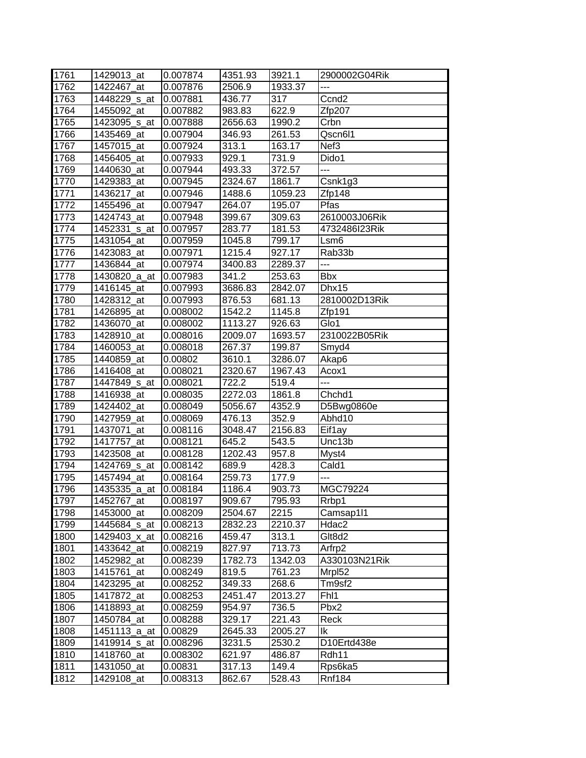| 1761 | 1429013_at               | 0.007874 | 4351.93             | 3921.1  | 2900002G04Rik      |
|------|--------------------------|----------|---------------------|---------|--------------------|
| 1762 | 1422467 at               | 0.007876 | 2506.9              | 1933.37 | ---                |
| 1763 | 1448229_s_at             | 0.007881 | 436.77              | 317     | Ccnd <sub>2</sub>  |
| 1764 | 1455092_at               | 0.007882 | $\overline{983.83}$ | 622.9   | Zfp207             |
| 1765 | 1423095_s_at             | 0.007888 | 2656.63             | 1990.2  | Crbn               |
| 1766 | 1435469 at               | 0.007904 | 346.93              | 261.53  | Qscn6l1            |
| 1767 | 1457015_at               | 0.007924 | 313.1               | 163.17  | Nef <sub>3</sub>   |
| 1768 | 1456405_at               | 0.007933 | 929.1               | 731.9   | Dido1              |
| 1769 | 1440630_at               | 0.007944 | 493.33              | 372.57  | $\overline{a}$     |
| 1770 | 1429383_at               | 0.007945 | 2324.67             | 1861.7  | Csnk1g3            |
| 1771 | 1436217_at               | 0.007946 | 1488.6              | 1059.23 | Zfp148             |
| 1772 | 1455496_at               | 0.007947 | 264.07              | 195.07  | Pfas               |
| 1773 | 1424743_at               | 0.007948 | 399.67              | 309.63  | 2610003J06Rik      |
| 1774 | 1452331 <sub>_S_at</sub> | 0.007957 | 283.77              | 181.53  | 4732486I23Rik      |
| 1775 | 1431054_at               | 0.007959 | 1045.8              | 799.17  | Lsm <sub>6</sub>   |
| 1776 | 1423083_at               | 0.007971 | 1215.4              | 927.17  | Rab33b             |
| 1777 | 1436844 at               | 0.007974 | 3400.83             | 2289.37 | $\overline{a}$     |
| 1778 | 1430820_a_at             | 0.007983 | 341.2               | 253.63  | <b>Bbx</b>         |
| 1779 | 1416145 at               | 0.007993 | 3686.83             | 2842.07 | Dhx15              |
| 1780 | 1428312_at               | 0.007993 | 876.53              | 681.13  | 2810002D13Rik      |
| 1781 | 1426895_at               | 0.008002 | 1542.2              | 1145.8  | Zfp191             |
| 1782 | 1436070_at               | 0.008002 | 1113.27             | 926.63  | Glo1               |
| 1783 | 1428910_at               | 0.008016 | 2009.07             | 1693.57 | 2310022B05Rik      |
| 1784 | 1460053_at               | 0.008018 | 267.37              | 199.87  | Smyd4              |
| 1785 | 1440859 at               | 0.00802  | 3610.1              | 3286.07 | Akap6              |
| 1786 | 1416408_at               | 0.008021 | 2320.67             | 1967.43 | Acox1              |
| 1787 | 1447849 s at             | 0.008021 | 722.2               | 519.4   | ---                |
| 1788 | 1416938_at               | 0.008035 | 2272.03             | 1861.8  | Chchd1             |
| 1789 | 1424402_at               | 0.008049 | 5056.67             | 4352.9  | D5Bwg0860e         |
| 1790 | 1427959_at               | 0.008069 | 476.13              | 352.9   | Abhd10             |
| 1791 | 1437071_at               | 0.008116 | 3048.47             | 2156.83 | Eif1ay             |
| 1792 | 1417757 at               | 0.008121 | 645.2               | 543.5   | Unc13b             |
| 1793 | 1423508_at               | 0.008128 | 1202.43             | 957.8   | Myst4              |
| 1794 | 1424769 s at             | 0.008142 | 689.9               | 428.3   | Cald1              |
| 1795 | 1457494_at               | 0.008164 | 259.73              | 177.9   |                    |
| 1796 | 1435335_a_at             | 0.008184 | 1186.4              | 903.73  | MGC79224           |
| 1797 | 1452767 at               | 0.008197 | 909.67              | 795.93  | Rrbp1              |
| 1798 | 1453000_at               | 0.008209 | 2504.67             | 2215    | Camsap1l1          |
| 1799 | 1445684_s_at             | 0.008213 | 2832.23             | 2210.37 | Hdac2              |
| 1800 | 1429403_x_at             | 0.008216 | 459.47              | 313.1   | Glt8d2             |
| 1801 | 1433642_at               | 0.008219 | 827.97              | 713.73  | Arfrp2             |
| 1802 | 1452982 at               | 0.008239 | 1782.73             | 1342.03 | A330103N21Rik      |
| 1803 | 1415761 at               | 0.008249 | 819.5               | 761.23  | MrpI <sub>52</sub> |
| 1804 | 1423295_at               | 0.008252 | 349.33              | 268.6   | Tm9sf2             |
| 1805 | 1417872_at               | 0.008253 | 2451.47             | 2013.27 | Fh <sub>1</sub>    |
| 1806 | 1418893 at               | 0.008259 | 954.97              | 736.5   | Pbx2               |
| 1807 | 1450784_at               | 0.008288 | 329.17              | 221.43  | Reck               |
| 1808 | 1451113_a_at             | 0.00829  | 2645.33             | 2005.27 | lk                 |
| 1809 | 1419914_s_at             | 0.008296 | 3231.5              | 2530.2  | D10Ertd438e        |
| 1810 | 1418760_at               | 0.008302 | 621.97              | 486.87  | Rdh11              |
| 1811 | 1431050_at               | 0.00831  | 317.13              | 149.4   | Rps6ka5            |
| 1812 | 1429108_at               | 0.008313 | 862.67              | 528.43  | <b>Rnf184</b>      |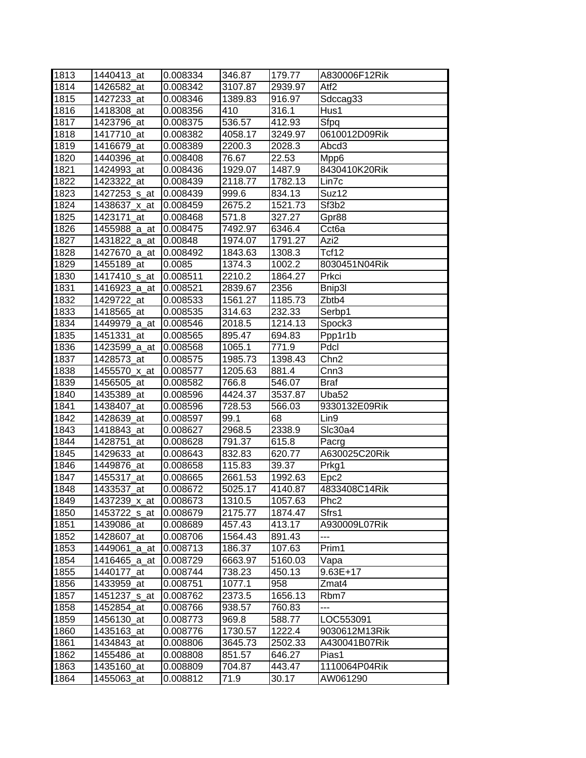| 1813 | 1440413 at     | 0.008334 | 346.87  | 179.77  | A830006F12Rik     |
|------|----------------|----------|---------|---------|-------------------|
| 1814 | 1426582_at     | 0.008342 | 3107.87 | 2939.97 | Atf <sub>2</sub>  |
| 1815 | 1427233_at     | 0.008346 | 1389.83 | 916.97  | Sdccag33          |
| 1816 | 1418308_at     | 0.008356 | 410     | 316.1   | Hus1              |
| 1817 | 1423796_at     | 0.008375 | 536.57  | 412.93  | Sfpq              |
| 1818 | 1417710 at     | 0.008382 | 4058.17 | 3249.97 | 0610012D09Rik     |
| 1819 | 1416679_at     | 0.008389 | 2200.3  | 2028.3  | Abcd3             |
| 1820 | 1440396_at     | 0.008408 | 76.67   | 22.53   | Mpp6              |
| 1821 | 1424993_at     | 0.008436 | 1929.07 | 1487.9  | 8430410K20Rik     |
| 1822 | 1423322_at     | 0.008439 | 2118.77 | 1782.13 | Lin7c             |
| 1823 | 1427253_s_at   | 0.008439 | 999.6   | 834.13  | Suz12             |
| 1824 | 1438637_x_at   | 0.008459 | 2675.2  | 1521.73 | Sf3b2             |
| 1825 | 1423171_at     | 0.008468 | 571.8   | 327.27  | Gpr88             |
| 1826 | 1455988_a_at   | 0.008475 | 7492.97 | 6346.4  | Cct <sub>6a</sub> |
| 1827 | 1431822_a_at   | 0.00848  | 1974.07 | 1791.27 | Azi2              |
| 1828 | 1427670 a at   | 0.008492 | 1843.63 | 1308.3  | Tcf12             |
| 1829 | 1455189_at     | 0.0085   | 1374.3  | 1002.2  | 8030451N04Rik     |
| 1830 | 1417410_s_at   | 0.008511 | 2210.2  | 1864.27 | Prkci             |
| 1831 | 1416923_a_at   | 0.008521 | 2839.67 | 2356    | Bnip3l            |
| 1832 | 1429722 at     | 0.008533 | 1561.27 | 1185.73 | Zbtb4             |
| 1833 | 1418565_at     | 0.008535 | 314.63  | 232.33  | Serbp1            |
| 1834 | 1449979 a at   | 0.008546 | 2018.5  | 1214.13 | Spock3            |
| 1835 | 1451331_at     | 0.008565 | 895.47  | 694.83  | Ppp1r1b           |
| 1836 | 1423599_a_at   | 0.008568 | 1065.1  | 771.9   | Pdcl              |
| 1837 | 1428573_at     | 0.008575 | 1985.73 | 1398.43 | Chn <sub>2</sub>  |
| 1838 | 1455570_x_at   | 0.008577 | 1205.63 | 881.4   | Cnn <sub>3</sub>  |
| 1839 | 1456505_at     | 0.008582 | 766.8   | 546.07  | Braf              |
| 1840 | 1435389_at     | 0.008596 | 4424.37 | 3537.87 | Uba52             |
| 1841 | 1438407_at     | 0.008596 | 728.53  | 566.03  | 9330132E09Rik     |
| 1842 | 1428639_at     | 0.008597 | 99.1    | 68      | Lin9              |
| 1843 | 1418843_at     | 0.008627 | 2968.5  | 2338.9  | Slc30a4           |
| 1844 | 1428751<br>_at | 0.008628 | 791.37  | 615.8   | Pacrg             |
| 1845 | 1429633_at     | 0.008643 | 832.83  | 620.77  | A630025C20Rik     |
| 1846 | 1449876_at     | 0.008658 | 115.83  | 39.37   | Prkg1             |
| 1847 | 1455317_at     | 0.008665 | 2661.53 | 1992.63 | Epc <sub>2</sub>  |
| 1848 | 1433537_at     | 0.008672 | 5025.17 | 4140.87 | 4833408C14Rik     |
| 1849 | 1437239_x_at   | 0.008673 | 1310.5  | 1057.63 | Phc <sub>2</sub>  |
| 1850 | 1453722 s at   | 0.008679 | 2175.77 | 1874.47 | Sfrs1             |
| 1851 | 1439086_at     | 0.008689 | 457.43  | 413.17  | A930009L07Rik     |
| 1852 | 1428607_at     | 0.008706 | 1564.43 | 891.43  | ---               |
| 1853 | 1449061_a_at   | 0.008713 | 186.37  | 107.63  | Prim1             |
| 1854 | 1416465_a_at   | 0.008729 | 6663.97 | 5160.03 | Vapa              |
| 1855 | 1440177_at     | 0.008744 | 738.23  | 450.13  | $9.63E+17$        |
| 1856 | 1433959 at     | 0.008751 | 1077.1  | 958     | Zmat4             |
| 1857 | 1451237 s at   | 0.008762 | 2373.5  | 1656.13 | Rbm7              |
| 1858 | 1452854_at     | 0.008766 | 938.57  | 760.83  | ---               |
| 1859 | 1456130_at     | 0.008773 | 969.8   | 588.77  | LOC553091         |
| 1860 | 1435163_at     | 0.008776 | 1730.57 | 1222.4  | 9030612M13Rik     |
| 1861 | 1434843_at     | 0.008806 | 3645.73 | 2502.33 | A430041B07Rik     |
| 1862 | 1455486_at     | 0.008808 | 851.57  | 646.27  | Pias1             |
| 1863 | 1435160_at     | 0.008809 | 704.87  | 443.47  | 1110064P04Rik     |
| 1864 | 1455063_at     | 0.008812 | 71.9    | 30.17   | AW061290          |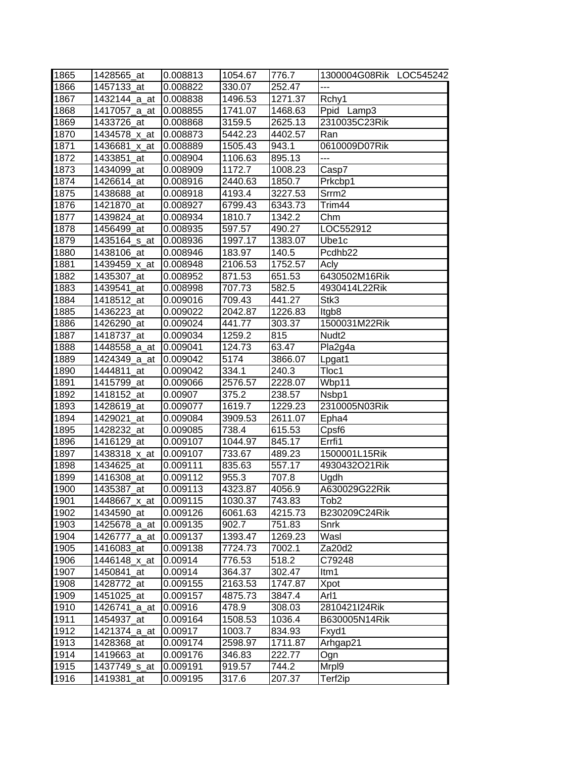| 1865 | 1428565 at               | 0.008813 | 1054.67 | 776.7   | 1300004G08Rik LOC545242 |
|------|--------------------------|----------|---------|---------|-------------------------|
| 1866 | 1457133_at               | 0.008822 | 330.07  | 252.47  |                         |
| 1867 | 1432144_a_at             | 0.008838 | 1496.53 | 1271.37 | Rchy1                   |
| 1868 | 1417057_a_at             | 0.008855 | 1741.07 | 1468.63 | Ppid Lamp3              |
| 1869 | 1433726 at               | 0.008868 | 3159.5  | 2625.13 | 2310035C23Rik           |
| 1870 | 1434578_x_at             | 0.008873 | 5442.23 | 4402.57 | Ran                     |
| 1871 | 1436681_x_at             | 0.008889 | 1505.43 | 943.1   | 0610009D07Rik           |
| 1872 | 1433851_at               | 0.008904 | 1106.63 | 895.13  | $\overline{a}$          |
| 1873 | 1434099 at               | 0.008909 | 1172.7  | 1008.23 | Casp7                   |
| 1874 | 1426614_at               | 0.008916 | 2440.63 | 1850.7  | Prkcbp1                 |
| 1875 | 1438688_at               | 0.008918 | 4193.4  | 3227.53 | Srrm <sub>2</sub>       |
| 1876 | 1421870_at               | 0.008927 | 6799.43 | 6343.73 | Trim44                  |
| 1877 | 1439824_at               | 0.008934 | 1810.7  | 1342.2  | Chm                     |
| 1878 | 1456499_at               | 0.008935 | 597.57  | 490.27  | LOC552912               |
| 1879 | 1435164_s_at             | 0.008936 | 1997.17 | 1383.07 | Ube1c                   |
| 1880 | 1438106_at               | 0.008946 | 183.97  | 140.5   | Pcdhb22                 |
| 1881 | 1439459_x_at             | 0.008948 | 2106.53 | 1752.57 | Acly                    |
| 1882 | 1435307_at               | 0.008952 | 871.53  | 651.53  | 6430502M16Rik           |
| 1883 | 1439541 at               | 0.008998 | 707.73  | 582.5   | 4930414L22Rik           |
| 1884 | 1418512_at               | 0.009016 | 709.43  | 441.27  | Stk3                    |
| 1885 | 1436223 at               | 0.009022 | 2042.87 | 1226.83 | ltgb8                   |
| 1886 | 1426290_at               | 0.009024 | 441.77  | 303.37  | 1500031M22Rik           |
| 1887 | 1418737_at               | 0.009034 | 1259.2  | 815     | Nudt <sub>2</sub>       |
| 1888 | 1448558_a_at             | 0.009041 | 124.73  | 63.47   | Pla2g4a                 |
| 1889 | 1424349_a_at             | 0.009042 | 5174    | 3866.07 | Lpgat1                  |
| 1890 | 1444811 at               | 0.009042 | 334.1   | 240.3   | Tloc1                   |
| 1891 | 1415799_at               | 0.009066 | 2576.57 | 2228.07 | Wbp11                   |
| 1892 | 1418152 at               | 0.00907  | 375.2   | 238.57  | Nsbp1                   |
| 1893 | 1428619_at               | 0.009077 | 1619.7  | 1229.23 | 2310005N03Rik           |
| 1894 | 1429021_at               | 0.009084 | 3909.53 | 2611.07 | Epha4                   |
| 1895 | 1428232_at               | 0.009085 | 738.4   | 615.53  | Cpsf <sub>6</sub>       |
| 1896 | 1416129 at               | 0.009107 | 1044.97 | 845.17  | Errfi1                  |
| 1897 | 1438318_x_at             | 0.009107 | 733.67  | 489.23  | 1500001L15Rik           |
| 1898 | 1434625_at               | 0.009111 | 835.63  | 557.17  | 4930432O21Rik           |
| 1899 | 1416308_at               | 0.009112 | 955.3   | 707.8   | Ugdh                    |
| 1900 | 1435387_at               | 0.009113 | 4323.87 | 4056.9  | A630029G22Rik           |
| 1901 | 1448667_x_at             | 0.009115 | 1030.37 | 743.83  | Tob2                    |
| 1902 | 1434590 at               | 0.009126 | 6061.63 | 4215.73 | B230209C24Rik           |
| 1903 | 1425678_a_at             | 0.009135 | 902.7   | 751.83  | Snrk                    |
| 1904 | 1426777_a_at             | 0.009137 | 1393.47 | 1269.23 | Wasl                    |
| 1905 | 1416083 at               | 0.009138 | 7724.73 | 7002.1  | Za20d2                  |
| 1906 | 1446148_x_at             | 0.00914  | 776.53  | 518.2   | C79248                  |
| 1907 | 1450841_at               | 0.00914  | 364.37  | 302.47  | ltm1                    |
| 1908 | 1428772_at               | 0.009155 | 2163.53 | 1747.87 | Xpot                    |
| 1909 | 1451025 at               | 0.009157 | 4875.73 | 3847.4  | Arl1                    |
| 1910 | 1426741_a_at             | 0.00916  | 478.9   | 308.03  | 2810421I24Rik           |
| 1911 | 1454937 at               | 0.009164 | 1508.53 | 1036.4  | B630005N14Rik           |
| 1912 | 1421374_a_at             | 0.00917  | 1003.7  | 834.93  | Fxyd1                   |
| 1913 | 1428368_at               | 0.009174 | 2598.97 | 1711.87 | Arhgap21                |
| 1914 | 1419663_at               | 0.009176 | 346.83  | 222.77  | Ogn                     |
| 1915 | 1437749 <sub>_S_at</sub> | 0.009191 | 919.57  | 744.2   | Mrp <sub>19</sub>       |
| 1916 | 1419381_at               | 0.009195 | 317.6   | 207.37  | Terf2ip                 |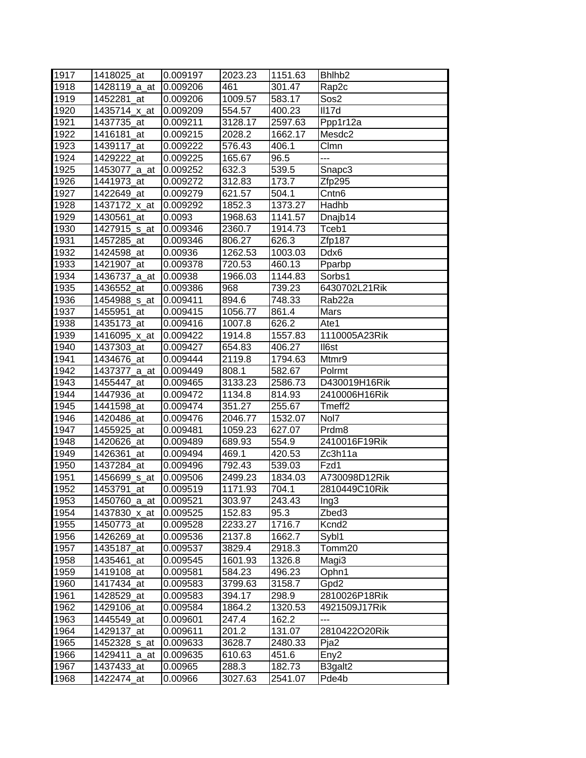| 1917 | 1418025_at   | 0.009197 | 2023.23 | 1151.63 | Bhlhb <sub>2</sub> |
|------|--------------|----------|---------|---------|--------------------|
| 1918 | 1428119 a at | 0.009206 | 461     | 301.47  | Rap2c              |
| 1919 | 1452281 at   | 0.009206 | 1009.57 | 583.17  | Sos2               |
| 1920 | 1435714_x_at | 0.009209 | 554.57  | 400.23  | II17d              |
| 1921 | 1437735_at   | 0.009211 | 3128.17 | 2597.63 | Ppp1r12a           |
| 1922 | 1416181 at   | 0.009215 | 2028.2  | 1662.17 | Mesdc2             |
| 1923 | 1439117_at   | 0.009222 | 576.43  | 406.1   | Clmn               |
| 1924 | 1429222_at   | 0.009225 | 165.67  | 96.5    | ---                |
| 1925 | 1453077_a_at | 0.009252 | 632.3   | 539.5   | Snapc3             |
| 1926 | 1441973_at   | 0.009272 | 312.83  | 173.7   | Zfp295             |
| 1927 | 1422649_at   | 0.009279 | 621.57  | 504.1   | Cntn <sub>6</sub>  |
| 1928 | 1437172_x_at | 0.009292 | 1852.3  | 1373.27 | Hadhb              |
| 1929 | 1430561_at   | 0.0093   | 1968.63 | 1141.57 | Dnajb14            |
| 1930 | 1427915_s_at | 0.009346 | 2360.7  | 1914.73 | Tceb1              |
| 1931 | 1457285_at   | 0.009346 | 806.27  | 626.3   | Zfp187             |
| 1932 | 1424598_at   | 0.00936  | 1262.53 | 1003.03 | Ddx6               |
| 1933 | 1421907_at   | 0.009378 | 720.53  | 460.13  | Pparbp             |
| 1934 | 1436737_a_at | 0.00938  | 1966.03 | 1144.83 | Sorbs1             |
| 1935 | 1436552_at   | 0.009386 | 968     | 739.23  | 6430702L21Rik      |
| 1936 | 1454988_s_at | 0.009411 | 894.6   | 748.33  | Rab22a             |
| 1937 | 1455951_at   | 0.009415 | 1056.77 | 861.4   | Mars               |
| 1938 | 1435173 at   | 0.009416 | 1007.8  | 626.2   | Ate1               |
| 1939 | 1416095_x_at | 0.009422 | 1914.8  | 1557.83 | 1110005A23Rik      |
| 1940 | 1437303_at   | 0.009427 | 654.83  | 406.27  | II6st              |
| 1941 | 1434676 at   | 0.009444 | 2119.8  | 1794.63 | Mtmr9              |
| 1942 | 1437377_a_at | 0.009449 | 808.1   | 582.67  | Polrmt             |
| 1943 | 1455447_at   | 0.009465 | 3133.23 | 2586.73 | D430019H16Rik      |
| 1944 | 1447936_at   | 0.009472 | 1134.8  | 814.93  | 2410006H16Rik      |
| 1945 | 1441598_at   | 0.009474 | 351.27  | 255.67  | Tmeff <sub>2</sub> |
| 1946 | 1420486_at   | 0.009476 | 2046.77 | 1532.07 | Nol7               |
| 1947 | 1455925_at   | 0.009481 | 1059.23 | 627.07  | Prdm <sub>8</sub>  |
| 1948 | 1420626_at   | 0.009489 | 689.93  | 554.9   | 2410016F19Rik      |
| 1949 | 1426361_at   | 0.009494 | 469.1   | 420.53  | Zc3h11a            |
| 1950 | 1437284 at   | 0.009496 | 792.43  | 539.03  | Fzd1               |
| 1951 | 1456699_s_at | 0.009506 | 2499.23 | 1834.03 | A730098D12Rik      |
| 1952 | 1453791 at   | 0.009519 | 1171.93 | 704.1   | 2810449C10Rik      |
| 1953 | 1450760_a_at | 0.009521 | 303.97  | 243.43  | Ing3               |
| 1954 | 1437830_x_at | 0.009525 | 152.83  | 95.3    | Zbed3              |
| 1955 | 1450773_at   | 0.009528 | 2233.27 | 1716.7  | Kcnd <sub>2</sub>  |
| 1956 | 1426269_at   | 0.009536 | 2137.8  | 1662.7  | Sybl1              |
| 1957 | 1435187_at   | 0.009537 | 3829.4  | 2918.3  | Tomm20             |
| 1958 | 1435461_at   | 0.009545 | 1601.93 | 1326.8  | Magi3              |
| 1959 | 1419108 at   | 0.009581 | 584.23  | 496.23  | Ophn1              |
| 1960 | 1417434_at   | 0.009583 | 3799.63 | 3158.7  | Gpd2               |
| 1961 | 1428529_at   | 0.009583 | 394.17  | 298.9   | 2810026P18Rik      |
| 1962 | 1429106 at   | 0.009584 | 1864.2  | 1320.53 | 4921509J17Rik      |
| 1963 | 1445549_at   | 0.009601 | 247.4   | 162.2   |                    |
| 1964 | 1429137_at   | 0.009611 | 201.2   | 131.07  | 2810422O20Rik      |
| 1965 | 1452328_s_at | 0.009633 | 3628.7  | 2480.33 | Pja2               |
| 1966 | 1429411_a_at | 0.009635 | 610.63  | 451.6   | Eny <sub>2</sub>   |
| 1967 | 1437433_at   | 0.00965  | 288.3   | 182.73  | B3galt2            |
| 1968 | 1422474_at   | 0.00966  | 3027.63 | 2541.07 | Pde4b              |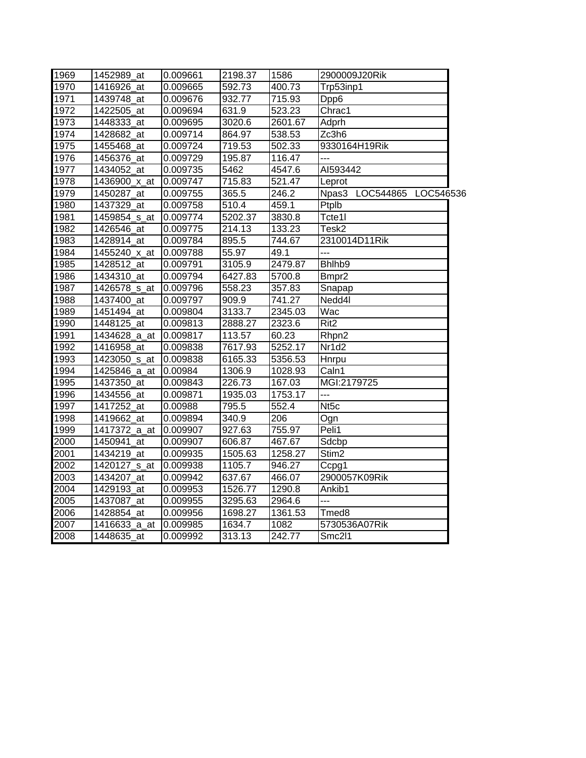| 1969 | 1452989_at   | 0.009661 | 2198.37 | 1586    | 2900009J20Rik             |
|------|--------------|----------|---------|---------|---------------------------|
| 1970 | 1416926 at   | 0.009665 | 592.73  | 400.73  | Trp53inp1                 |
| 1971 | 1439748 at   | 0.009676 | 932.77  | 715.93  | Dpp6                      |
| 1972 | 1422505_at   | 0.009694 | 631.9   | 523.23  | Chrac1                    |
| 1973 | 1448333 at   | 0.009695 | 3020.6  | 2601.67 | Adprh                     |
| 1974 | 1428682 at   | 0.009714 | 864.97  | 538.53  | Zc3h6                     |
| 1975 | 1455468_at   | 0.009724 | 719.53  | 502.33  | 9330164H19Rik             |
| 1976 | 1456376_at   | 0.009729 | 195.87  | 116.47  | ---                       |
| 1977 | 1434052 at   | 0.009735 | 5462    | 4547.6  | AI593442                  |
| 1978 | 1436900_x_at | 0.009747 | 715.83  | 521.47  | Leprot                    |
| 1979 | 1450287 at   | 0.009755 | 365.5   | 246.2   | Npas3 LOC544865 LOC546536 |
| 1980 | 1437329_at   | 0.009758 | 510.4   | 459.1   | Ptplb                     |
| 1981 | 1459854_s_at | 0.009774 | 5202.37 | 3830.8  | Tcte1I                    |
| 1982 | 1426546 at   | 0.009775 | 214.13  | 133.23  | Tesk2                     |
| 1983 | 1428914 at   | 0.009784 | 895.5   | 744.67  | 2310014D11Rik             |
| 1984 | 1455240_x_at | 0.009788 | 55.97   | 49.1    | ---                       |
| 1985 | 1428512 at   | 0.009791 | 3105.9  | 2479.87 | Bhlhb9                    |
| 1986 | 1434310 at   | 0.009794 | 6427.83 | 5700.8  | Bmpr2                     |
| 1987 | 1426578_s_at | 0.009796 | 558.23  | 357.83  | Snapap                    |
| 1988 | 1437400_at   | 0.009797 | 909.9   | 741.27  | Nedd4l                    |
| 1989 | 1451494 at   | 0.009804 | 3133.7  | 2345.03 | Wac                       |
| 1990 | 1448125 at   | 0.009813 | 2888.27 | 2323.6  | $\overline{Rit2}$         |
| 1991 | 1434628_a_at | 0.009817 | 113.57  | 60.23   | Rhpn2                     |
| 1992 | 1416958_at   | 0.009838 | 7617.93 | 5252.17 | Nr1d2                     |
| 1993 | 1423050 s at | 0.009838 | 6165.33 | 5356.53 | Hnrpu                     |
| 1994 | 1425846 a at | 0.00984  | 1306.9  | 1028.93 | Caln1                     |
| 1995 | 1437350 at   | 0.009843 | 226.73  | 167.03  | MGI:2179725               |
| 1996 | 1434556 at   | 0.009871 | 1935.03 | 1753.17 | ---                       |
| 1997 | 1417252 at   | 0.00988  | 795.5   | 552.4   | Nt <sub>5c</sub>          |
| 1998 | 1419662_at   | 0.009894 | 340.9   | 206     | Ogn                       |
| 1999 | 1417372 a at | 0.009907 | 927.63  | 755.97  | Peli1                     |
| 2000 | 1450941 at   | 0.009907 | 606.87  | 467.67  | Sdcbp                     |
| 2001 | 1434219 at   | 0.009935 | 1505.63 | 1258.27 | Stim <sub>2</sub>         |
| 2002 | 1420127 s at | 0.009938 | 1105.7  | 946.27  | Ccpg1                     |
| 2003 | 1434207 at   | 0.009942 | 637.67  | 466.07  | 2900057K09Rik             |
| 2004 | 1429193_at   | 0.009953 | 1526.77 | 1290.8  | Ankib1                    |
| 2005 | 1437087 at   | 0.009955 | 3295.63 | 2964.6  | $\overline{a}$            |
| 2006 | 1428854 at   | 0.009956 | 1698.27 | 1361.53 | Tmed8                     |
| 2007 | 1416633 a at | 0.009985 | 1634.7  | 1082    | 5730536A07Rik             |
| 2008 | 1448635 at   | 0.009992 | 313.13  | 242.77  | Smc2l1                    |